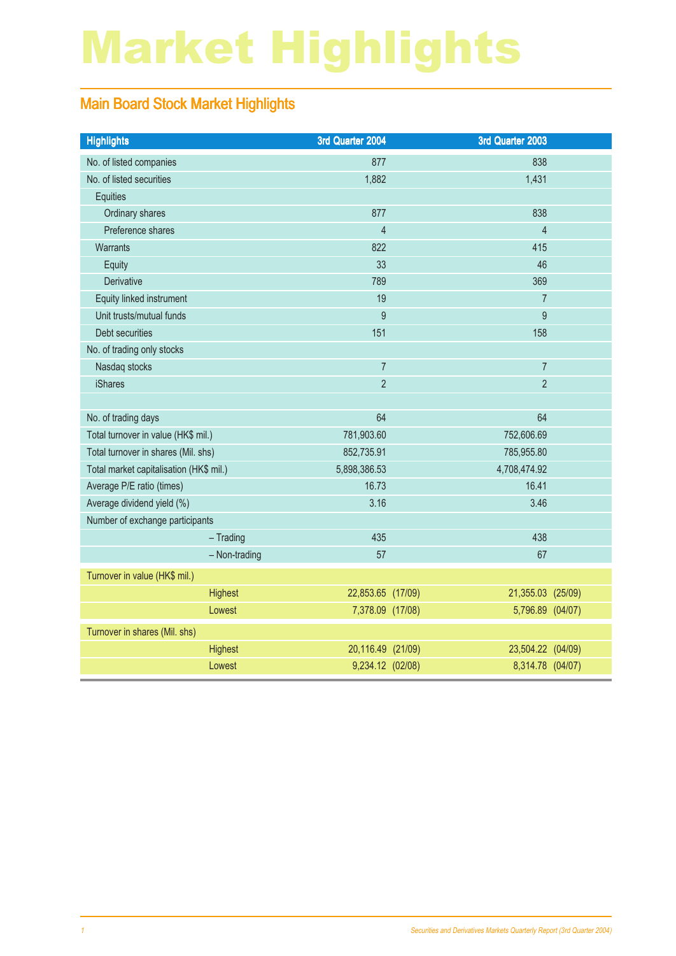# Market Highlights

## Main Board Stock Market Highlights

| <b>Highlights</b>                       | 3rd Quarter 2004  | 3rd Quarter 2003 |                   |
|-----------------------------------------|-------------------|------------------|-------------------|
| No. of listed companies                 | 877               |                  | 838               |
| No. of listed securities                | 1,882             |                  | 1,431             |
| <b>Equities</b>                         |                   |                  |                   |
| Ordinary shares                         | 877               |                  | 838               |
| Preference shares                       | $\overline{4}$    |                  | $\overline{4}$    |
| Warrants                                | 822               |                  | 415               |
| Equity                                  | 33                |                  | 46                |
| Derivative                              | 789               |                  | 369               |
| Equity linked instrument                | 19                |                  | $\overline{7}$    |
| Unit trusts/mutual funds                | $\overline{9}$    |                  | $\overline{9}$    |
| Debt securities                         | 151               |                  | 158               |
| No. of trading only stocks              |                   |                  |                   |
| Nasdaq stocks                           | $\overline{7}$    |                  | $\overline{7}$    |
| <b>iShares</b>                          | $\overline{2}$    |                  | $\overline{2}$    |
|                                         |                   |                  |                   |
| No. of trading days                     | 64                |                  | 64                |
| Total turnover in value (HK\$ mil.)     | 781,903.60        | 752,606.69       |                   |
| Total turnover in shares (Mil. shs)     | 852,735.91        | 785,955.80       |                   |
| Total market capitalisation (HK\$ mil.) | 5,898,386.53      | 4,708,474.92     |                   |
| Average P/E ratio (times)               | 16.73             |                  | 16.41             |
| Average dividend yield (%)              | 3.16              |                  | 3.46              |
| Number of exchange participants         |                   |                  |                   |
| $-$ Trading                             | 435               |                  | 438               |
| - Non-trading                           | 57                |                  | 67                |
| Turnover in value (HK\$ mil.)           |                   |                  |                   |
| Highest                                 | 22,853.65 (17/09) |                  | 21,355.03 (25/09) |
| Lowest                                  | 7,378.09 (17/08)  |                  | 5,796.89 (04/07)  |
| Turnover in shares (Mil. shs)           |                   |                  |                   |
| Highest                                 | 20,116.49 (21/09) |                  | 23,504.22 (04/09) |
| Lowest                                  | 9,234.12 (02/08)  |                  | 8,314.78 (04/07)  |
|                                         |                   |                  |                   |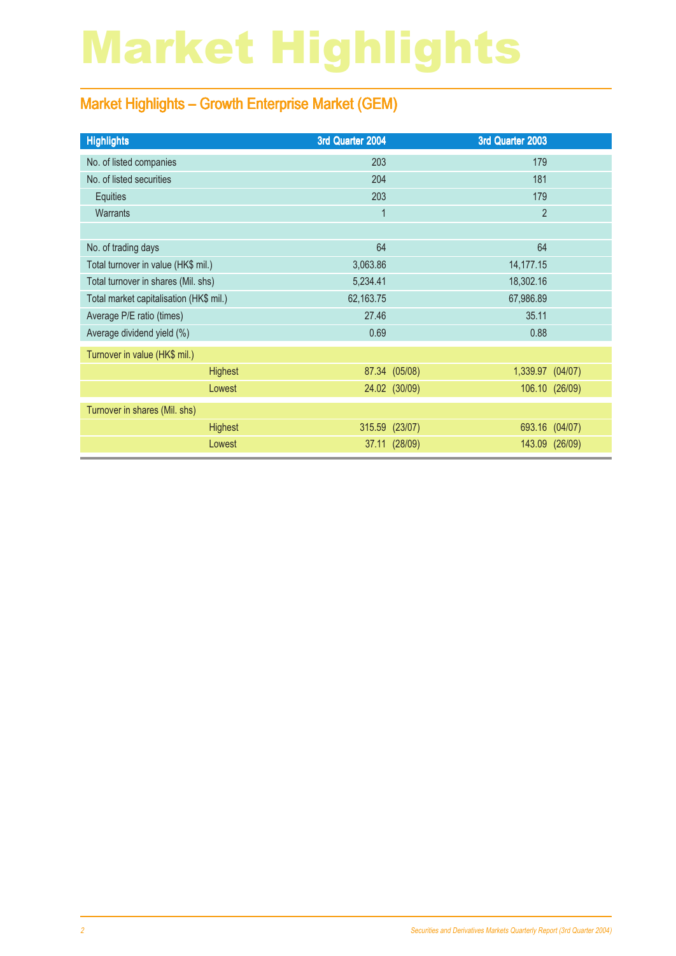# Market Highlights

## Market Highlights – Growth Enterprise Market (GEM)

| <b>Highlights</b>                       | 3rd Quarter 2004 |                | 3rd Quarter 2003 |                |
|-----------------------------------------|------------------|----------------|------------------|----------------|
| No. of listed companies                 | 203              |                | 179              |                |
| No. of listed securities                | 204              |                | 181              |                |
| Equities                                | 203              |                | 179              |                |
| <b>Warrants</b>                         | $\mathbf 1$      |                | $\overline{2}$   |                |
|                                         |                  |                |                  |                |
| No. of trading days                     | 64               |                | 64               |                |
| Total turnover in value (HK\$ mil.)     | 3,063.86         |                | 14,177.15        |                |
| Total turnover in shares (Mil. shs)     | 5,234.41         |                | 18,302.16        |                |
| Total market capitalisation (HK\$ mil.) | 62,163.75        |                | 67,986.89        |                |
| Average P/E ratio (times)               | 27.46            |                | 35.11            |                |
| Average dividend yield (%)              | 0.69             |                | 0.88             |                |
| Turnover in value (HK\$ mil.)           |                  |                |                  |                |
| <b>Highest</b>                          |                  | 87.34 (05/08)  | 1,339.97 (04/07) |                |
| Lowest                                  |                  | 24.02 (30/09)  |                  | 106.10 (26/09) |
| Turnover in shares (Mil. shs)           |                  |                |                  |                |
| <b>Highest</b>                          |                  | 315.59 (23/07) |                  | 693.16 (04/07) |
| Lowest                                  |                  | 37.11 (28/09)  |                  | 143.09 (26/09) |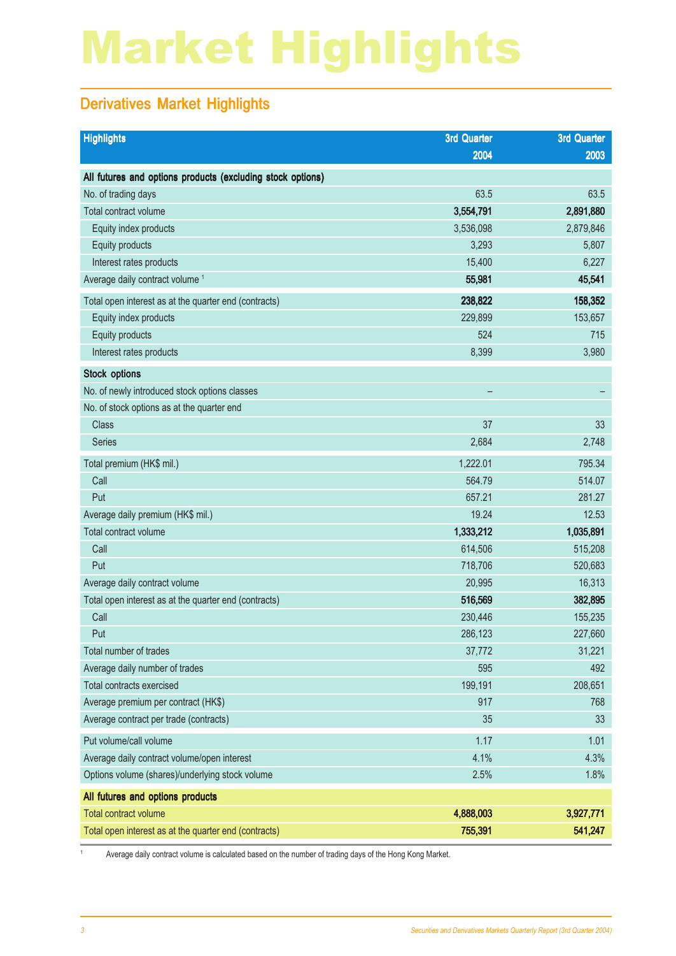# Market Highlights

## Derivatives Market Highlights

| <b>Highlights</b>                                          | 3rd Quarter | <b>3rd Quarter</b> |
|------------------------------------------------------------|-------------|--------------------|
|                                                            | 2004        | 2003               |
| All futures and options products (excluding stock options) |             |                    |
| No. of trading days                                        | 63.5        | 63.5               |
| Total contract volume                                      | 3,554,791   | 2,891,880          |
| Equity index products                                      | 3,536,098   | 2,879,846          |
| Equity products                                            | 3,293       | 5,807              |
| Interest rates products                                    | 15,400      | 6,227              |
| Average daily contract volume <sup>1</sup>                 | 55,981      | 45,541             |
| Total open interest as at the quarter end (contracts)      | 238,822     | 158,352            |
| Equity index products                                      | 229,899     | 153,657            |
| Equity products                                            | 524         | 715                |
| Interest rates products                                    | 8,399       | 3,980              |
| <b>Stock options</b>                                       |             |                    |
| No. of newly introduced stock options classes              |             |                    |
| No. of stock options as at the quarter end                 |             |                    |
| <b>Class</b>                                               | 37          | 33                 |
| <b>Series</b>                                              | 2,684       | 2,748              |
| Total premium (HK\$ mil.)                                  | 1,222.01    | 795.34             |
| Call                                                       | 564.79      | 514.07             |
| Put                                                        | 657.21      | 281.27             |
| Average daily premium (HK\$ mil.)                          | 19.24       | 12.53              |
| Total contract volume                                      | 1,333,212   | 1,035,891          |
| Call                                                       | 614,506     | 515,208            |
| Put                                                        | 718,706     | 520,683            |
| Average daily contract volume                              | 20,995      | 16,313             |
| Total open interest as at the quarter end (contracts)      | 516,569     | 382,895            |
| Call                                                       | 230,446     | 155,235            |
| Put                                                        | 286,123     | 227,660            |
| Total number of trades                                     | 37,772      | 31,221             |
| Average daily number of trades                             | 595         | 492                |
| <b>Total contracts exercised</b>                           | 199,191     | 208,651            |
| Average premium per contract (HK\$)                        | 917         | 768                |
| Average contract per trade (contracts)                     | 35          | 33                 |
| Put volume/call volume                                     | 1.17        | 1.01               |
| Average daily contract volume/open interest                | 4.1%        | 4.3%               |
| Options volume (shares)/underlying stock volume            | 2.5%        | 1.8%               |
| All futures and options products                           |             |                    |
| <b>Total contract volume</b>                               | 4,888,003   | 3,927,771          |
| Total open interest as at the quarter end (contracts)      | 755,391     | 541,247            |

1 Average daily contract volume is calculated based on the number of trading days of the Hong Kong Market.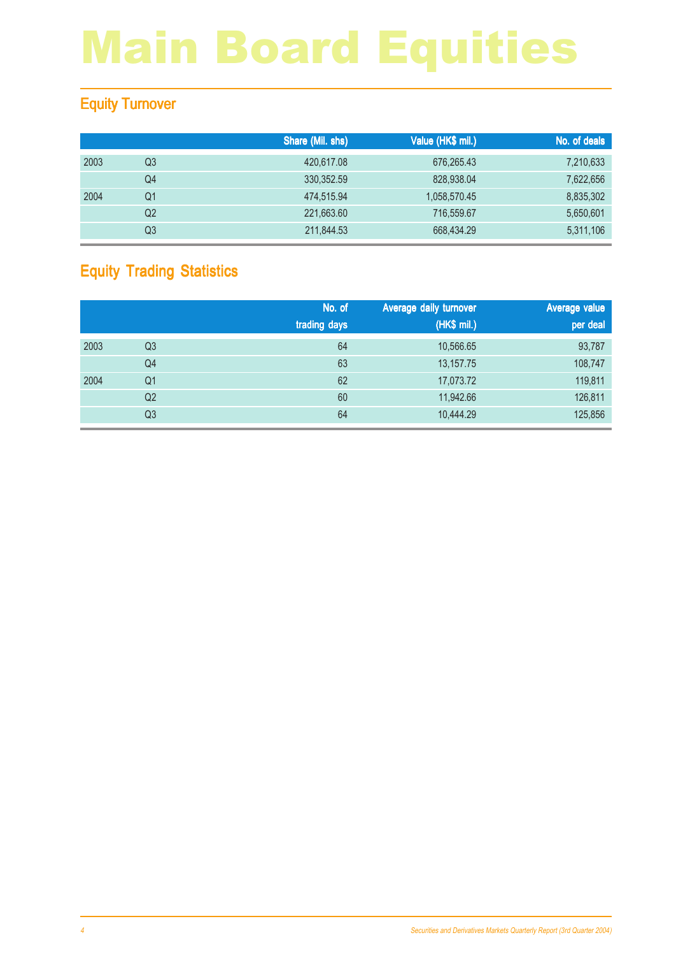## Equity Turnover

|    | Share (Mil. shs) | Value (HK\$ mil.) | No. of deals |
|----|------------------|-------------------|--------------|
| Q3 | 420,617.08       | 676,265.43        | 7,210,633    |
| Q4 | 330,352.59       | 828,938.04        | 7,622,656    |
| Q1 | 474,515.94       | 1,058,570.45      | 8,835,302    |
| Q2 | 221,663.60       | 716,559.67        | 5,650,601    |
| Q3 | 211,844.53       | 668,434.29        | 5,311,106    |
|    |                  |                   |              |

## Equity Trading Statistics

|      |                | No. of<br>trading days | Average daily turnover<br>(HK\$ mil.) | Average value<br>per deal |
|------|----------------|------------------------|---------------------------------------|---------------------------|
| 2003 | Q <sub>3</sub> | 64                     | 10,566.65                             | 93,787                    |
|      | Q4             | 63                     | 13, 157. 75                           | 108,747                   |
| 2004 | Q <sub>1</sub> | 62                     | 17,073.72                             | 119,811                   |
|      | Q <sub>2</sub> | 60                     | 11,942.66                             | 126,811                   |
|      | Q <sub>3</sub> | 64                     | 10,444.29                             | 125,856                   |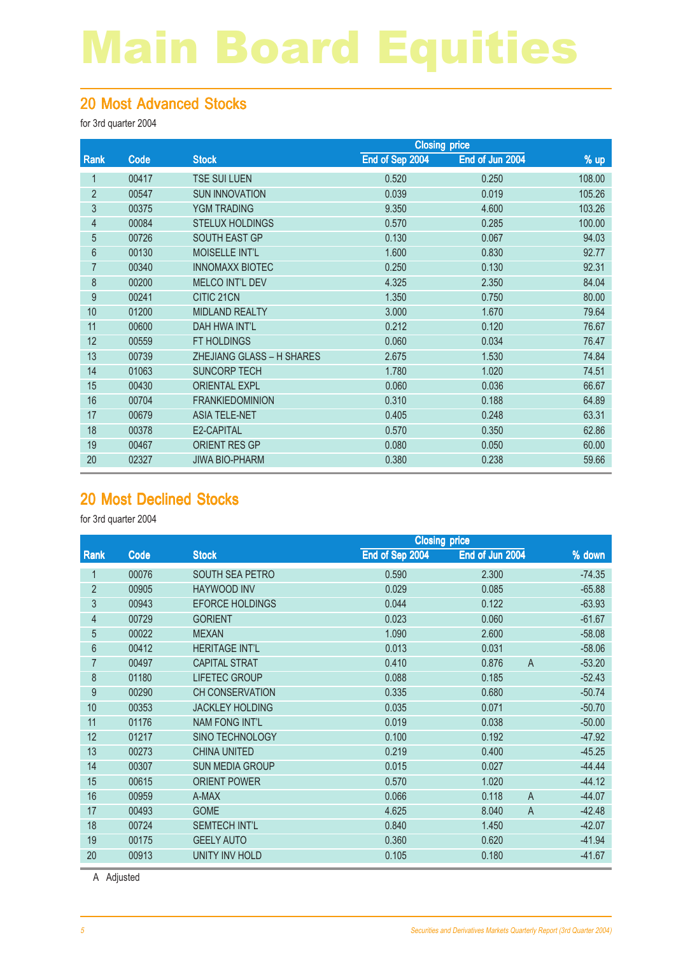#### 20 Most Advanced Stocks

for 3rd quarter 2004

|                |       |                           | <b>Closing price</b> |                 |        |
|----------------|-------|---------------------------|----------------------|-----------------|--------|
| Rank           | Code  | <b>Stock</b>              | End of Sep 2004      | End of Jun 2004 | $%$ up |
| 1              | 00417 | <b>TSE SUI LUEN</b>       | 0.520                | 0.250           | 108.00 |
| $\overline{2}$ | 00547 | <b>SUN INNOVATION</b>     | 0.039                | 0.019           | 105.26 |
| 3              | 00375 | <b>YGM TRADING</b>        | 9.350                | 4.600           | 103.26 |
| 4              | 00084 | <b>STELUX HOLDINGS</b>    | 0.570                | 0.285           | 100.00 |
| $\overline{5}$ | 00726 | SOUTH EAST GP             | 0.130                | 0.067           | 94.03  |
| 6              | 00130 | <b>MOISELLE INT'L</b>     | 1.600                | 0.830           | 92.77  |
| 7              | 00340 | <b>INNOMAXX BIOTEC</b>    | 0.250                | 0.130           | 92.31  |
| 8              | 00200 | <b>MELCO INT'L DEV</b>    | 4.325                | 2.350           | 84.04  |
| 9              | 00241 | CITIC 21CN                | 1.350                | 0.750           | 80.00  |
| 10             | 01200 | <b>MIDLAND REALTY</b>     | 3.000                | 1.670           | 79.64  |
| 11             | 00600 | <b>DAH HWA INT'L</b>      | 0.212                | 0.120           | 76.67  |
| 12             | 00559 | FT HOLDINGS               | 0.060                | 0.034           | 76.47  |
| 13             | 00739 | ZHEJIANG GLASS - H SHARES | 2.675                | 1.530           | 74.84  |
| 14             | 01063 | <b>SUNCORP TECH</b>       | 1.780                | 1.020           | 74.51  |
| 15             | 00430 | <b>ORIENTAL EXPL</b>      | 0.060                | 0.036           | 66.67  |
| 16             | 00704 | <b>FRANKIEDOMINION</b>    | 0.310                | 0.188           | 64.89  |
| 17             | 00679 | <b>ASIA TELE-NET</b>      | 0.405                | 0.248           | 63.31  |
| 18             | 00378 | E2-CAPITAL                | 0.570                | 0.350           | 62.86  |
| 19             | 00467 | <b>ORIENT RES GP</b>      | 0.080                | 0.050           | 60.00  |
| 20             | 02327 | <b>JIWA BIO-PHARM</b>     | 0.380                | 0.238           | 59.66  |

#### 20 Most Declined Stocks

for 3rd quarter 2004

|                |       |                        | <b>Closing price</b> |                         |          |  |
|----------------|-------|------------------------|----------------------|-------------------------|----------|--|
| Rank           | Code  | <b>Stock</b>           | End of Sep 2004      | End of Jun 2004         | % down   |  |
|                | 00076 | SOUTH SEA PETRO        | 0.590                | 2.300                   | $-74.35$ |  |
| $\overline{2}$ | 00905 | <b>HAYWOOD INV</b>     | 0.029                | 0.085                   | $-65.88$ |  |
| 3              | 00943 | <b>EFORCE HOLDINGS</b> | 0.044                | 0.122                   | $-63.93$ |  |
| $\overline{4}$ | 00729 | <b>GORIENT</b>         | 0.023                | 0.060                   | $-61.67$ |  |
| 5              | 00022 | <b>MEXAN</b>           | 1.090                | 2.600                   | $-58.08$ |  |
| 6              | 00412 | <b>HERITAGE INT'L</b>  | 0.013                | 0.031                   | $-58.06$ |  |
| 7              | 00497 | <b>CAPITAL STRAT</b>   | 0.410                | 0.876<br>$\overline{A}$ | $-53.20$ |  |
| 8              | 01180 | <b>LIFETEC GROUP</b>   | 0.088                | 0.185                   | $-52.43$ |  |
| 9              | 00290 | <b>CH CONSERVATION</b> | 0.335                | 0.680                   | $-50.74$ |  |
| 10             | 00353 | <b>JACKLEY HOLDING</b> | 0.035                | 0.071                   | $-50.70$ |  |
| 11             | 01176 | <b>NAM FONG INT'L</b>  | 0.019                | 0.038                   | $-50.00$ |  |
| 12             | 01217 | <b>SINO TECHNOLOGY</b> | 0.100                | 0.192                   | $-47.92$ |  |
| 13             | 00273 | <b>CHINA UNITED</b>    | 0.219                | 0.400                   | $-45.25$ |  |
| 14             | 00307 | <b>SUN MEDIA GROUP</b> | 0.015                | 0.027                   | $-44.44$ |  |
| 15             | 00615 | <b>ORIENT POWER</b>    | 0.570                | 1.020                   | $-44.12$ |  |
| 16             | 00959 | A-MAX                  | 0.066                | 0.118<br>$\overline{A}$ | $-44.07$ |  |
| 17             | 00493 | <b>GOME</b>            | 4.625                | 8.040<br>$\overline{A}$ | $-42.48$ |  |
| 18             | 00724 | <b>SEMTECH INT'L</b>   | 0.840                | 1.450                   | $-42.07$ |  |
| 19             | 00175 | <b>GEELY AUTO</b>      | 0.360                | 0.620                   | $-41.94$ |  |
| 20             | 00913 | UNITY INV HOLD         | 0.105                | 0.180                   | $-41.67$ |  |

A Adjusted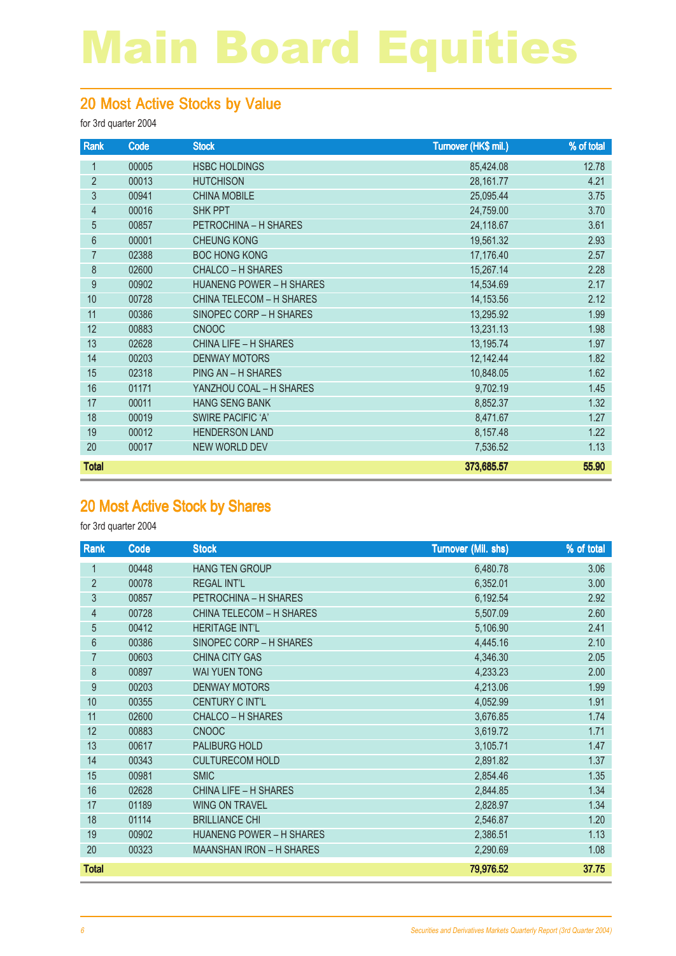#### 20 Most Active Stocks by Value

for 3rd quarter 2004

| Rank           | Code  | <b>Stock</b>                    | Turnover (HK\$ mil.) | % of total |
|----------------|-------|---------------------------------|----------------------|------------|
| 1              | 00005 | <b>HSBC HOLDINGS</b>            | 85,424.08            | 12.78      |
| $\overline{2}$ | 00013 | <b>HUTCHISON</b>                | 28,161.77            | 4.21       |
| $\mathfrak{Z}$ | 00941 | <b>CHINA MOBILE</b>             | 25,095.44            | 3.75       |
| $\overline{4}$ | 00016 | <b>SHK PPT</b>                  | 24,759.00            | 3.70       |
| 5              | 00857 | PETROCHINA - H SHARES           | 24,118.67            | 3.61       |
| $6\phantom{a}$ | 00001 | <b>CHEUNG KONG</b>              | 19,561.32            | 2.93       |
| 7              | 02388 | <b>BOC HONG KONG</b>            | 17,176.40            | 2.57       |
| 8              | 02600 | CHALCO - H SHARES               | 15,267.14            | 2.28       |
| 9              | 00902 | <b>HUANENG POWER - H SHARES</b> | 14,534.69            | 2.17       |
| 10             | 00728 | <b>CHINA TELECOM - H SHARES</b> | 14,153.56            | 2.12       |
| 11             | 00386 | SINOPEC CORP - H SHARES         | 13,295.92            | 1.99       |
| 12             | 00883 | <b>CNOOC</b>                    | 13,231.13            | 1.98       |
| 13             | 02628 | <b>CHINA LIFE - H SHARES</b>    | 13,195.74            | 1.97       |
| 14             | 00203 | <b>DENWAY MOTORS</b>            | 12,142.44            | 1.82       |
| 15             | 02318 | PING AN - H SHARES              | 10,848.05            | 1.62       |
| 16             | 01171 | YANZHOU COAL - H SHARES         | 9,702.19             | 1.45       |
| 17             | 00011 | <b>HANG SENG BANK</b>           | 8,852.37             | 1.32       |
| 18             | 00019 | SWIRE PACIFIC 'A'               | 8,471.67             | 1.27       |
| 19             | 00012 | <b>HENDERSON LAND</b>           | 8,157.48             | 1.22       |
| 20             | 00017 | <b>NEW WORLD DEV</b>            | 7,536.52             | 1.13       |
| <b>Total</b>   |       |                                 | 373,685.57           | 55.90      |

### 20 Most Active Stock by Shares

| Rank           | Code  | <b>Stock</b>                    | Turnover (Mil. shs) | % of total |
|----------------|-------|---------------------------------|---------------------|------------|
| 1              | 00448 | <b>HANG TEN GROUP</b>           | 6,480.78            | 3.06       |
| $\overline{2}$ | 00078 | <b>REGAL INT'L</b>              | 6,352.01            | 3.00       |
| 3              | 00857 | PETROCHINA - H SHARES           | 6,192.54            | 2.92       |
| 4              | 00728 | <b>CHINA TELECOM - H SHARES</b> | 5,507.09            | 2.60       |
| 5              | 00412 | <b>HERITAGE INT'L</b>           | 5,106.90            | 2.41       |
| 6              | 00386 | SINOPEC CORP - H SHARES         | 4,445.16            | 2.10       |
| $\overline{7}$ | 00603 | <b>CHINA CITY GAS</b>           | 4,346.30            | 2.05       |
| 8              | 00897 | WAI YUEN TONG                   | 4,233.23            | 2.00       |
| 9              | 00203 | <b>DENWAY MOTORS</b>            | 4,213.06            | 1.99       |
| 10             | 00355 | <b>CENTURY C INT'L</b>          | 4,052.99            | 1.91       |
| 11             | 02600 | <b>CHALCO - H SHARES</b>        | 3,676.85            | 1.74       |
| 12             | 00883 | <b>CNOOC</b>                    | 3,619.72            | 1.71       |
| 13             | 00617 | PALIBURG HOLD                   | 3,105.71            | 1.47       |
| 14             | 00343 | <b>CULTURECOM HOLD</b>          | 2,891.82            | 1.37       |
| 15             | 00981 | <b>SMIC</b>                     | 2,854.46            | 1.35       |
| 16             | 02628 | <b>CHINA LIFE - H SHARES</b>    | 2,844.85            | 1.34       |
| 17             | 01189 | <b>WING ON TRAVEL</b>           | 2,828.97            | 1.34       |
| 18             | 01114 | <b>BRILLIANCE CHI</b>           | 2,546.87            | 1.20       |
| 19             | 00902 | <b>HUANENG POWER - H SHARES</b> | 2,386.51            | 1.13       |
| 20             | 00323 | <b>MAANSHAN IRON - H SHARES</b> | 2,290.69            | 1.08       |
| <b>Total</b>   |       |                                 | 79,976.52           | 37.75      |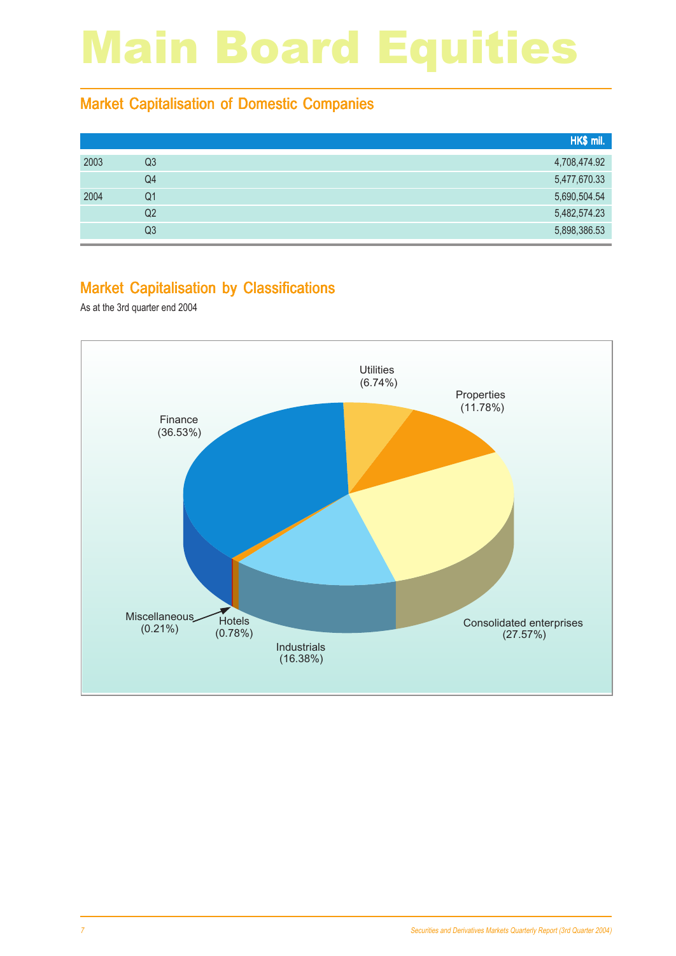#### Market Capitalisation of Domestic Companies

|    | HK\$ mil.    |
|----|--------------|
| Q3 | 4,708,474.92 |
| Q4 | 5,477,670.33 |
| Q1 | 5,690,504.54 |
| Q2 | 5,482,574.23 |
| Q3 | 5,898,386.53 |
|    |              |

#### Market Capitalisation by Classifications

As at the 3rd quarter end 2004

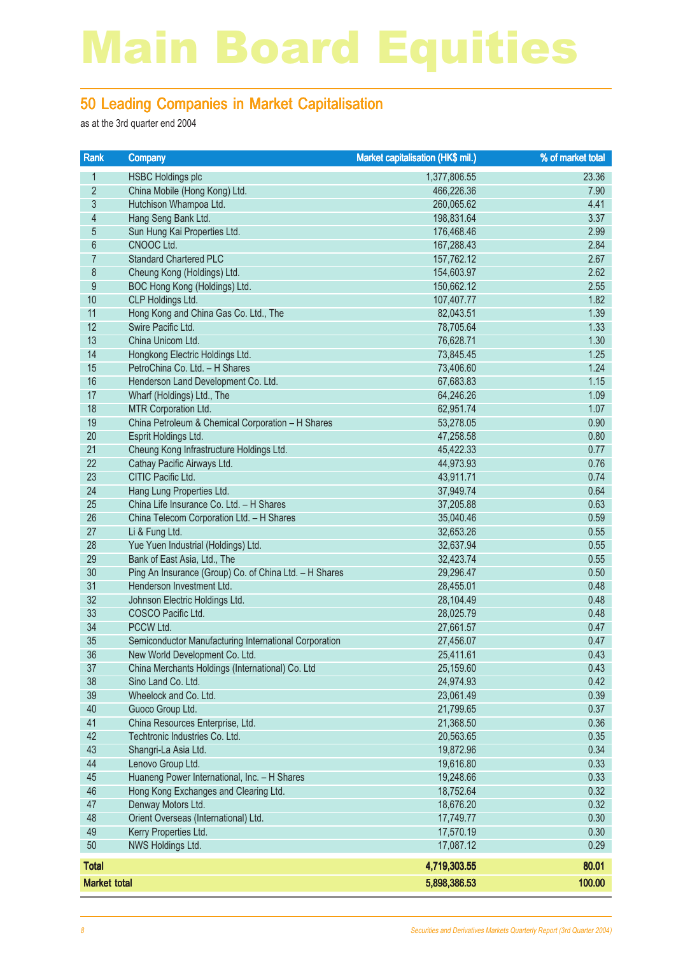#### 50 Leading Companies in Market Capitalisation

as at the 3rd quarter end 2004

| Rank                | Company                                                | Market capitalisation (HK\$ mil.) | % of market total |
|---------------------|--------------------------------------------------------|-----------------------------------|-------------------|
| 1                   | <b>HSBC Holdings plc</b>                               | 1,377,806.55                      | 23.36             |
| $\overline{2}$      | China Mobile (Hong Kong) Ltd.                          | 466,226.36                        | 7.90              |
| $\mathfrak{S}$      | Hutchison Whampoa Ltd.                                 | 260,065.62                        | 4.41              |
| $\overline{4}$      | Hang Seng Bank Ltd.                                    | 198,831.64                        | 3.37              |
| $\overline{5}$      | Sun Hung Kai Properties Ltd.                           | 176,468.46                        | 2.99              |
| $6\phantom{a}$      | CNOOC Ltd.                                             | 167,288.43                        | 2.84              |
| $\overline{7}$      | <b>Standard Chartered PLC</b>                          | 157,762.12                        | 2.67              |
| $\,8\,$             | Cheung Kong (Holdings) Ltd.                            | 154,603.97                        | 2.62              |
| $\boldsymbol{9}$    | BOC Hong Kong (Holdings) Ltd.                          | 150,662.12                        | 2.55              |
| 10                  | CLP Holdings Ltd.                                      | 107,407.77                        | 1.82              |
| 11                  | Hong Kong and China Gas Co. Ltd., The                  | 82,043.51                         | 1.39              |
| 12                  | Swire Pacific Ltd.                                     | 78,705.64                         | 1.33              |
| 13                  | China Unicom Ltd.                                      | 76,628.71                         | 1.30              |
| 14                  | Hongkong Electric Holdings Ltd.                        | 73,845.45                         | 1.25              |
| 15                  | PetroChina Co. Ltd. - H Shares                         | 73,406.60                         | 1.24              |
| 16                  | Henderson Land Development Co. Ltd.                    | 67,683.83                         | 1.15              |
| 17                  | Wharf (Holdings) Ltd., The                             | 64,246.26                         | 1.09              |
| 18                  | MTR Corporation Ltd.                                   | 62,951.74                         | 1.07              |
| 19                  | China Petroleum & Chemical Corporation - H Shares      | 53,278.05                         | 0.90              |
| 20                  | Esprit Holdings Ltd.                                   | 47,258.58                         | 0.80              |
| 21                  | Cheung Kong Infrastructure Holdings Ltd.               | 45,422.33                         | 0.77              |
| 22                  | Cathay Pacific Airways Ltd.                            | 44,973.93                         | 0.76              |
| 23                  | CITIC Pacific Ltd.                                     | 43,911.71                         | 0.74              |
| 24                  | Hang Lung Properties Ltd.                              | 37,949.74                         | 0.64              |
| 25                  | China Life Insurance Co. Ltd. - H Shares               | 37,205.88                         | 0.63              |
| 26                  | China Telecom Corporation Ltd. - H Shares              | 35,040.46                         | 0.59              |
| 27                  | Li & Fung Ltd.                                         | 32,653.26                         | 0.55              |
| 28                  | Yue Yuen Industrial (Holdings) Ltd.                    | 32,637.94                         | 0.55              |
| 29                  | Bank of East Asia, Ltd., The                           | 32,423.74                         | 0.55              |
| 30                  | Ping An Insurance (Group) Co. of China Ltd. - H Shares | 29,296.47                         | 0.50              |
| 31                  | Henderson Investment Ltd.                              | 28,455.01                         | 0.48              |
| 32                  | Johnson Electric Holdings Ltd.                         | 28,104.49                         | 0.48              |
| 33                  | COSCO Pacific Ltd.                                     | 28,025.79                         | 0.48              |
| 34                  | PCCW Ltd.                                              | 27,661.57                         | 0.47              |
| 35<br>36            | Semiconductor Manufacturing International Corporation  | 27,456.07                         | 0.47              |
|                     | New World Development Co. Ltd.                         | 25,411.61                         | 0.43              |
| 37                  | China Merchants Holdings (International) Co. Ltd       | 25,159.60                         | 0.43              |
| 38<br>39            | Sino Land Co. Ltd.<br>Wheelock and Co. Ltd.            | 24,974.93<br>23,061.49            | 0.42<br>0.39      |
| 40                  | Guoco Group Ltd.                                       | 21,799.65                         | 0.37              |
| 41                  | China Resources Enterprise, Ltd.                       | 21,368.50                         | 0.36              |
| 42                  | Techtronic Industries Co. Ltd.                         | 20,563.65                         | 0.35              |
| 43                  | Shangri-La Asia Ltd.                                   | 19,872.96                         | 0.34              |
| 44                  | Lenovo Group Ltd.                                      | 19,616.80                         | 0.33              |
| 45                  | Huaneng Power International, Inc. - H Shares           | 19,248.66                         | 0.33              |
| 46                  | Hong Kong Exchanges and Clearing Ltd.                  | 18,752.64                         | 0.32              |
| 47                  | Denway Motors Ltd.                                     | 18,676.20                         | 0.32              |
| 48                  | Orient Overseas (International) Ltd.                   | 17,749.77                         | 0.30              |
| 49                  | Kerry Properties Ltd.                                  | 17,570.19                         | 0.30              |
| 50                  | NWS Holdings Ltd.                                      | 17,087.12                         | 0.29              |
|                     |                                                        |                                   |                   |
| <b>Total</b>        |                                                        | 4,719,303.55                      | 80.01             |
| <b>Market total</b> |                                                        | 5,898,386.53                      | 100.00            |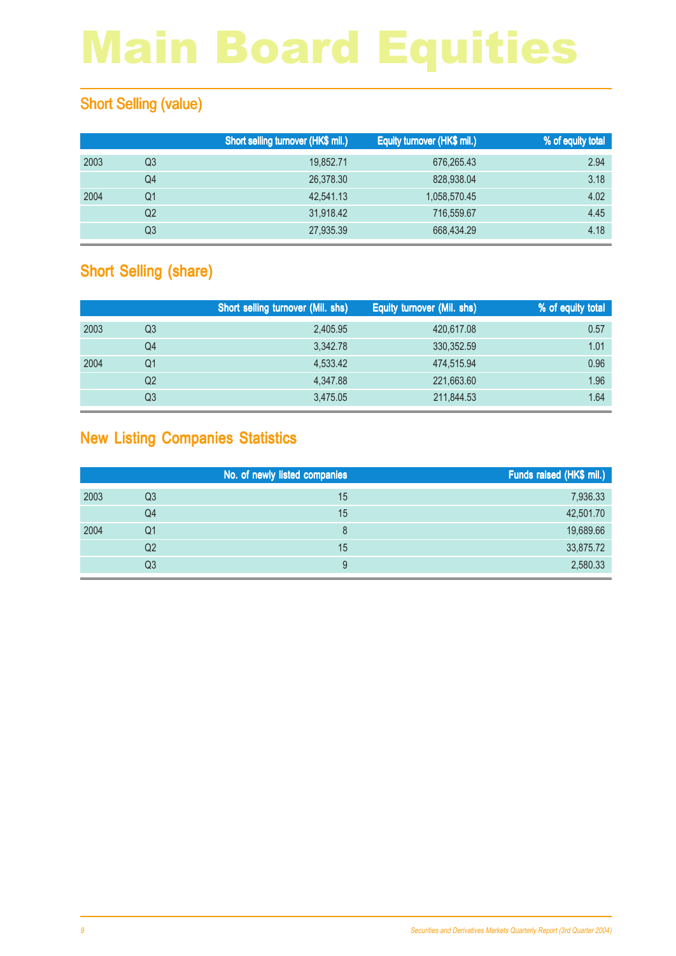## **Short Selling (value)**

|      |                | Short selling turnover (HK\$ mil.) | Equity turnover (HK\$ mil.) | % of equity total |
|------|----------------|------------------------------------|-----------------------------|-------------------|
| 2003 | Q3             | 19.852.71                          | 676,265.43                  | 2.94              |
|      | Q4             | 26.378.30                          | 828,938,04                  | 3.18              |
| 2004 | Q1             | 42,541.13                          | 1,058,570.45                | 4.02              |
|      | Q <sub>2</sub> | 31,918.42                          | 716,559.67                  | 4.45              |
|      | Q3             | 27.935.39                          | 668,434.29                  | 4.18              |

## Short Selling (share)

|      |    | Short selling turnover (Mil. shs) | Equity turnover (Mil. shs) | % of equity total |
|------|----|-----------------------------------|----------------------------|-------------------|
| 2003 | Q3 | 2,405.95                          | 420,617.08                 | 0.57              |
|      | Q4 | 3.342.78                          | 330, 352.59                | 1.01              |
| 2004 | Q1 | 4,533.42                          | 474,515.94                 | 0.96              |
|      | Q2 | 4.347.88                          | 221,663.60                 | 1.96              |
|      | Q3 | 3,475.05                          | 211,844.53                 | 1.64              |

## New Listing Companies Statistics

|      |                | No. of newly listed companies | Funds raised (HK\$ mil.) |
|------|----------------|-------------------------------|--------------------------|
| 2003 | Q3             | 15                            | 7,936.33                 |
|      | Q4             | 15                            | 42,501.70                |
| 2004 | Q1             | 8                             | 19,689.66                |
|      | Q <sub>2</sub> | 15                            | 33,875.72                |
|      | Q3             |                               | 2,580.33                 |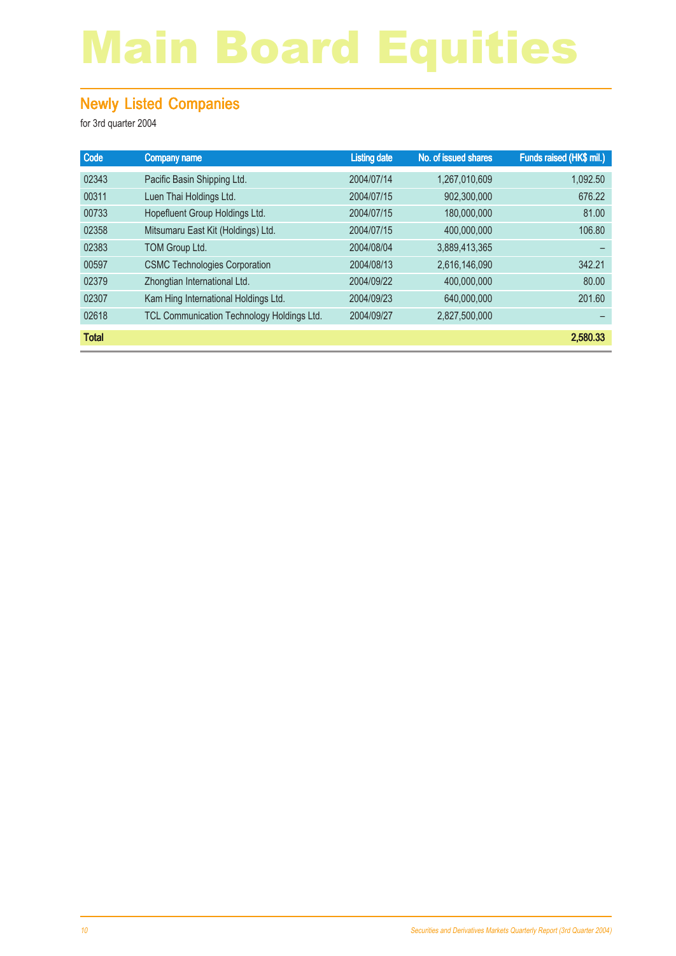#### **Newly Listed Companies**

| Code         | <b>Company name</b>                        | <b>Listing date</b> | No. of issued shares | Funds raised (HK\$ mil.) |
|--------------|--------------------------------------------|---------------------|----------------------|--------------------------|
| 02343        | Pacific Basin Shipping Ltd.                | 2004/07/14          | 1.267.010.609        | 1,092.50                 |
| 00311        | Luen Thai Holdings Ltd.                    | 2004/07/15          | 902.300.000          | 676.22                   |
| 00733        | Hopefluent Group Holdings Ltd.             | 2004/07/15          | 180,000,000          | 81.00                    |
| 02358        | Mitsumaru East Kit (Holdings) Ltd.         | 2004/07/15          | 400.000.000          | 106.80                   |
| 02383        | TOM Group Ltd.                             | 2004/08/04          | 3,889,413,365        |                          |
| 00597        | <b>CSMC Technologies Corporation</b>       | 2004/08/13          | 2,616,146,090        | 342.21                   |
| 02379        | Zhongtian International Ltd.               | 2004/09/22          | 400,000,000          | 80.00                    |
| 02307        | Kam Hing International Holdings Ltd.       | 2004/09/23          | 640,000,000          | 201.60                   |
| 02618        | TCL Communication Technology Holdings Ltd. | 2004/09/27          | 2,827,500,000        |                          |
| <b>Total</b> |                                            |                     |                      | 2,580.33                 |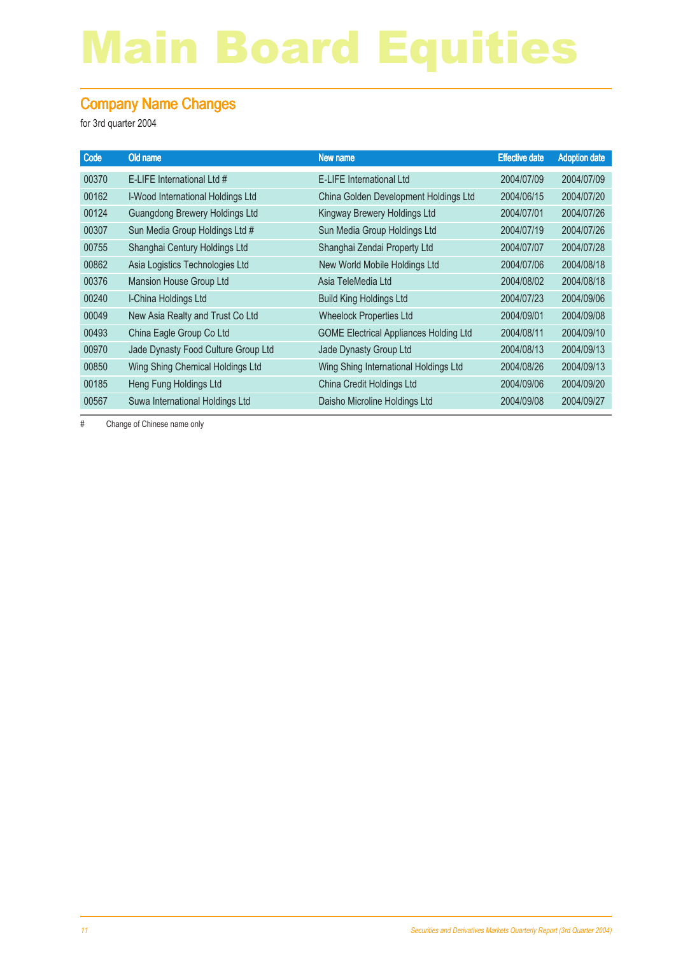#### Company Name Changes

for 3rd quarter 2004

| Code  | Old name                            | New name                                      | <b>Effective date</b> | <b>Adoption date</b> |
|-------|-------------------------------------|-----------------------------------------------|-----------------------|----------------------|
| 00370 | E-LIFE International Ltd #          | E-LIFE International Ltd                      | 2004/07/09            | 2004/07/09           |
| 00162 | I-Wood International Holdings Ltd   | China Golden Development Holdings Ltd         | 2004/06/15            | 2004/07/20           |
| 00124 | Guangdong Brewery Holdings Ltd      | Kingway Brewery Holdings Ltd                  | 2004/07/01            | 2004/07/26           |
| 00307 | Sun Media Group Holdings Ltd #      | Sun Media Group Holdings Ltd                  | 2004/07/19            | 2004/07/26           |
| 00755 | Shanghai Century Holdings Ltd       | Shanghai Zendai Property Ltd                  | 2004/07/07            | 2004/07/28           |
| 00862 | Asia Logistics Technologies Ltd     | New World Mobile Holdings Ltd                 | 2004/07/06            | 2004/08/18           |
| 00376 | <b>Mansion House Group Ltd</b>      | Asia TeleMedia Ltd                            | 2004/08/02            | 2004/08/18           |
| 00240 | I-China Holdings Ltd                | <b>Build King Holdings Ltd</b>                | 2004/07/23            | 2004/09/06           |
| 00049 | New Asia Realty and Trust Co Ltd    | <b>Wheelock Properties Ltd</b>                | 2004/09/01            | 2004/09/08           |
| 00493 | China Eagle Group Co Ltd            | <b>GOME Electrical Appliances Holding Ltd</b> | 2004/08/11            | 2004/09/10           |
| 00970 | Jade Dynasty Food Culture Group Ltd | Jade Dynasty Group Ltd                        | 2004/08/13            | 2004/09/13           |
| 00850 | Wing Shing Chemical Holdings Ltd    | Wing Shing International Holdings Ltd         | 2004/08/26            | 2004/09/13           |
| 00185 | Heng Fung Holdings Ltd              | China Credit Holdings Ltd                     | 2004/09/06            | 2004/09/20           |
| 00567 | Suwa International Holdings Ltd     | Daisho Microline Holdings Ltd                 | 2004/09/08            | 2004/09/27           |

# Change of Chinese name only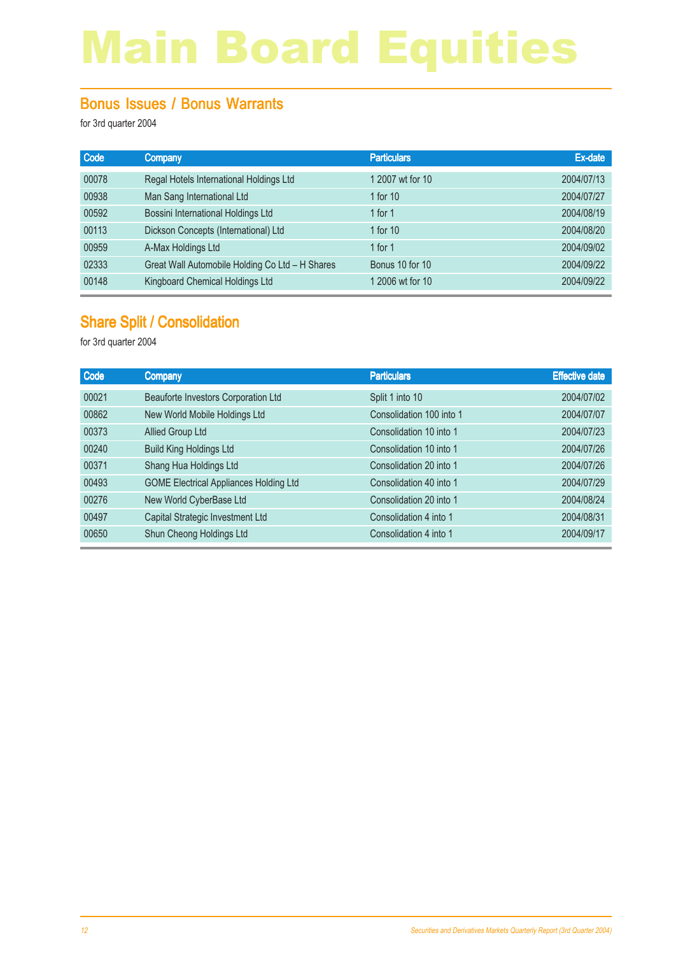#### Bonus Issues / Bonus Warrants

for 3rd quarter 2004

| <b>Company</b>                                  | <b>Particulars</b> | Ex-date    |
|-------------------------------------------------|--------------------|------------|
| Regal Hotels International Holdings Ltd         | 1 2007 wt for 10   | 2004/07/13 |
| Man Sang International Ltd                      | 1 for $10$         | 2004/07/27 |
| Bossini International Holdings Ltd              | 1 for 1            | 2004/08/19 |
| Dickson Concepts (International) Ltd            | 1 for 10           | 2004/08/20 |
| A-Max Holdings Ltd                              | 1 for $1$          | 2004/09/02 |
| Great Wall Automobile Holding Co Ltd - H Shares | Bonus 10 for 10    | 2004/09/22 |
| Kingboard Chemical Holdings Ltd                 | 1 2006 wt for 10   | 2004/09/22 |
|                                                 |                    |            |

#### Share Split / Consolidation

| Code  | <b>Company</b>                                | <b>Particulars</b>       | <b>Effective date</b> |
|-------|-----------------------------------------------|--------------------------|-----------------------|
| 00021 | <b>Beauforte Investors Corporation Ltd</b>    | Split 1 into 10          | 2004/07/02            |
| 00862 | New World Mobile Holdings Ltd                 | Consolidation 100 into 1 | 2004/07/07            |
| 00373 | Allied Group Ltd                              | Consolidation 10 into 1  | 2004/07/23            |
| 00240 | <b>Build King Holdings Ltd</b>                | Consolidation 10 into 1  | 2004/07/26            |
| 00371 | Shang Hua Holdings Ltd                        | Consolidation 20 into 1  | 2004/07/26            |
| 00493 | <b>GOME Electrical Appliances Holding Ltd</b> | Consolidation 40 into 1  | 2004/07/29            |
| 00276 | New World CyberBase Ltd                       | Consolidation 20 into 1  | 2004/08/24            |
| 00497 | Capital Strategic Investment Ltd              | Consolidation 4 into 1   | 2004/08/31            |
| 00650 | Shun Cheong Holdings Ltd                      | Consolidation 4 into 1   | 2004/09/17            |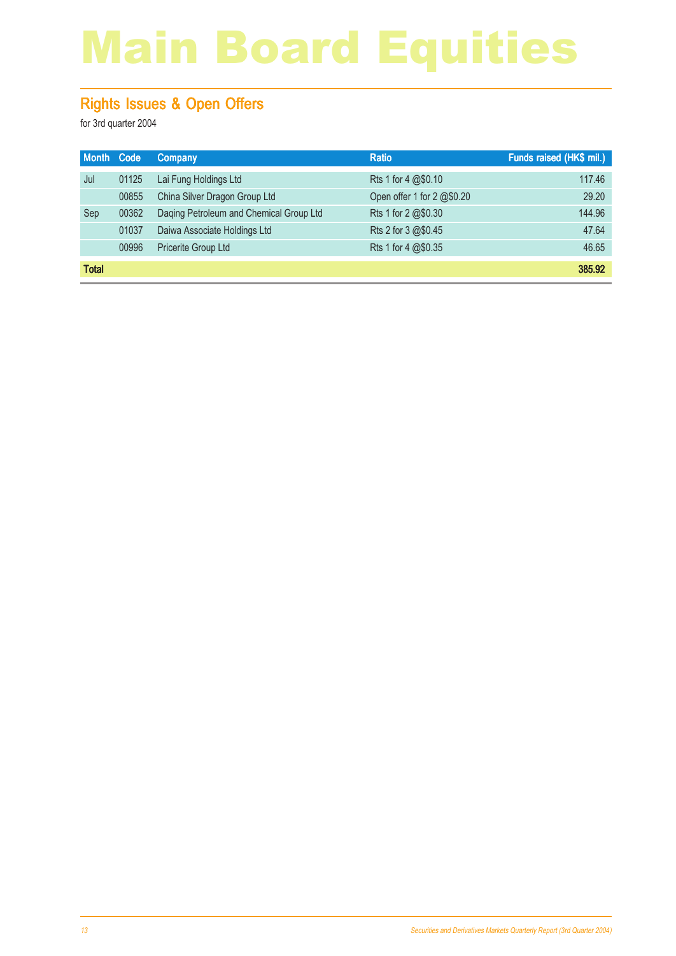### Rights Issues & Open Offers

| Month Code   |       | Company                                 | <b>Ratio</b>               | Funds raised (HK\$ mil.) |
|--------------|-------|-----------------------------------------|----------------------------|--------------------------|
| Jul          | 01125 | Lai Fung Holdings Ltd                   | Rts 1 for 4 $@$0.10$       | 117.46                   |
|              | 00855 | China Silver Dragon Group Ltd           | Open offer 1 for 2 @\$0.20 | 29.20                    |
| Sep          | 00362 | Daging Petroleum and Chemical Group Ltd | Rts 1 for 2 @\$0.30        | 144.96                   |
|              | 01037 | Daiwa Associate Holdings Ltd            | Rts 2 for 3 @\$0.45        | 47.64                    |
|              | 00996 | Pricerite Group Ltd                     | Rts 1 for 4 @\$0.35        | 46.65                    |
| <b>Total</b> |       |                                         |                            | 385.92                   |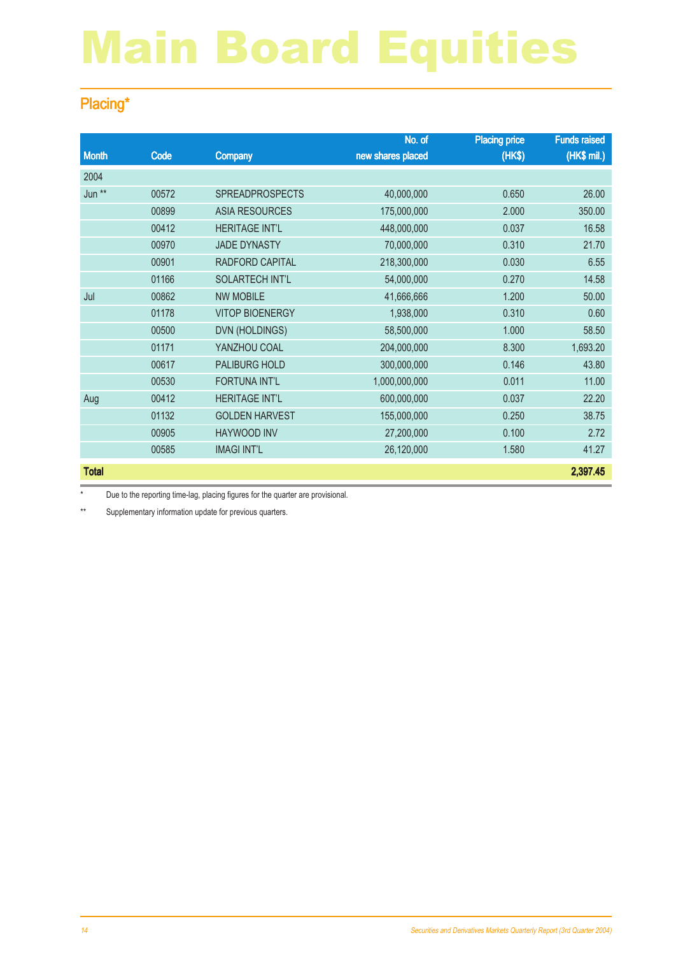## Placing\*

|              |       |                        | No. of            | <b>Placing price</b> | <b>Funds raised</b> |
|--------------|-------|------------------------|-------------------|----------------------|---------------------|
| <b>Month</b> | Code  | <b>Company</b>         | new shares placed | (HK\$)               | (HK\$ mil.)         |
| 2004         |       |                        |                   |                      |                     |
| Jun **       | 00572 | <b>SPREADPROSPECTS</b> | 40,000,000        | 0.650                | 26.00               |
|              | 00899 | <b>ASIA RESOURCES</b>  | 175,000,000       | 2.000                | 350.00              |
|              | 00412 | <b>HERITAGE INT'L</b>  | 448,000,000       | 0.037                | 16.58               |
|              | 00970 | <b>JADE DYNASTY</b>    | 70,000,000        | 0.310                | 21.70               |
|              | 00901 | RADFORD CAPITAL        | 218,300,000       | 0.030                | 6.55                |
|              | 01166 | SOLARTECH INT'L        | 54,000,000        | 0.270                | 14.58               |
| Jul          | 00862 | <b>NW MOBILE</b>       | 41,666,666        | 1.200                | 50.00               |
|              | 01178 | <b>VITOP BIOENERGY</b> | 1,938,000         | 0.310                | 0.60                |
|              | 00500 | DVN (HOLDINGS)         | 58,500,000        | 1.000                | 58.50               |
|              | 01171 | YANZHOU COAL           | 204,000,000       | 8.300                | 1,693.20            |
|              | 00617 | PALIBURG HOLD          | 300,000,000       | 0.146                | 43.80               |
|              | 00530 | <b>FORTUNA INT'L</b>   | 1,000,000,000     | 0.011                | 11.00               |
| Aug          | 00412 | <b>HERITAGE INT'L</b>  | 600,000,000       | 0.037                | 22.20               |
|              | 01132 | <b>GOLDEN HARVEST</b>  | 155,000,000       | 0.250                | 38.75               |
|              | 00905 | HAYWOOD INV            | 27,200,000        | 0.100                | 2.72                |
|              | 00585 | <b>IMAGI INT'L</b>     | 26,120,000        | 1.580                | 41.27               |
| <b>Total</b> |       |                        |                   |                      | 2,397.45            |

\* Due to the reporting time-lag, placing figures for the quarter are provisional.

\*\* Supplementary information update for previous quarters.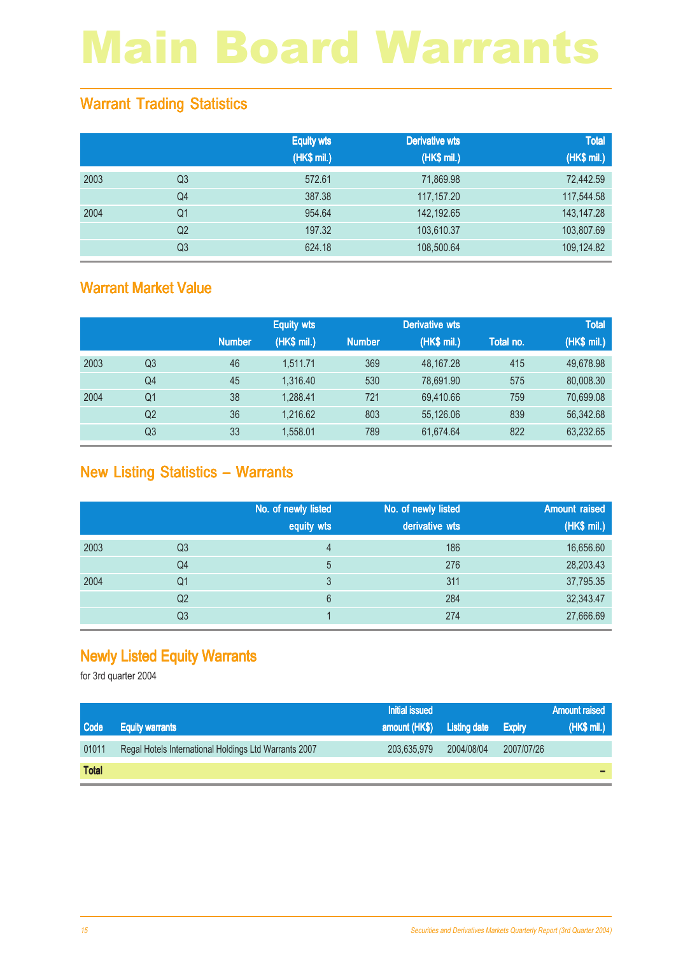### Warrant Trading Statistics

|      |                | <b>Equity wts</b> | <b>Derivative wts</b> | <b>Total</b> |
|------|----------------|-------------------|-----------------------|--------------|
|      |                | (HK\$ mil.)       | (HK\$ mil.)           | (HK\$ mil.)  |
| 2003 | Q <sub>3</sub> | 572.61            | 71,869.98             | 72,442.59    |
|      | Q <sub>4</sub> | 387.38            | 117,157.20            | 117,544.58   |
| 2004 | Q <sub>1</sub> | 954.64            | 142,192.65            | 143, 147. 28 |
|      | Q <sub>2</sub> | 197.32            | 103,610.37            | 103,807.69   |
|      | Q3             | 624.18            | 108,500.64            | 109,124.82   |

#### Warrant Market Value

|      |                |               | <b>Equity wts</b> | <b>Derivative wts</b> |             | <b>Total</b> |             |  |
|------|----------------|---------------|-------------------|-----------------------|-------------|--------------|-------------|--|
|      |                | <b>Number</b> | (HK\$ mil.)       | <b>Number</b>         | (HK\$ mil.) | Total no.    | (HK\$ mil.) |  |
| 2003 | Q3             | 46            | 1.511.71          | 369                   | 48,167.28   | 415          | 49,678.98   |  |
|      | Q <sub>4</sub> | 45            | 1.316.40          | 530                   | 78.691.90   | 575          | 80,008.30   |  |
| 2004 | Q1             | 38            | 1.288.41          | 721                   | 69.410.66   | 759          | 70,699.08   |  |
|      | Q <sub>2</sub> | 36            | 1.216.62          | 803                   | 55.126.06   | 839          | 56,342.68   |  |
|      | Q <sub>3</sub> | 33            | 1.558.01          | 789                   | 61,674.64   | 822          | 63,232.65   |  |

### New Listing Statistics – Warrants

|      |                | No. of newly listed<br>equity wts | No. of newly listed<br>derivative wts | <b>Amount raised</b><br>(HK\$ mil.) |
|------|----------------|-----------------------------------|---------------------------------------|-------------------------------------|
| 2003 | Q <sub>3</sub> | 4                                 | 186                                   | 16,656.60                           |
|      | Q4             | 5                                 | 276                                   | 28,203.43                           |
| 2004 | Q1             | 3                                 | 311                                   | 37,795.35                           |
|      | Q <sub>2</sub> | 6                                 | 284                                   | 32,343.47                           |
|      | Q <sub>3</sub> |                                   | 274                                   | 27,666.69                           |

#### Newly Listed Equity Warrants

|              |                                                       | <b>Initial issued</b> |                     |               | <b>Amount raised</b> |
|--------------|-------------------------------------------------------|-----------------------|---------------------|---------------|----------------------|
| Code         | <b>Equity warrants</b>                                | amount (HK\$)         | <b>Listing date</b> | <b>Expiry</b> | (HK\$ mil.)          |
| 01011        | Regal Hotels International Holdings Ltd Warrants 2007 | 203.635.979           | 2004/08/04          | 2007/07/26    |                      |
| <b>Total</b> |                                                       |                       |                     |               | -                    |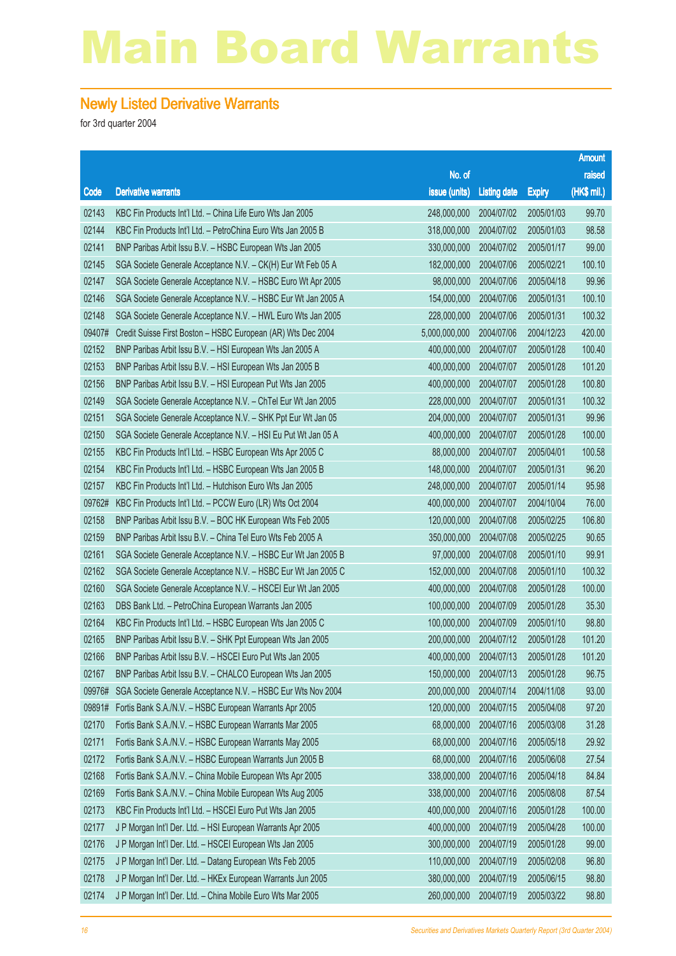#### Newly Listed Derivative Warrants

|        |                                                               |               |                     |               | <b>Amount</b> |
|--------|---------------------------------------------------------------|---------------|---------------------|---------------|---------------|
|        |                                                               | No. of        |                     |               | raised        |
| Code   | <b>Derivative warrants</b>                                    | issue (units) | <b>Listing date</b> | <b>Expiry</b> | (HK\$ mil.)   |
| 02143  | KBC Fin Products Int'l Ltd. - China Life Euro Wts Jan 2005    | 248,000,000   | 2004/07/02          | 2005/01/03    | 99.70         |
| 02144  | KBC Fin Products Int'l Ltd. - PetroChina Euro Wts Jan 2005 B  | 318,000,000   | 2004/07/02          | 2005/01/03    | 98.58         |
| 02141  | BNP Paribas Arbit Issu B.V. - HSBC European Wts Jan 2005      | 330,000,000   | 2004/07/02          | 2005/01/17    | 99.00         |
| 02145  | SGA Societe Generale Acceptance N.V. - CK(H) Eur Wt Feb 05 A  | 182,000,000   | 2004/07/06          | 2005/02/21    | 100.10        |
| 02147  | SGA Societe Generale Acceptance N.V. - HSBC Euro Wt Apr 2005  | 98,000,000    | 2004/07/06          | 2005/04/18    | 99.96         |
| 02146  | SGA Societe Generale Acceptance N.V. - HSBC Eur Wt Jan 2005 A | 154,000,000   | 2004/07/06          | 2005/01/31    | 100.10        |
| 02148  | SGA Societe Generale Acceptance N.V. - HWL Euro Wts Jan 2005  | 228,000,000   | 2004/07/06          | 2005/01/31    | 100.32        |
| 09407# | Credit Suisse First Boston - HSBC European (AR) Wts Dec 2004  | 5,000,000,000 | 2004/07/06          | 2004/12/23    | 420.00        |
| 02152  | BNP Paribas Arbit Issu B.V. - HSI European Wts Jan 2005 A     | 400,000,000   | 2004/07/07          | 2005/01/28    | 100.40        |
| 02153  | BNP Paribas Arbit Issu B.V. - HSI European Wts Jan 2005 B     | 400,000,000   | 2004/07/07          | 2005/01/28    | 101.20        |
| 02156  | BNP Paribas Arbit Issu B.V. - HSI European Put Wts Jan 2005   | 400,000,000   | 2004/07/07          | 2005/01/28    | 100.80        |
| 02149  | SGA Societe Generale Acceptance N.V. - ChTel Eur Wt Jan 2005  | 228,000,000   | 2004/07/07          | 2005/01/31    | 100.32        |
| 02151  | SGA Societe Generale Acceptance N.V. - SHK Ppt Eur Wt Jan 05  | 204,000,000   | 2004/07/07          | 2005/01/31    | 99.96         |
| 02150  | SGA Societe Generale Acceptance N.V. - HSI Eu Put Wt Jan 05 A | 400,000,000   | 2004/07/07          | 2005/01/28    | 100.00        |
| 02155  | KBC Fin Products Int'l Ltd. - HSBC European Wts Apr 2005 C    | 88,000,000    | 2004/07/07          | 2005/04/01    | 100.58        |
| 02154  | KBC Fin Products Int'l Ltd. - HSBC European Wts Jan 2005 B    | 148,000,000   | 2004/07/07          | 2005/01/31    | 96.20         |
| 02157  | KBC Fin Products Int'l Ltd. - Hutchison Euro Wts Jan 2005     | 248,000,000   | 2004/07/07          | 2005/01/14    | 95.98         |
| 09762# | KBC Fin Products Int'l Ltd. - PCCW Euro (LR) Wts Oct 2004     | 400,000,000   | 2004/07/07          | 2004/10/04    | 76.00         |
| 02158  | BNP Paribas Arbit Issu B.V. - BOC HK European Wts Feb 2005    | 120,000,000   | 2004/07/08          | 2005/02/25    | 106.80        |
| 02159  | BNP Paribas Arbit Issu B.V. - China Tel Euro Wts Feb 2005 A   | 350,000,000   | 2004/07/08          | 2005/02/25    | 90.65         |
| 02161  | SGA Societe Generale Acceptance N.V. - HSBC Eur Wt Jan 2005 B | 97,000,000    | 2004/07/08          | 2005/01/10    | 99.91         |
| 02162  | SGA Societe Generale Acceptance N.V. - HSBC Eur Wt Jan 2005 C | 152,000,000   | 2004/07/08          | 2005/01/10    | 100.32        |
| 02160  | SGA Societe Generale Acceptance N.V. - HSCEI Eur Wt Jan 2005  | 400,000,000   | 2004/07/08          | 2005/01/28    | 100.00        |
| 02163  | DBS Bank Ltd. - PetroChina European Warrants Jan 2005         | 100,000,000   | 2004/07/09          | 2005/01/28    | 35.30         |
| 02164  | KBC Fin Products Int'l Ltd. - HSBC European Wts Jan 2005 C    | 100,000,000   | 2004/07/09          | 2005/01/10    | 98.80         |
| 02165  | BNP Paribas Arbit Issu B.V. - SHK Ppt European Wts Jan 2005   | 200,000,000   | 2004/07/12          | 2005/01/28    | 101.20        |
| 02166  | BNP Paribas Arbit Issu B.V. - HSCEI Euro Put Wts Jan 2005     | 400,000,000   | 2004/07/13          | 2005/01/28    | 101.20        |
| 02167  | BNP Paribas Arbit Issu B.V. - CHALCO European Wts Jan 2005    | 150,000,000   | 2004/07/13          | 2005/01/28    | 96.75         |
| 09976# | SGA Societe Generale Acceptance N.V. - HSBC Eur Wts Nov 2004  | 200,000,000   | 2004/07/14          | 2004/11/08    | 93.00         |
| 09891# | Fortis Bank S.A./N.V. - HSBC European Warrants Apr 2005       | 120,000,000   | 2004/07/15          | 2005/04/08    | 97.20         |
| 02170  | Fortis Bank S.A./N.V. - HSBC European Warrants Mar 2005       | 68,000,000    | 2004/07/16          | 2005/03/08    | 31.28         |
| 02171  | Fortis Bank S.A./N.V. - HSBC European Warrants May 2005       | 68,000,000    | 2004/07/16          | 2005/05/18    | 29.92         |
| 02172  | Fortis Bank S.A./N.V. - HSBC European Warrants Jun 2005 B     | 68,000,000    | 2004/07/16          | 2005/06/08    | 27.54         |
| 02168  | Fortis Bank S.A./N.V. - China Mobile European Wts Apr 2005    | 338,000,000   | 2004/07/16          | 2005/04/18    | 84.84         |
| 02169  | Fortis Bank S.A./N.V. - China Mobile European Wts Aug 2005    | 338,000,000   | 2004/07/16          | 2005/08/08    | 87.54         |
| 02173  | KBC Fin Products Int'l Ltd. - HSCEI Euro Put Wts Jan 2005     | 400,000,000   | 2004/07/16          | 2005/01/28    | 100.00        |
| 02177  | J P Morgan Int'l Der. Ltd. - HSI European Warrants Apr 2005   | 400,000,000   | 2004/07/19          | 2005/04/28    | 100.00        |
| 02176  | J P Morgan Int'l Der. Ltd. - HSCEI European Wts Jan 2005      | 300,000,000   | 2004/07/19          | 2005/01/28    | 99.00         |
| 02175  | J P Morgan Int'l Der. Ltd. - Datang European Wts Feb 2005     | 110,000,000   | 2004/07/19          | 2005/02/08    | 96.80         |
| 02178  | J P Morgan Int'l Der. Ltd. - HKEx European Warrants Jun 2005  | 380,000,000   | 2004/07/19          | 2005/06/15    | 98.80         |
| 02174  | J P Morgan Int'l Der. Ltd. - China Mobile Euro Wts Mar 2005   | 260,000,000   | 2004/07/19          | 2005/03/22    | 98.80         |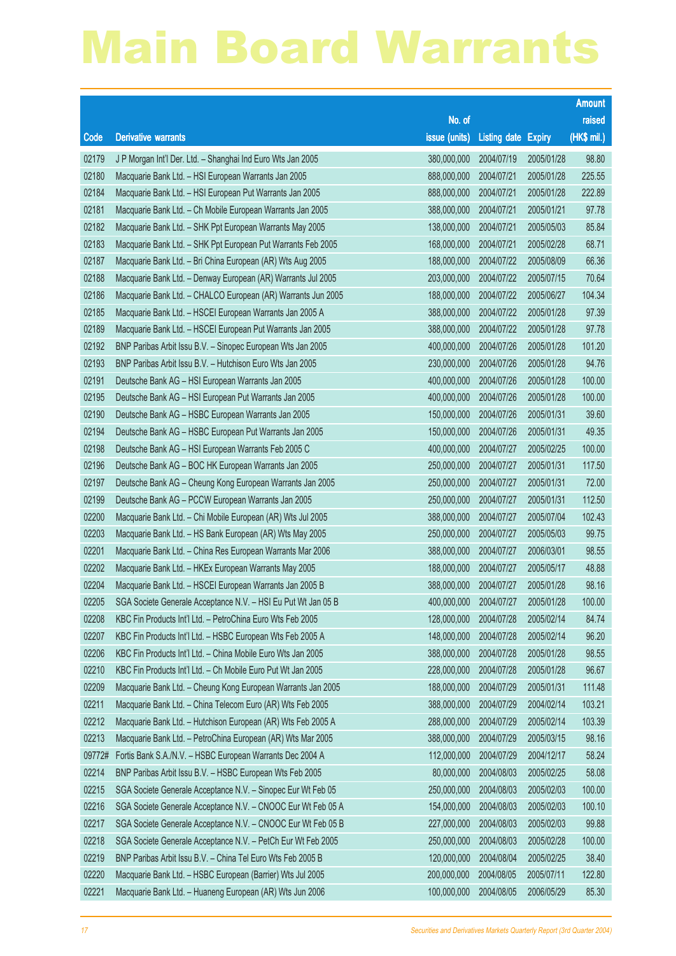|        |                                                               |                        |                            |            | <b>Amount</b> |
|--------|---------------------------------------------------------------|------------------------|----------------------------|------------|---------------|
|        |                                                               | No. of                 |                            |            | raised        |
| Code   | <b>Derivative warrants</b>                                    | issue (units)          | <b>Listing date Expiry</b> |            | (HK\$ mil.)   |
| 02179  | J P Morgan Int'l Der. Ltd. - Shanghai Ind Euro Wts Jan 2005   | 380,000,000            | 2004/07/19                 | 2005/01/28 | 98.80         |
| 02180  | Macquarie Bank Ltd. - HSI European Warrants Jan 2005          | 888,000,000            | 2004/07/21                 | 2005/01/28 | 225.55        |
| 02184  | Macquarie Bank Ltd. - HSI European Put Warrants Jan 2005      | 888,000,000            | 2004/07/21                 | 2005/01/28 | 222.89        |
| 02181  | Macquarie Bank Ltd. - Ch Mobile European Warrants Jan 2005    | 388,000,000            | 2004/07/21                 | 2005/01/21 | 97.78         |
| 02182  | Macquarie Bank Ltd. - SHK Ppt European Warrants May 2005      | 138,000,000            | 2004/07/21                 | 2005/05/03 | 85.84         |
| 02183  | Macquarie Bank Ltd. - SHK Ppt European Put Warrants Feb 2005  | 168,000,000            | 2004/07/21                 | 2005/02/28 | 68.71         |
| 02187  | Macquarie Bank Ltd. - Bri China European (AR) Wts Aug 2005    | 188,000,000            | 2004/07/22                 | 2005/08/09 | 66.36         |
| 02188  | Macquarie Bank Ltd. - Denway European (AR) Warrants Jul 2005  | 203,000,000            | 2004/07/22                 | 2005/07/15 | 70.64         |
| 02186  | Macquarie Bank Ltd. - CHALCO European (AR) Warrants Jun 2005  | 188,000,000            | 2004/07/22                 | 2005/06/27 | 104.34        |
| 02185  | Macquarie Bank Ltd. - HSCEI European Warrants Jan 2005 A      | 388,000,000            | 2004/07/22                 | 2005/01/28 | 97.39         |
| 02189  | Macquarie Bank Ltd. - HSCEI European Put Warrants Jan 2005    | 388,000,000            | 2004/07/22                 | 2005/01/28 | 97.78         |
| 02192  | BNP Paribas Arbit Issu B.V. - Sinopec European Wts Jan 2005   | 400,000,000            | 2004/07/26                 | 2005/01/28 | 101.20        |
| 02193  | BNP Paribas Arbit Issu B.V. - Hutchison Euro Wts Jan 2005     | 230,000,000            | 2004/07/26                 | 2005/01/28 | 94.76         |
| 02191  | Deutsche Bank AG - HSI European Warrants Jan 2005             | 400,000,000            | 2004/07/26                 | 2005/01/28 | 100.00        |
| 02195  | Deutsche Bank AG - HSI European Put Warrants Jan 2005         | 400,000,000            | 2004/07/26                 | 2005/01/28 | 100.00        |
| 02190  | Deutsche Bank AG - HSBC European Warrants Jan 2005            | 150,000,000            | 2004/07/26                 | 2005/01/31 | 39.60         |
| 02194  | Deutsche Bank AG - HSBC European Put Warrants Jan 2005        | 150,000,000            | 2004/07/26                 | 2005/01/31 | 49.35         |
| 02198  | Deutsche Bank AG - HSI European Warrants Feb 2005 C           | 400,000,000            | 2004/07/27                 | 2005/02/25 | 100.00        |
| 02196  | Deutsche Bank AG - BOC HK European Warrants Jan 2005          | 250,000,000            | 2004/07/27                 | 2005/01/31 | 117.50        |
| 02197  | Deutsche Bank AG - Cheung Kong European Warrants Jan 2005     | 250,000,000            | 2004/07/27                 | 2005/01/31 | 72.00         |
| 02199  | Deutsche Bank AG - PCCW European Warrants Jan 2005            | 250,000,000            | 2004/07/27                 | 2005/01/31 | 112.50        |
| 02200  | Macquarie Bank Ltd. - Chi Mobile European (AR) Wts Jul 2005   | 388,000,000            | 2004/07/27                 | 2005/07/04 | 102.43        |
| 02203  | Macquarie Bank Ltd. - HS Bank European (AR) Wts May 2005      | 250,000,000            | 2004/07/27                 | 2005/05/03 | 99.75         |
| 02201  | Macquarie Bank Ltd. - China Res European Warrants Mar 2006    | 388,000,000            | 2004/07/27                 | 2006/03/01 | 98.55         |
| 02202  | Macquarie Bank Ltd. - HKEx European Warrants May 2005         | 188,000,000            | 2004/07/27                 | 2005/05/17 | 48.88         |
| 02204  | Macquarie Bank Ltd. - HSCEI European Warrants Jan 2005 B      | 388,000,000            | 2004/07/27                 | 2005/01/28 | 98.16         |
| 02205  | SGA Societe Generale Acceptance N.V. - HSI Eu Put Wt Jan 05 B | 400,000,000 2004/07/27 |                            | 2005/01/28 | 100.00        |
| 02208  | KBC Fin Products Int'l Ltd. - PetroChina Euro Wts Feb 2005    | 128,000,000            | 2004/07/28                 | 2005/02/14 | 84.74         |
| 02207  | KBC Fin Products Int'l Ltd. - HSBC European Wts Feb 2005 A    | 148,000,000            | 2004/07/28                 | 2005/02/14 | 96.20         |
| 02206  | KBC Fin Products Int'l Ltd. - China Mobile Euro Wts Jan 2005  | 388,000,000            | 2004/07/28                 | 2005/01/28 | 98.55         |
| 02210  | KBC Fin Products Int'l Ltd. - Ch Mobile Euro Put Wt Jan 2005  | 228,000,000            | 2004/07/28                 | 2005/01/28 | 96.67         |
| 02209  | Macquarie Bank Ltd. - Cheung Kong European Warrants Jan 2005  | 188,000,000            | 2004/07/29                 | 2005/01/31 | 111.48        |
| 02211  | Macquarie Bank Ltd. - China Telecom Euro (AR) Wts Feb 2005    | 388,000,000            | 2004/07/29                 | 2004/02/14 | 103.21        |
| 02212  | Macquarie Bank Ltd. - Hutchison European (AR) Wts Feb 2005 A  | 288,000,000            | 2004/07/29                 | 2005/02/14 | 103.39        |
| 02213  | Macquarie Bank Ltd. - PetroChina European (AR) Wts Mar 2005   | 388,000,000            | 2004/07/29                 | 2005/03/15 | 98.16         |
| 09772# | Fortis Bank S.A./N.V. - HSBC European Warrants Dec 2004 A     | 112,000,000            | 2004/07/29                 | 2004/12/17 | 58.24         |
| 02214  | BNP Paribas Arbit Issu B.V. - HSBC European Wts Feb 2005      | 80,000,000             | 2004/08/03                 | 2005/02/25 | 58.08         |
| 02215  | SGA Societe Generale Acceptance N.V. - Sinopec Eur Wt Feb 05  | 250,000,000            | 2004/08/03                 | 2005/02/03 | 100.00        |
| 02216  | SGA Societe Generale Acceptance N.V. - CNOOC Eur Wt Feb 05 A  | 154,000,000            | 2004/08/03                 | 2005/02/03 | 100.10        |
| 02217  | SGA Societe Generale Acceptance N.V. - CNOOC Eur Wt Feb 05 B  | 227,000,000            | 2004/08/03                 | 2005/02/03 | 99.88         |
| 02218  | SGA Societe Generale Acceptance N.V. - PetCh Eur Wt Feb 2005  | 250,000,000            | 2004/08/03                 | 2005/02/28 | 100.00        |
| 02219  | BNP Paribas Arbit Issu B.V. - China Tel Euro Wts Feb 2005 B   | 120,000,000            | 2004/08/04                 | 2005/02/25 | 38.40         |
| 02220  | Macquarie Bank Ltd. - HSBC European (Barrier) Wts Jul 2005    | 200,000,000            | 2004/08/05                 | 2005/07/11 | 122.80        |
| 02221  | Macquarie Bank Ltd. - Huaneng European (AR) Wts Jun 2006      | 100,000,000            | 2004/08/05                 | 2006/05/29 | 85.30         |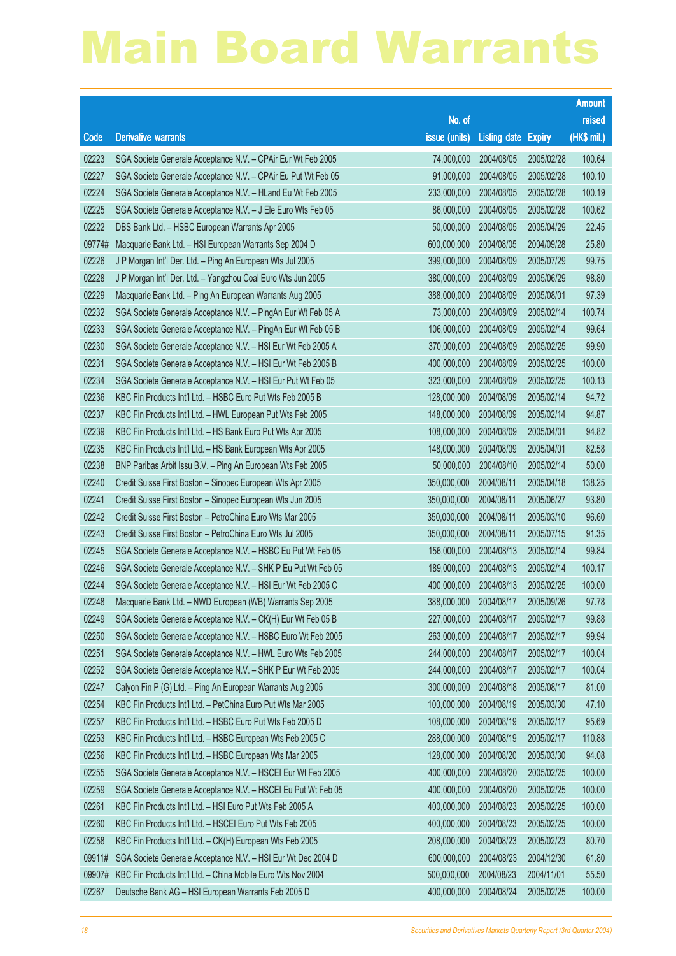|        |                                                               |                        |                     |               | <b>Amount</b> |
|--------|---------------------------------------------------------------|------------------------|---------------------|---------------|---------------|
|        |                                                               | No. of                 |                     |               | raised        |
| Code   | <b>Derivative warrants</b>                                    | issue (units)          | <b>Listing date</b> | <b>Expiry</b> | (HK\$ mil.)   |
| 02223  | SGA Societe Generale Acceptance N.V. - CPAir Eur Wt Feb 2005  | 74,000,000             | 2004/08/05          | 2005/02/28    | 100.64        |
| 02227  | SGA Societe Generale Acceptance N.V. - CPAir Eu Put Wt Feb 05 | 91,000,000             | 2004/08/05          | 2005/02/28    | 100.10        |
| 02224  | SGA Societe Generale Acceptance N.V. - HLand Eu Wt Feb 2005   | 233,000,000            | 2004/08/05          | 2005/02/28    | 100.19        |
| 02225  | SGA Societe Generale Acceptance N.V. - J Ele Euro Wts Feb 05  | 86,000,000             | 2004/08/05          | 2005/02/28    | 100.62        |
| 02222  | DBS Bank Ltd. - HSBC European Warrants Apr 2005               | 50,000,000             | 2004/08/05          | 2005/04/29    | 22.45         |
| 09774# | Macquarie Bank Ltd. - HSI European Warrants Sep 2004 D        | 600,000,000            | 2004/08/05          | 2004/09/28    | 25.80         |
| 02226  | J P Morgan Int'l Der. Ltd. - Ping An European Wts Jul 2005    | 399,000,000            | 2004/08/09          | 2005/07/29    | 99.75         |
| 02228  | J P Morgan Int'l Der. Ltd. - Yangzhou Coal Euro Wts Jun 2005  | 380,000,000            | 2004/08/09          | 2005/06/29    | 98.80         |
| 02229  | Macquarie Bank Ltd. - Ping An European Warrants Aug 2005      | 388,000,000            | 2004/08/09          | 2005/08/01    | 97.39         |
| 02232  | SGA Societe Generale Acceptance N.V. - PingAn Eur Wt Feb 05 A | 73,000,000             | 2004/08/09          | 2005/02/14    | 100.74        |
| 02233  | SGA Societe Generale Acceptance N.V. - PingAn Eur Wt Feb 05 B | 106,000,000            | 2004/08/09          | 2005/02/14    | 99.64         |
| 02230  | SGA Societe Generale Acceptance N.V. - HSI Eur Wt Feb 2005 A  | 370,000,000            | 2004/08/09          | 2005/02/25    | 99.90         |
| 02231  | SGA Societe Generale Acceptance N.V. - HSI Eur Wt Feb 2005 B  | 400,000,000            | 2004/08/09          | 2005/02/25    | 100.00        |
| 02234  | SGA Societe Generale Acceptance N.V. - HSI Eur Put Wt Feb 05  | 323,000,000            | 2004/08/09          | 2005/02/25    | 100.13        |
| 02236  | KBC Fin Products Int'l Ltd. - HSBC Euro Put Wts Feb 2005 B    | 128,000,000            | 2004/08/09          | 2005/02/14    | 94.72         |
| 02237  | KBC Fin Products Int'l Ltd. - HWL European Put Wts Feb 2005   | 148,000,000            | 2004/08/09          | 2005/02/14    | 94.87         |
| 02239  | KBC Fin Products Int'l Ltd. - HS Bank Euro Put Wts Apr 2005   | 108,000,000            | 2004/08/09          | 2005/04/01    | 94.82         |
| 02235  | KBC Fin Products Int'l Ltd. - HS Bank European Wts Apr 2005   | 148,000,000            | 2004/08/09          | 2005/04/01    | 82.58         |
| 02238  | BNP Paribas Arbit Issu B.V. - Ping An European Wts Feb 2005   | 50,000,000             | 2004/08/10          | 2005/02/14    | 50.00         |
| 02240  | Credit Suisse First Boston - Sinopec European Wts Apr 2005    | 350,000,000            | 2004/08/11          | 2005/04/18    | 138.25        |
| 02241  | Credit Suisse First Boston - Sinopec European Wts Jun 2005    | 350,000,000            | 2004/08/11          | 2005/06/27    | 93.80         |
| 02242  | Credit Suisse First Boston - PetroChina Euro Wts Mar 2005     | 350,000,000            | 2004/08/11          | 2005/03/10    | 96.60         |
| 02243  | Credit Suisse First Boston - PetroChina Euro Wts Jul 2005     | 350,000,000            | 2004/08/11          | 2005/07/15    | 91.35         |
| 02245  | SGA Societe Generale Acceptance N.V. - HSBC Eu Put Wt Feb 05  | 156,000,000            | 2004/08/13          | 2005/02/14    | 99.84         |
| 02246  | SGA Societe Generale Acceptance N.V. - SHK P Eu Put Wt Feb 05 | 189,000,000            | 2004/08/13          | 2005/02/14    | 100.17        |
| 02244  | SGA Societe Generale Acceptance N.V. - HSI Eur Wt Feb 2005 C  | 400,000,000            | 2004/08/13          | 2005/02/25    | 100.00        |
| 02248  | Macquarie Bank Ltd. - NWD European (WB) Warrants Sep 2005     | 388,000,000 2004/08/17 |                     | 2005/09/26    | 97.78         |
| 02249  | SGA Societe Generale Acceptance N.V. - CK(H) Eur Wt Feb 05 B  | 227,000,000            | 2004/08/17          | 2005/02/17    | 99.88         |
| 02250  | SGA Societe Generale Acceptance N.V. - HSBC Euro Wt Feb 2005  | 263,000,000            | 2004/08/17          | 2005/02/17    | 99.94         |
| 02251  | SGA Societe Generale Acceptance N.V. - HWL Euro Wts Feb 2005  | 244,000,000            | 2004/08/17          | 2005/02/17    | 100.04        |
| 02252  | SGA Societe Generale Acceptance N.V. - SHK P Eur Wt Feb 2005  | 244,000,000            | 2004/08/17          | 2005/02/17    | 100.04        |
| 02247  | Calyon Fin P (G) Ltd. - Ping An European Warrants Aug 2005    | 300,000,000            | 2004/08/18          | 2005/08/17    | 81.00         |
| 02254  | KBC Fin Products Int'l Ltd. - PetChina Euro Put Wts Mar 2005  | 100,000,000            | 2004/08/19          | 2005/03/30    | 47.10         |
| 02257  | KBC Fin Products Int'l Ltd. - HSBC Euro Put Wts Feb 2005 D    | 108,000,000            | 2004/08/19          | 2005/02/17    | 95.69         |
| 02253  | KBC Fin Products Int'l Ltd. - HSBC European Wts Feb 2005 C    | 288,000,000            | 2004/08/19          | 2005/02/17    | 110.88        |
| 02256  | KBC Fin Products Int'l Ltd. - HSBC European Wts Mar 2005      | 128,000,000            | 2004/08/20          | 2005/03/30    | 94.08         |
| 02255  | SGA Societe Generale Acceptance N.V. - HSCEI Eur Wt Feb 2005  | 400,000,000            | 2004/08/20          | 2005/02/25    | 100.00        |
| 02259  | SGA Societe Generale Acceptance N.V. - HSCEI Eu Put Wt Feb 05 | 400,000,000            | 2004/08/20          | 2005/02/25    | 100.00        |
| 02261  | KBC Fin Products Int'l Ltd. - HSI Euro Put Wts Feb 2005 A     | 400,000,000            | 2004/08/23          | 2005/02/25    | 100.00        |
| 02260  | KBC Fin Products Int'l Ltd. - HSCEI Euro Put Wts Feb 2005     | 400,000,000            | 2004/08/23          | 2005/02/25    | 100.00        |
| 02258  | KBC Fin Products Int'l Ltd. - CK(H) European Wts Feb 2005     | 208,000,000            | 2004/08/23          | 2005/02/23    | 80.70         |
| 09911# | SGA Societe Generale Acceptance N.V. - HSI Eur Wt Dec 2004 D  | 600,000,000            | 2004/08/23          | 2004/12/30    | 61.80         |
| 09907# | KBC Fin Products Int'l Ltd. - China Mobile Euro Wts Nov 2004  | 500,000,000            | 2004/08/23          | 2004/11/01    | 55.50         |
| 02267  | Deutsche Bank AG - HSI European Warrants Feb 2005 D           | 400,000,000            | 2004/08/24          | 2005/02/25    | 100.00        |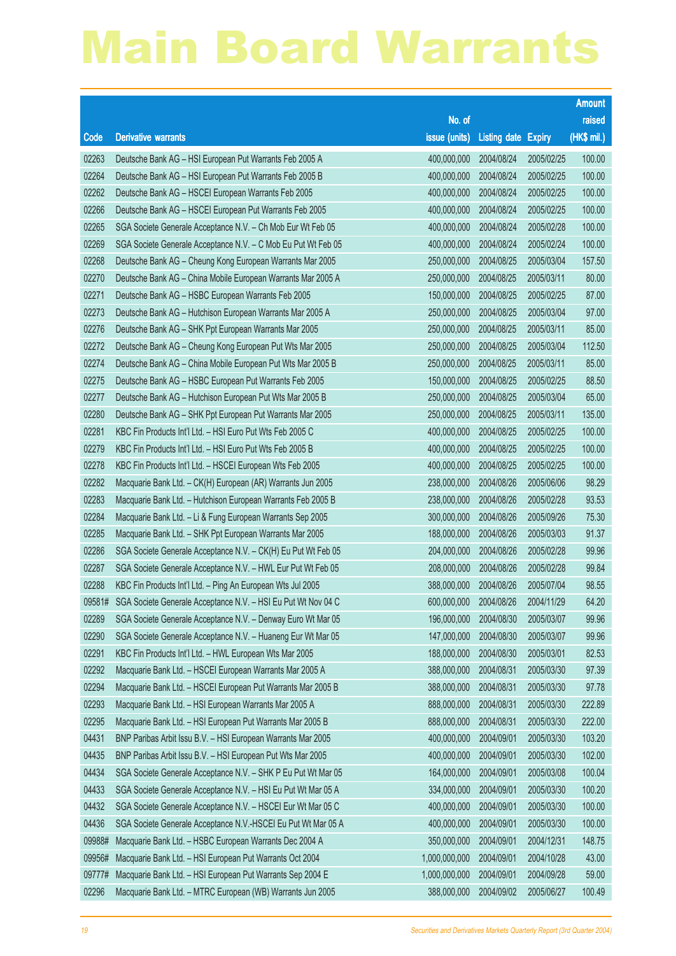|        |                                                               |                        |                            |            | <b>Amount</b> |
|--------|---------------------------------------------------------------|------------------------|----------------------------|------------|---------------|
|        |                                                               | No. of                 |                            |            | raised        |
| Code   | <b>Derivative warrants</b>                                    | issue (units)          | <b>Listing date Expiry</b> |            | (HK\$ mil.)   |
| 02263  | Deutsche Bank AG - HSI European Put Warrants Feb 2005 A       | 400,000,000            | 2004/08/24                 | 2005/02/25 | 100.00        |
| 02264  | Deutsche Bank AG - HSI European Put Warrants Feb 2005 B       | 400,000,000            | 2004/08/24                 | 2005/02/25 | 100.00        |
| 02262  | Deutsche Bank AG - HSCEI European Warrants Feb 2005           | 400,000,000            | 2004/08/24                 | 2005/02/25 | 100.00        |
| 02266  | Deutsche Bank AG - HSCEI European Put Warrants Feb 2005       | 400,000,000            | 2004/08/24                 | 2005/02/25 | 100.00        |
| 02265  | SGA Societe Generale Acceptance N.V. - Ch Mob Eur Wt Feb 05   | 400,000,000            | 2004/08/24                 | 2005/02/28 | 100.00        |
| 02269  | SGA Societe Generale Acceptance N.V. - C Mob Eu Put Wt Feb 05 | 400,000,000            | 2004/08/24                 | 2005/02/24 | 100.00        |
| 02268  | Deutsche Bank AG - Cheung Kong European Warrants Mar 2005     | 250,000,000            | 2004/08/25                 | 2005/03/04 | 157.50        |
| 02270  | Deutsche Bank AG - China Mobile European Warrants Mar 2005 A  | 250,000,000            | 2004/08/25                 | 2005/03/11 | 80.00         |
| 02271  | Deutsche Bank AG - HSBC European Warrants Feb 2005            | 150,000,000            | 2004/08/25                 | 2005/02/25 | 87.00         |
| 02273  | Deutsche Bank AG - Hutchison European Warrants Mar 2005 A     | 250,000,000            | 2004/08/25                 | 2005/03/04 | 97.00         |
| 02276  | Deutsche Bank AG - SHK Ppt European Warrants Mar 2005         | 250,000,000            | 2004/08/25                 | 2005/03/11 | 85.00         |
| 02272  | Deutsche Bank AG - Cheung Kong European Put Wts Mar 2005      | 250,000,000            | 2004/08/25                 | 2005/03/04 | 112.50        |
| 02274  | Deutsche Bank AG - China Mobile European Put Wts Mar 2005 B   | 250,000,000            | 2004/08/25                 | 2005/03/11 | 85.00         |
| 02275  | Deutsche Bank AG - HSBC European Put Warrants Feb 2005        | 150,000,000            | 2004/08/25                 | 2005/02/25 | 88.50         |
| 02277  | Deutsche Bank AG - Hutchison European Put Wts Mar 2005 B      | 250,000,000            | 2004/08/25                 | 2005/03/04 | 65.00         |
| 02280  | Deutsche Bank AG - SHK Ppt European Put Warrants Mar 2005     | 250,000,000            | 2004/08/25                 | 2005/03/11 | 135.00        |
| 02281  | KBC Fin Products Int'l Ltd. - HSI Euro Put Wts Feb 2005 C     | 400,000,000            | 2004/08/25                 | 2005/02/25 | 100.00        |
| 02279  | KBC Fin Products Int'l Ltd. - HSI Euro Put Wts Feb 2005 B     | 400,000,000            | 2004/08/25                 | 2005/02/25 | 100.00        |
| 02278  | KBC Fin Products Int'l Ltd. - HSCEI European Wts Feb 2005     | 400,000,000            | 2004/08/25                 | 2005/02/25 | 100.00        |
| 02282  | Macquarie Bank Ltd. - CK(H) European (AR) Warrants Jun 2005   | 238,000,000            | 2004/08/26                 | 2005/06/06 | 98.29         |
| 02283  | Macquarie Bank Ltd. - Hutchison European Warrants Feb 2005 B  | 238,000,000            | 2004/08/26                 | 2005/02/28 | 93.53         |
| 02284  | Macquarie Bank Ltd. - Li & Fung European Warrants Sep 2005    | 300,000,000            | 2004/08/26                 | 2005/09/26 | 75.30         |
| 02285  | Macquarie Bank Ltd. - SHK Ppt European Warrants Mar 2005      | 188,000,000            | 2004/08/26                 | 2005/03/03 | 91.37         |
| 02286  | SGA Societe Generale Acceptance N.V. - CK(H) Eu Put Wt Feb 05 | 204,000,000            | 2004/08/26                 | 2005/02/28 | 99.96         |
| 02287  | SGA Societe Generale Acceptance N.V. - HWL Eur Put Wt Feb 05  | 208,000,000            | 2004/08/26                 | 2005/02/28 | 99.84         |
| 02288  | KBC Fin Products Int'l Ltd. - Ping An European Wts Jul 2005   | 388,000,000            | 2004/08/26                 | 2005/07/04 | 98.55         |
| 09581# | SGA Societe Generale Acceptance N.V. - HSI Eu Put Wt Nov 04 C | 600,000,000 2004/08/26 |                            | 2004/11/29 | 64.20         |
| 02289  | SGA Societe Generale Acceptance N.V. - Denway Euro Wt Mar 05  | 196,000,000            | 2004/08/30                 | 2005/03/07 | 99.96         |
| 02290  | SGA Societe Generale Acceptance N.V. - Huaneng Eur Wt Mar 05  | 147,000,000            | 2004/08/30                 | 2005/03/07 | 99.96         |
| 02291  | KBC Fin Products Int'l Ltd. - HWL European Wts Mar 2005       | 188,000,000            | 2004/08/30                 | 2005/03/01 | 82.53         |
| 02292  | Macquarie Bank Ltd. - HSCEI European Warrants Mar 2005 A      | 388,000,000            | 2004/08/31                 | 2005/03/30 | 97.39         |
| 02294  | Macquarie Bank Ltd. - HSCEI European Put Warrants Mar 2005 B  | 388,000,000            | 2004/08/31                 | 2005/03/30 | 97.78         |
| 02293  | Macquarie Bank Ltd. - HSI European Warrants Mar 2005 A        | 888,000,000            | 2004/08/31                 | 2005/03/30 | 222.89        |
| 02295  | Macquarie Bank Ltd. - HSI European Put Warrants Mar 2005 B    | 888,000,000            | 2004/08/31                 | 2005/03/30 | 222.00        |
| 04431  | BNP Paribas Arbit Issu B.V. - HSI European Warrants Mar 2005  | 400,000,000            | 2004/09/01                 | 2005/03/30 | 103.20        |
| 04435  | BNP Paribas Arbit Issu B.V. - HSI European Put Wts Mar 2005   | 400,000,000            | 2004/09/01                 | 2005/03/30 | 102.00        |
| 04434  | SGA Societe Generale Acceptance N.V. - SHK P Eu Put Wt Mar 05 | 164,000,000            | 2004/09/01                 | 2005/03/08 | 100.04        |
| 04433  | SGA Societe Generale Acceptance N.V. - HSI Eu Put Wt Mar 05 A | 334,000,000            | 2004/09/01                 | 2005/03/30 | 100.20        |
| 04432  | SGA Societe Generale Acceptance N.V. - HSCEI Eur Wt Mar 05 C  | 400,000,000            | 2004/09/01                 | 2005/03/30 | 100.00        |
| 04436  | SGA Societe Generale Acceptance N.V.-HSCEI Eu Put Wt Mar 05 A | 400,000,000            | 2004/09/01                 | 2005/03/30 | 100.00        |
| 09988# | Macquarie Bank Ltd. - HSBC European Warrants Dec 2004 A       | 350,000,000            | 2004/09/01                 | 2004/12/31 | 148.75        |
| 09956# | Macquarie Bank Ltd. - HSI European Put Warrants Oct 2004      | 1,000,000,000          | 2004/09/01                 | 2004/10/28 | 43.00         |
| 09777# | Macquarie Bank Ltd. - HSI European Put Warrants Sep 2004 E    | 1,000,000,000          | 2004/09/01                 | 2004/09/28 | 59.00         |
| 02296  | Macquarie Bank Ltd. - MTRC European (WB) Warrants Jun 2005    | 388,000,000            | 2004/09/02                 | 2005/06/27 | 100.49        |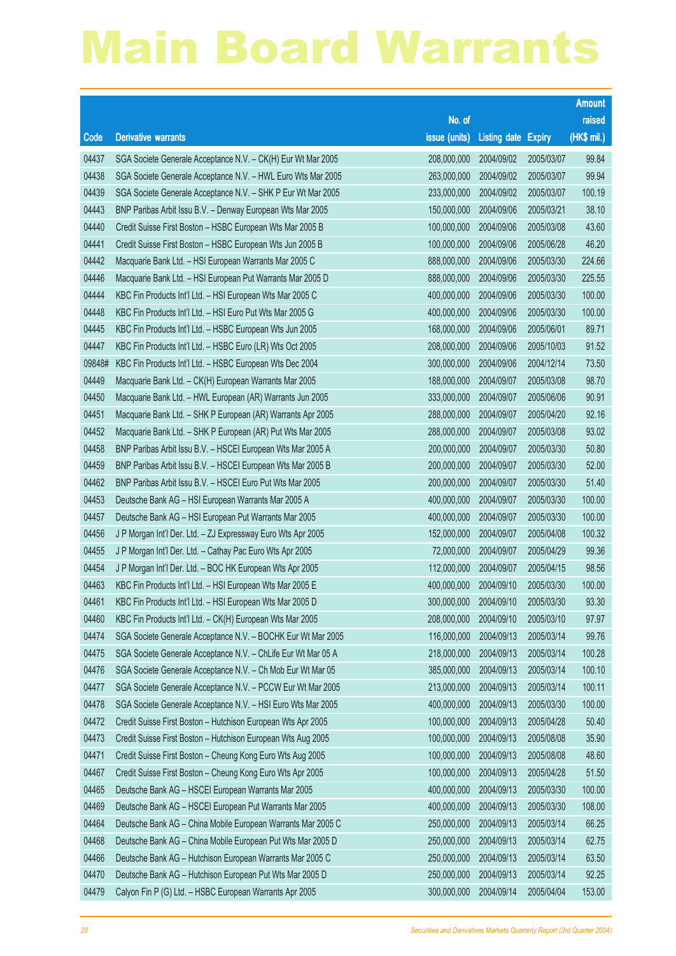|        |                                                               |                        |                     |               | <b>Amount</b> |
|--------|---------------------------------------------------------------|------------------------|---------------------|---------------|---------------|
|        |                                                               | No. of                 |                     |               | raised        |
| Code   | <b>Derivative warrants</b>                                    | issue (units)          | <b>Listing date</b> | <b>Expiry</b> | (HK\$ mil.)   |
| 04437  | SGA Societe Generale Acceptance N.V. - CK(H) Eur Wt Mar 2005  | 208,000,000            | 2004/09/02          | 2005/03/07    | 99.84         |
| 04438  | SGA Societe Generale Acceptance N.V. - HWL Euro Wts Mar 2005  | 263,000,000            | 2004/09/02          | 2005/03/07    | 99.94         |
| 04439  | SGA Societe Generale Acceptance N.V. - SHK P Eur Wt Mar 2005  | 233,000,000            | 2004/09/02          | 2005/03/07    | 100.19        |
| 04443  | BNP Paribas Arbit Issu B.V. - Denway European Wts Mar 2005    | 150,000,000            | 2004/09/06          | 2005/03/21    | 38.10         |
| 04440  | Credit Suisse First Boston - HSBC European Wts Mar 2005 B     | 100,000,000            | 2004/09/06          | 2005/03/08    | 43.60         |
| 04441  | Credit Suisse First Boston - HSBC European Wts Jun 2005 B     | 100,000,000            | 2004/09/06          | 2005/06/28    | 46.20         |
| 04442  | Macquarie Bank Ltd. - HSI European Warrants Mar 2005 C        | 888,000,000            | 2004/09/06          | 2005/03/30    | 224.66        |
| 04446  | Macquarie Bank Ltd. - HSI European Put Warrants Mar 2005 D    | 888,000,000            | 2004/09/06          | 2005/03/30    | 225.55        |
| 04444  | KBC Fin Products Int'l Ltd. - HSI European Wts Mar 2005 C     | 400,000,000            | 2004/09/06          | 2005/03/30    | 100.00        |
| 04448  | KBC Fin Products Int'l Ltd. - HSI Euro Put Wts Mar 2005 G     | 400,000,000            | 2004/09/06          | 2005/03/30    | 100.00        |
| 04445  | KBC Fin Products Int'l Ltd. - HSBC European Wts Jun 2005      | 168,000,000            | 2004/09/06          | 2005/06/01    | 89.71         |
| 04447  | KBC Fin Products Int'l Ltd. - HSBC Euro (LR) Wts Oct 2005     | 208,000,000            | 2004/09/06          | 2005/10/03    | 91.52         |
| 09848# | KBC Fin Products Int'l Ltd. - HSBC European Wts Dec 2004      | 300,000,000            | 2004/09/06          | 2004/12/14    | 73.50         |
| 04449  | Macquarie Bank Ltd. - CK(H) European Warrants Mar 2005        | 188,000,000            | 2004/09/07          | 2005/03/08    | 98.70         |
| 04450  | Macquarie Bank Ltd. - HWL European (AR) Warrants Jun 2005     | 333,000,000            | 2004/09/07          | 2005/06/06    | 90.91         |
| 04451  | Macquarie Bank Ltd. - SHK P European (AR) Warrants Apr 2005   | 288,000,000            | 2004/09/07          | 2005/04/20    | 92.16         |
| 04452  | Macquarie Bank Ltd. - SHK P European (AR) Put Wts Mar 2005    | 288,000,000            | 2004/09/07          | 2005/03/08    | 93.02         |
| 04458  | BNP Paribas Arbit Issu B.V. - HSCEI European Wts Mar 2005 A   | 200,000,000            | 2004/09/07          | 2005/03/30    | 50.80         |
| 04459  | BNP Paribas Arbit Issu B.V. - HSCEI European Wts Mar 2005 B   | 200,000,000            | 2004/09/07          | 2005/03/30    | 52.00         |
| 04462  | BNP Paribas Arbit Issu B.V. - HSCEI Euro Put Wts Mar 2005     | 200,000,000            | 2004/09/07          | 2005/03/30    | 51.40         |
| 04453  | Deutsche Bank AG - HSI European Warrants Mar 2005 A           | 400,000,000            | 2004/09/07          | 2005/03/30    | 100.00        |
| 04457  | Deutsche Bank AG - HSI European Put Warrants Mar 2005         | 400,000,000            | 2004/09/07          | 2005/03/30    | 100.00        |
| 04456  | J P Morgan Int'l Der. Ltd. - ZJ Expressway Euro Wts Apr 2005  | 152,000,000            | 2004/09/07          | 2005/04/08    | 100.32        |
| 04455  | J P Morgan Int'l Der. Ltd. - Cathay Pac Euro Wts Apr 2005     | 72,000,000             | 2004/09/07          | 2005/04/29    | 99.36         |
| 04454  | J P Morgan Int'l Der. Ltd. - BOC HK European Wts Apr 2005     | 112,000,000            | 2004/09/07          | 2005/04/15    | 98.56         |
| 04463  | KBC Fin Products Int'l Ltd. - HSI European Wts Mar 2005 E     | 400,000,000            | 2004/09/10          | 2005/03/30    | 100.00        |
| 04461  | KBC Fin Products Int'l Ltd. - HSI European Wts Mar 2005 D     | 300,000,000 2004/09/10 |                     | 2005/03/30    | 93.30         |
| 04460  | KBC Fin Products Int'l Ltd. - CK(H) European Wts Mar 2005     | 208,000,000            | 2004/09/10          | 2005/03/10    | 97.97         |
| 04474  | SGA Societe Generale Acceptance N.V. - BOCHK Eur Wt Mar 2005  | 116,000,000            | 2004/09/13          | 2005/03/14    | 99.76         |
| 04475  | SGA Societe Generale Acceptance N.V. - ChLife Eur Wt Mar 05 A | 218,000,000            | 2004/09/13          | 2005/03/14    | 100.28        |
| 04476  | SGA Societe Generale Acceptance N.V. - Ch Mob Eur Wt Mar 05   | 385,000,000            | 2004/09/13          | 2005/03/14    | 100.10        |
| 04477  | SGA Societe Generale Acceptance N.V. - PCCW Eur Wt Mar 2005   | 213,000,000            | 2004/09/13          | 2005/03/14    | 100.11        |
| 04478  | SGA Societe Generale Acceptance N.V. - HSI Euro Wts Mar 2005  | 400,000,000            | 2004/09/13          | 2005/03/30    | 100.00        |
| 04472  | Credit Suisse First Boston - Hutchison European Wts Apr 2005  | 100,000,000            | 2004/09/13          | 2005/04/28    | 50.40         |
| 04473  | Credit Suisse First Boston - Hutchison European Wts Aug 2005  | 100,000,000            | 2004/09/13          | 2005/08/08    | 35.90         |
| 04471  | Credit Suisse First Boston - Cheung Kong Euro Wts Aug 2005    | 100,000,000            | 2004/09/13          | 2005/08/08    | 48.60         |
| 04467  | Credit Suisse First Boston - Cheung Kong Euro Wts Apr 2005    | 100,000,000            | 2004/09/13          | 2005/04/28    | 51.50         |
| 04465  | Deutsche Bank AG - HSCEI European Warrants Mar 2005           | 400,000,000            | 2004/09/13          | 2005/03/30    | 100.00        |
| 04469  | Deutsche Bank AG - HSCEI European Put Warrants Mar 2005       | 400,000,000            | 2004/09/13          | 2005/03/30    | 108.00        |
| 04464  | Deutsche Bank AG - China Mobile European Warrants Mar 2005 C  | 250,000,000            | 2004/09/13          | 2005/03/14    | 66.25         |
| 04468  | Deutsche Bank AG - China Mobile European Put Wts Mar 2005 D   | 250,000,000            | 2004/09/13          | 2005/03/14    | 62.75         |
| 04466  | Deutsche Bank AG - Hutchison European Warrants Mar 2005 C     | 250,000,000            | 2004/09/13          | 2005/03/14    | 63.50         |
| 04470  | Deutsche Bank AG - Hutchison European Put Wts Mar 2005 D      | 250,000,000            | 2004/09/13          | 2005/03/14    | 92.25         |
| 04479  | Calyon Fin P (G) Ltd. - HSBC European Warrants Apr 2005       | 300,000,000            | 2004/09/14          | 2005/04/04    | 153.00        |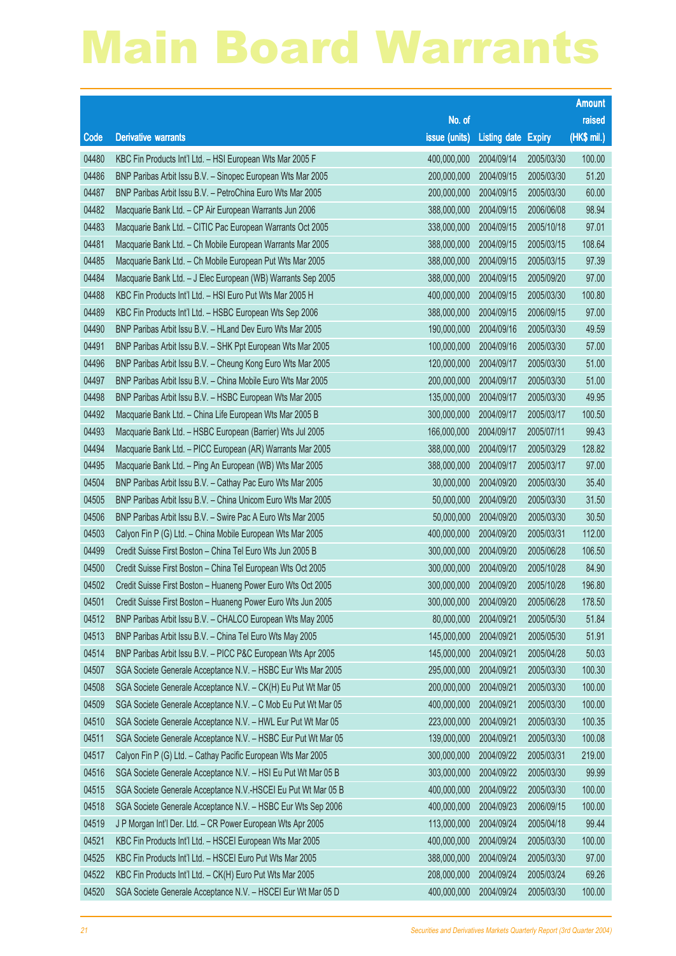|       |                                                               |                        |                     |               | <b>Amount</b> |
|-------|---------------------------------------------------------------|------------------------|---------------------|---------------|---------------|
|       |                                                               | No. of                 |                     |               | raised        |
| Code  | <b>Derivative warrants</b>                                    | issue (units)          | <b>Listing date</b> | <b>Expiry</b> | (HK\$ mil.)   |
| 04480 | KBC Fin Products Int'l Ltd. - HSI European Wts Mar 2005 F     | 400,000,000            | 2004/09/14          | 2005/03/30    | 100.00        |
| 04486 | BNP Paribas Arbit Issu B.V. - Sinopec European Wts Mar 2005   | 200,000,000            | 2004/09/15          | 2005/03/30    | 51.20         |
| 04487 | BNP Paribas Arbit Issu B.V. - PetroChina Euro Wts Mar 2005    | 200,000,000            | 2004/09/15          | 2005/03/30    | 60.00         |
| 04482 | Macquarie Bank Ltd. - CP Air European Warrants Jun 2006       | 388,000,000            | 2004/09/15          | 2006/06/08    | 98.94         |
| 04483 | Macquarie Bank Ltd. - CITIC Pac European Warrants Oct 2005    | 338,000,000            | 2004/09/15          | 2005/10/18    | 97.01         |
| 04481 | Macquarie Bank Ltd. - Ch Mobile European Warrants Mar 2005    | 388,000,000            | 2004/09/15          | 2005/03/15    | 108.64        |
| 04485 | Macquarie Bank Ltd. - Ch Mobile European Put Wts Mar 2005     | 388,000,000            | 2004/09/15          | 2005/03/15    | 97.39         |
| 04484 | Macquarie Bank Ltd. - J Elec European (WB) Warrants Sep 2005  | 388,000,000            | 2004/09/15          | 2005/09/20    | 97.00         |
| 04488 | KBC Fin Products Int'l Ltd. - HSI Euro Put Wts Mar 2005 H     | 400,000,000            | 2004/09/15          | 2005/03/30    | 100.80        |
| 04489 | KBC Fin Products Int'l Ltd. - HSBC European Wts Sep 2006      | 388,000,000            | 2004/09/15          | 2006/09/15    | 97.00         |
| 04490 | BNP Paribas Arbit Issu B.V. - HLand Dev Euro Wts Mar 2005     | 190,000,000            | 2004/09/16          | 2005/03/30    | 49.59         |
| 04491 | BNP Paribas Arbit Issu B.V. - SHK Ppt European Wts Mar 2005   | 100,000,000            | 2004/09/16          | 2005/03/30    | 57.00         |
| 04496 | BNP Paribas Arbit Issu B.V. - Cheung Kong Euro Wts Mar 2005   | 120,000,000            | 2004/09/17          | 2005/03/30    | 51.00         |
| 04497 | BNP Paribas Arbit Issu B.V. - China Mobile Euro Wts Mar 2005  | 200,000,000            | 2004/09/17          | 2005/03/30    | 51.00         |
| 04498 | BNP Paribas Arbit Issu B.V. - HSBC European Wts Mar 2005      | 135,000,000            | 2004/09/17          | 2005/03/30    | 49.95         |
| 04492 | Macquarie Bank Ltd. - China Life European Wts Mar 2005 B      | 300,000,000            | 2004/09/17          | 2005/03/17    | 100.50        |
| 04493 | Macquarie Bank Ltd. - HSBC European (Barrier) Wts Jul 2005    | 166,000,000            | 2004/09/17          | 2005/07/11    | 99.43         |
| 04494 | Macquarie Bank Ltd. - PICC European (AR) Warrants Mar 2005    | 388,000,000            | 2004/09/17          | 2005/03/29    | 128.82        |
| 04495 | Macquarie Bank Ltd. - Ping An European (WB) Wts Mar 2005      | 388,000,000            | 2004/09/17          | 2005/03/17    | 97.00         |
| 04504 | BNP Paribas Arbit Issu B.V. - Cathay Pac Euro Wts Mar 2005    | 30,000,000             | 2004/09/20          | 2005/03/30    | 35.40         |
| 04505 | BNP Paribas Arbit Issu B.V. - China Unicom Euro Wts Mar 2005  | 50,000,000             | 2004/09/20          | 2005/03/30    | 31.50         |
| 04506 | BNP Paribas Arbit Issu B.V. - Swire Pac A Euro Wts Mar 2005   | 50,000,000             | 2004/09/20          | 2005/03/30    | 30.50         |
| 04503 | Calyon Fin P (G) Ltd. - China Mobile European Wts Mar 2005    | 400,000,000            | 2004/09/20          | 2005/03/31    | 112.00        |
| 04499 | Credit Suisse First Boston - China Tel Euro Wts Jun 2005 B    | 300,000,000            | 2004/09/20          | 2005/06/28    | 106.50        |
| 04500 | Credit Suisse First Boston - China Tel European Wts Oct 2005  | 300,000,000            | 2004/09/20          | 2005/10/28    | 84.90         |
| 04502 | Credit Suisse First Boston - Huaneng Power Euro Wts Oct 2005  | 300,000,000            | 2004/09/20          | 2005/10/28    | 196.80        |
| 04501 | Credit Suisse First Boston - Huaneng Power Euro Wts Jun 2005  | 300,000,000 2004/09/20 |                     | 2005/06/28    | 178.50        |
| 04512 | BNP Paribas Arbit Issu B.V. - CHALCO European Wts May 2005    | 80,000,000             | 2004/09/21          | 2005/05/30    | 51.84         |
| 04513 | BNP Paribas Arbit Issu B.V. - China Tel Euro Wts May 2005     | 145,000,000            | 2004/09/21          | 2005/05/30    | 51.91         |
| 04514 | BNP Paribas Arbit Issu B.V. - PICC P&C European Wts Apr 2005  | 145,000,000            | 2004/09/21          | 2005/04/28    | 50.03         |
| 04507 | SGA Societe Generale Acceptance N.V. - HSBC Eur Wts Mar 2005  | 295,000,000            | 2004/09/21          | 2005/03/30    | 100.30        |
| 04508 | SGA Societe Generale Acceptance N.V. - CK(H) Eu Put Wt Mar 05 | 200,000,000            | 2004/09/21          | 2005/03/30    | 100.00        |
| 04509 | SGA Societe Generale Acceptance N.V. - C Mob Eu Put Wt Mar 05 | 400,000,000            | 2004/09/21          | 2005/03/30    | 100.00        |
| 04510 | SGA Societe Generale Acceptance N.V. - HWL Eur Put Wt Mar 05  | 223,000,000            | 2004/09/21          | 2005/03/30    | 100.35        |
| 04511 | SGA Societe Generale Acceptance N.V. - HSBC Eur Put Wt Mar 05 | 139,000,000            | 2004/09/21          | 2005/03/30    | 100.08        |
| 04517 | Calyon Fin P (G) Ltd. - Cathay Pacific European Wts Mar 2005  | 300,000,000            | 2004/09/22          | 2005/03/31    | 219.00        |
| 04516 | SGA Societe Generale Acceptance N.V. - HSI Eu Put Wt Mar 05 B | 303,000,000            | 2004/09/22          | 2005/03/30    | 99.99         |
| 04515 | SGA Societe Generale Acceptance N.V.-HSCEI Eu Put Wt Mar 05 B | 400,000,000            | 2004/09/22          | 2005/03/30    | 100.00        |
| 04518 | SGA Societe Generale Acceptance N.V. - HSBC Eur Wts Sep 2006  | 400,000,000            | 2004/09/23          | 2006/09/15    | 100.00        |
| 04519 | J P Morgan Int'l Der. Ltd. - CR Power European Wts Apr 2005   | 113,000,000            | 2004/09/24          | 2005/04/18    | 99.44         |
| 04521 | KBC Fin Products Int'l Ltd. - HSCEI European Wts Mar 2005     | 400,000,000            | 2004/09/24          | 2005/03/30    | 100.00        |
| 04525 | KBC Fin Products Int'l Ltd. - HSCEI Euro Put Wts Mar 2005     | 388,000,000            | 2004/09/24          | 2005/03/30    | 97.00         |
| 04522 | KBC Fin Products Int'l Ltd. - CK(H) Euro Put Wts Mar 2005     | 208,000,000            | 2004/09/24          | 2005/03/24    | 69.26         |
| 04520 | SGA Societe Generale Acceptance N.V. - HSCEI Eur Wt Mar 05 D  | 400,000,000            | 2004/09/24          | 2005/03/30    | 100.00        |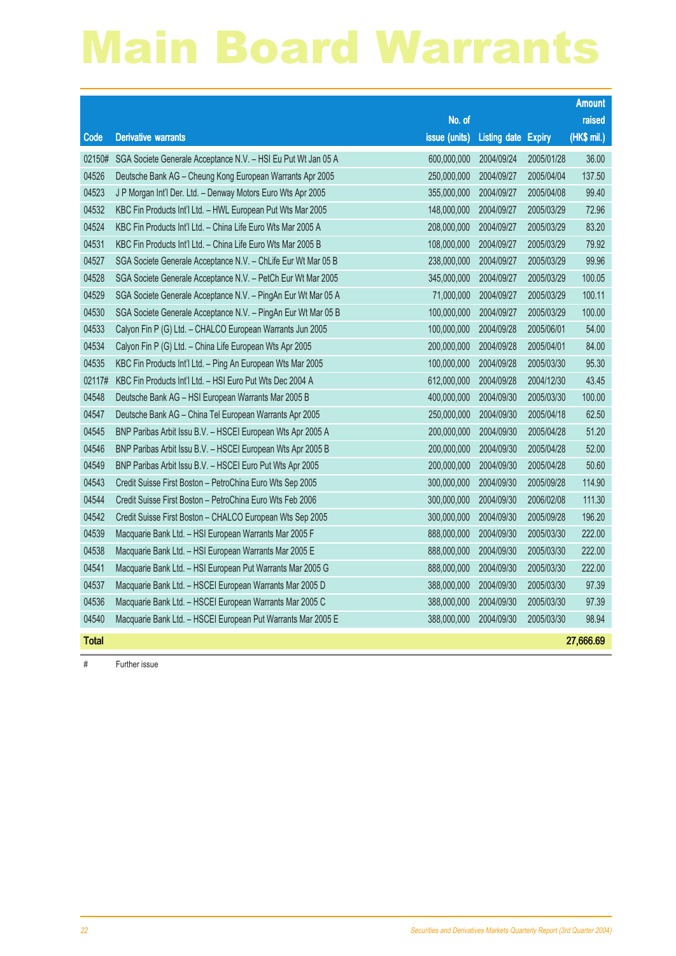|              |                                                               |               |                     |               | <b>Amount</b> |
|--------------|---------------------------------------------------------------|---------------|---------------------|---------------|---------------|
|              |                                                               | No. of        |                     |               | raised        |
| Code         | <b>Derivative warrants</b>                                    | issue (units) | <b>Listing date</b> | <b>Expiry</b> | (HK\$ mil.)   |
| 02150#       | SGA Societe Generale Acceptance N.V. - HSI Eu Put Wt Jan 05 A | 600,000,000   | 2004/09/24          | 2005/01/28    | 36.00         |
| 04526        | Deutsche Bank AG - Cheung Kong European Warrants Apr 2005     | 250,000,000   | 2004/09/27          | 2005/04/04    | 137.50        |
| 04523        | J P Morgan Int'l Der. Ltd. - Denway Motors Euro Wts Apr 2005  | 355,000,000   | 2004/09/27          | 2005/04/08    | 99.40         |
| 04532        | KBC Fin Products Int'l Ltd. - HWL European Put Wts Mar 2005   | 148,000,000   | 2004/09/27          | 2005/03/29    | 72.96         |
| 04524        | KBC Fin Products Int'l Ltd. - China Life Euro Wts Mar 2005 A  | 208,000,000   | 2004/09/27          | 2005/03/29    | 83.20         |
| 04531        | KBC Fin Products Int'l Ltd. – China Life Euro Wts Mar 2005 B  | 108,000,000   | 2004/09/27          | 2005/03/29    | 79.92         |
| 04527        | SGA Societe Generale Acceptance N.V. - ChLife Eur Wt Mar 05 B | 238,000,000   | 2004/09/27          | 2005/03/29    | 99.96         |
| 04528        | SGA Societe Generale Acceptance N.V. - PetCh Eur Wt Mar 2005  | 345,000,000   | 2004/09/27          | 2005/03/29    | 100.05        |
| 04529        | SGA Societe Generale Acceptance N.V. - PingAn Eur Wt Mar 05 A | 71,000,000    | 2004/09/27          | 2005/03/29    | 100.11        |
| 04530        | SGA Societe Generale Acceptance N.V. - PingAn Eur Wt Mar 05 B | 100,000,000   | 2004/09/27          | 2005/03/29    | 100.00        |
| 04533        | Calyon Fin P (G) Ltd. - CHALCO European Warrants Jun 2005     | 100,000,000   | 2004/09/28          | 2005/06/01    | 54.00         |
| 04534        | Calyon Fin P (G) Ltd. - China Life European Wts Apr 2005      | 200,000,000   | 2004/09/28          | 2005/04/01    | 84.00         |
| 04535        | KBC Fin Products Int'l Ltd. - Ping An European Wts Mar 2005   | 100,000,000   | 2004/09/28          | 2005/03/30    | 95.30         |
| 02117#       | KBC Fin Products Int'l Ltd. - HSI Euro Put Wts Dec 2004 A     | 612,000,000   | 2004/09/28          | 2004/12/30    | 43.45         |
| 04548        | Deutsche Bank AG - HSI European Warrants Mar 2005 B           | 400,000,000   | 2004/09/30          | 2005/03/30    | 100.00        |
| 04547        | Deutsche Bank AG - China Tel European Warrants Apr 2005       | 250,000,000   | 2004/09/30          | 2005/04/18    | 62.50         |
| 04545        | BNP Paribas Arbit Issu B.V. - HSCEI European Wts Apr 2005 A   | 200,000,000   | 2004/09/30          | 2005/04/28    | 51.20         |
| 04546        | BNP Paribas Arbit Issu B.V. - HSCEI European Wts Apr 2005 B   | 200,000,000   | 2004/09/30          | 2005/04/28    | 52.00         |
| 04549        | BNP Paribas Arbit Issu B.V. – HSCEI Euro Put Wts Apr 2005     | 200,000,000   | 2004/09/30          | 2005/04/28    | 50.60         |
| 04543        | Credit Suisse First Boston - PetroChina Euro Wts Sep 2005     | 300,000,000   | 2004/09/30          | 2005/09/28    | 114.90        |
| 04544        | Credit Suisse First Boston - PetroChina Euro Wts Feb 2006     | 300,000,000   | 2004/09/30          | 2006/02/08    | 111.30        |
| 04542        | Credit Suisse First Boston - CHALCO European Wts Sep 2005     | 300,000,000   | 2004/09/30          | 2005/09/28    | 196.20        |
| 04539        | Macquarie Bank Ltd. - HSI European Warrants Mar 2005 F        | 888,000,000   | 2004/09/30          | 2005/03/30    | 222.00        |
| 04538        | Macquarie Bank Ltd. - HSI European Warrants Mar 2005 E        | 888,000,000   | 2004/09/30          | 2005/03/30    | 222.00        |
| 04541        | Macquarie Bank Ltd. - HSI European Put Warrants Mar 2005 G    | 888,000,000   | 2004/09/30          | 2005/03/30    | 222.00        |
| 04537        | Macquarie Bank Ltd. - HSCEI European Warrants Mar 2005 D      | 388,000,000   | 2004/09/30          | 2005/03/30    | 97.39         |
| 04536        | Macquarie Bank Ltd. - HSCEI European Warrants Mar 2005 C      | 388,000,000   | 2004/09/30          | 2005/03/30    | 97.39         |
| 04540        | Macquarie Bank Ltd. - HSCEI European Put Warrants Mar 2005 E  | 388,000,000   | 2004/09/30          | 2005/03/30    | 98.94         |
| <b>Total</b> |                                                               |               |                     |               | 27,666.69     |

# Further issue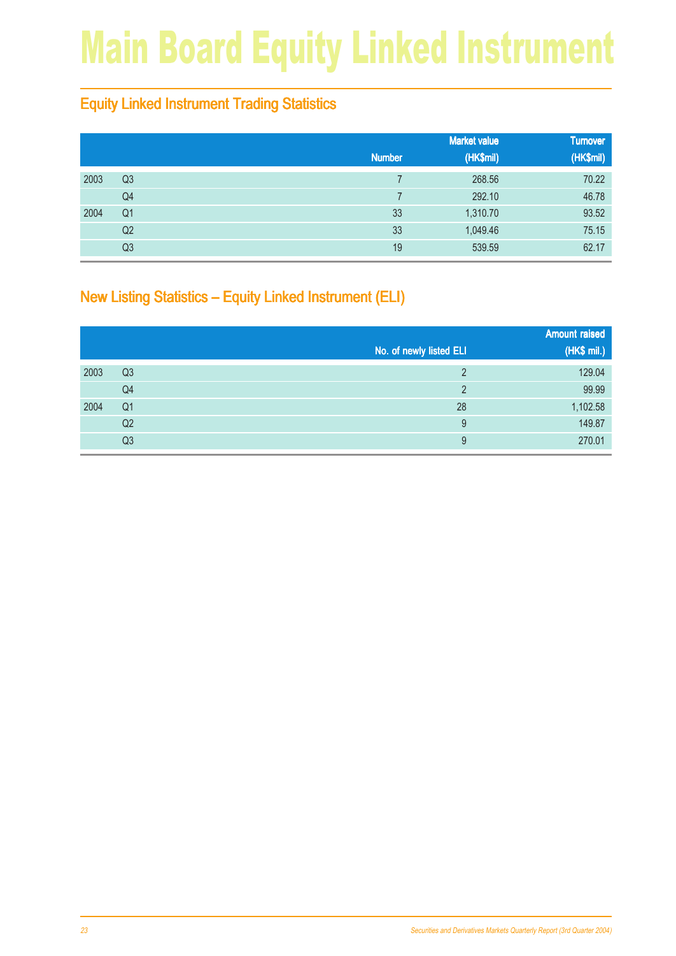# Main Board Equity Linked Instrument

## Equity Linked Instrument Trading Statistics

|      |                |               | <b>Market value</b> | <b>Turnover</b> |
|------|----------------|---------------|---------------------|-----------------|
|      |                | <b>Number</b> | (HK\$mil)           | (HK\$mil)       |
| 2003 | Q <sub>3</sub> |               | 268.56              | 70.22           |
|      | Q4             |               | 292.10              | 46.78           |
| 2004 | Q <sub>1</sub> | 33            | 1,310.70            | 93.52           |
|      | Q <sub>2</sub> | 33            | 1,049.46            | 75.15           |
|      | Q3             | 19            | 539.59              | 62.17           |

## New Listing Statistics – Equity Linked Instrument (ELI)

|      |                |                         | <b>Amount raised</b> |
|------|----------------|-------------------------|----------------------|
|      |                | No. of newly listed ELI | (HK\$ mil.)          |
| 2003 | Q <sub>3</sub> | っ                       | 129.04               |
|      | Q <sub>4</sub> | $\overline{2}$          | 99.99                |
| 2004 | Q <sub>1</sub> | 28                      | 1,102.58             |
|      | Q2             | 9                       | 149.87               |
|      | Q <sub>3</sub> | 9                       | 270.01               |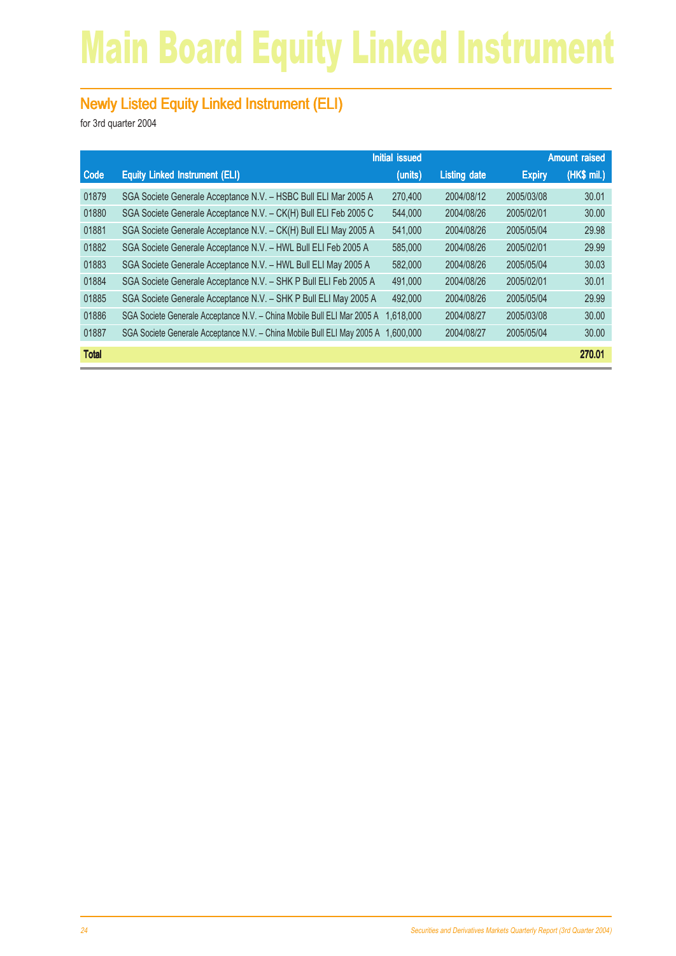# Main Board Equity Linked Instrument

#### Newly Listed Equity Linked Instrument (ELI)

|              |                                                                         | <b>Initial issued</b> |                     |               | <b>Amount raised</b> |
|--------------|-------------------------------------------------------------------------|-----------------------|---------------------|---------------|----------------------|
| Code         | <b>Equity Linked Instrument (ELI)</b>                                   | (units)               | <b>Listing date</b> | <b>Expiry</b> | (HK\$ mil.)          |
| 01879        | SGA Societe Generale Acceptance N.V. - HSBC Bull ELI Mar 2005 A         | 270,400               | 2004/08/12          | 2005/03/08    | 30.01                |
| 01880        | SGA Societe Generale Acceptance N.V. - CK(H) Bull ELI Feb 2005 C        | 544,000               | 2004/08/26          | 2005/02/01    | 30.00                |
| 01881        | SGA Societe Generale Acceptance N.V. - CK(H) Bull ELI May 2005 A        | 541,000               | 2004/08/26          | 2005/05/04    | 29.98                |
| 01882        | SGA Societe Generale Acceptance N.V. - HWL Bull ELI Feb 2005 A          | 585,000               | 2004/08/26          | 2005/02/01    | 29.99                |
| 01883        | SGA Societe Generale Acceptance N.V. - HWL Bull ELI May 2005 A          | 582,000               | 2004/08/26          | 2005/05/04    | 30.03                |
| 01884        | SGA Societe Generale Acceptance N.V. - SHK P Bull ELI Feb 2005 A        | 491,000               | 2004/08/26          | 2005/02/01    | 30.01                |
| 01885        | SGA Societe Generale Acceptance N.V. - SHK P Bull ELI May 2005 A        | 492,000               | 2004/08/26          | 2005/05/04    | 29.99                |
| 01886        | SGA Societe Generale Acceptance N.V. - China Mobile Bull ELI Mar 2005 A | 1,618,000             | 2004/08/27          | 2005/03/08    | 30.00                |
| 01887        | SGA Societe Generale Acceptance N.V. - China Mobile Bull ELI May 2005 A | .600,000              | 2004/08/27          | 2005/05/04    | 30.00                |
| <b>Total</b> |                                                                         |                       |                     |               | 270.01               |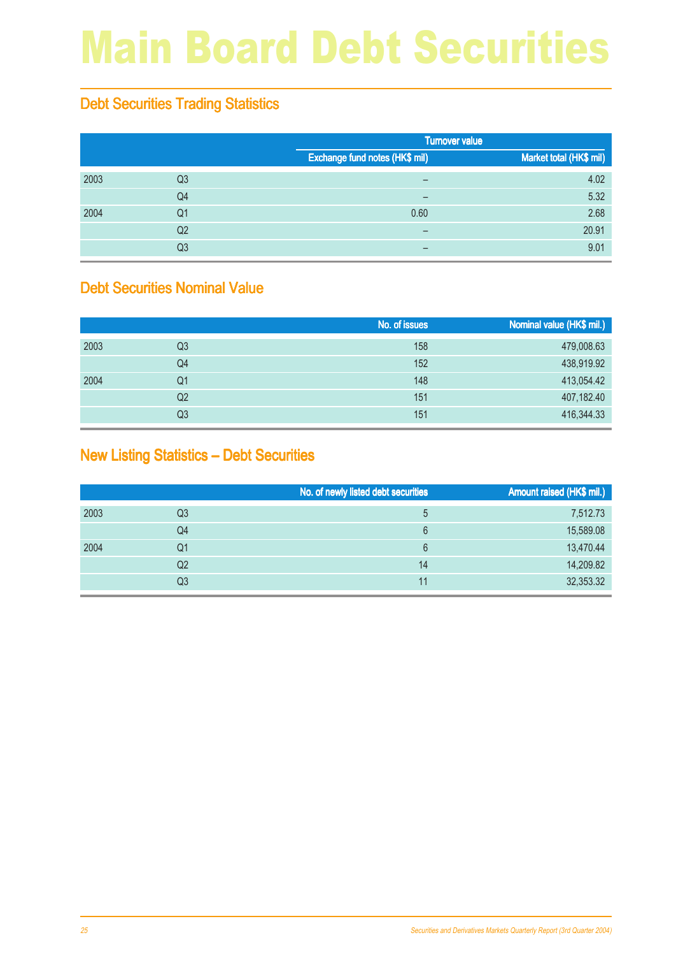# Main Board Debt Securities

#### Debt Securities Trading Statistics

|      |    |                                | <b>Turnover value</b>   |  |  |
|------|----|--------------------------------|-------------------------|--|--|
|      |    | Exchange fund notes (HK\$ mil) | Market total (HK\$ mil) |  |  |
| 2003 | Q3 | $\overline{\phantom{0}}$       | 4.02                    |  |  |
|      | Q4 | $\overline{\phantom{0}}$       | 5.32                    |  |  |
| 2004 | Q1 | 0.60                           | 2.68                    |  |  |
|      | Q2 | $\overline{\phantom{0}}$       | 20.91                   |  |  |
|      | Q3 |                                | 9.01                    |  |  |

#### Debt Securities Nominal Value

|      |    | No. of issues | Nominal value (HK\$ mil.) |
|------|----|---------------|---------------------------|
| 2003 | Q3 | 158           | 479,008.63                |
|      | Q4 | 152           | 438,919.92                |
| 2004 | Q1 | 148           | 413,054.42                |
|      | Q2 | 151           | 407,182.40                |
|      | Q3 | 151           | 416,344.33                |

#### New Listing Statistics – Debt Securities

|      |                | No. of newly listed debt securities | Amount raised (HK\$ mil.) |
|------|----------------|-------------------------------------|---------------------------|
| 2003 | Q3             | 5                                   | 7,512.73                  |
|      | Q <sub>4</sub> | 6                                   | 15,589.08                 |
| 2004 | Q1             | 6                                   | 13,470.44                 |
|      | Q2             | 14                                  | 14,209.82                 |
|      | Q3             | 11                                  | 32,353.32                 |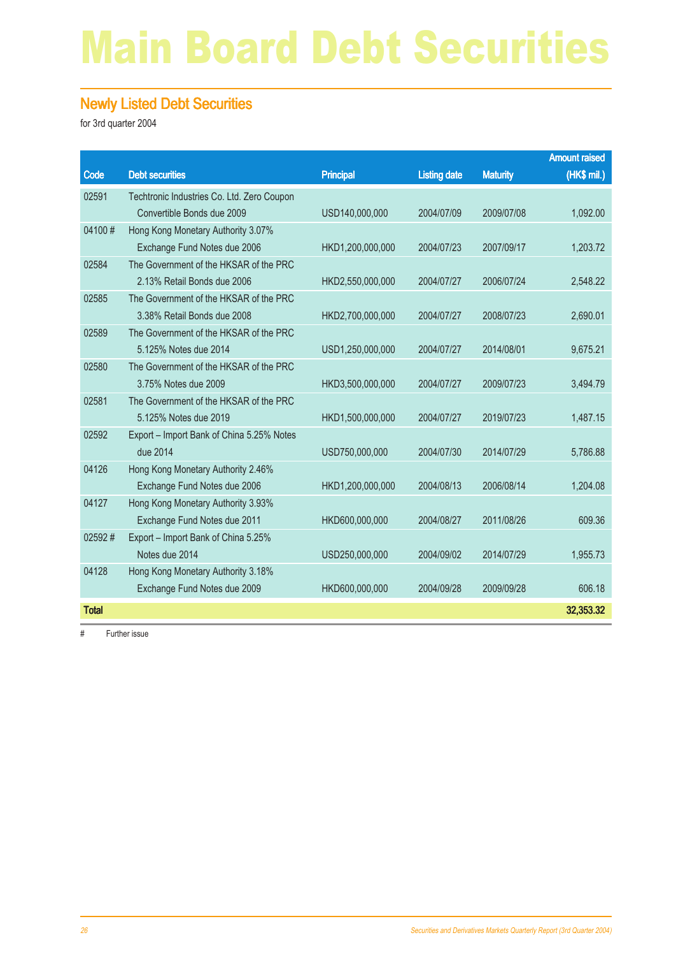## Main Board Debt Securities

#### Newly Listed Debt Securities

for 3rd quarter 2004

|              |                                            |                  |                     |                 | <b>Amount raised</b> |
|--------------|--------------------------------------------|------------------|---------------------|-----------------|----------------------|
| Code         | <b>Debt securities</b>                     | <b>Principal</b> | <b>Listing date</b> | <b>Maturity</b> | (HK\$ mil.)          |
| 02591        | Techtronic Industries Co. Ltd. Zero Coupon |                  |                     |                 |                      |
|              | Convertible Bonds due 2009                 | USD140,000,000   | 2004/07/09          | 2009/07/08      | 1,092.00             |
| 04100#       | Hong Kong Monetary Authority 3.07%         |                  |                     |                 |                      |
|              | Exchange Fund Notes due 2006               | HKD1,200,000,000 | 2004/07/23          | 2007/09/17      | 1,203.72             |
| 02584        | The Government of the HKSAR of the PRC     |                  |                     |                 |                      |
|              | 2.13% Retail Bonds due 2006                | HKD2,550,000,000 | 2004/07/27          | 2006/07/24      | 2,548.22             |
| 02585        | The Government of the HKSAR of the PRC     |                  |                     |                 |                      |
|              | 3.38% Retail Bonds due 2008                | HKD2,700,000,000 | 2004/07/27          | 2008/07/23      | 2,690.01             |
| 02589        | The Government of the HKSAR of the PRC     |                  |                     |                 |                      |
|              | 5.125% Notes due 2014                      | USD1,250,000,000 | 2004/07/27          | 2014/08/01      | 9,675.21             |
| 02580        | The Government of the HKSAR of the PRC     |                  |                     |                 |                      |
|              | 3.75% Notes due 2009                       | HKD3,500,000,000 | 2004/07/27          | 2009/07/23      | 3,494.79             |
| 02581        | The Government of the HKSAR of the PRC     |                  |                     |                 |                      |
|              | 5.125% Notes due 2019                      | HKD1,500,000,000 | 2004/07/27          | 2019/07/23      | 1,487.15             |
| 02592        | Export - Import Bank of China 5.25% Notes  |                  |                     |                 |                      |
|              | due 2014                                   | USD750,000,000   | 2004/07/30          | 2014/07/29      | 5,786.88             |
| 04126        | Hong Kong Monetary Authority 2.46%         |                  |                     |                 |                      |
|              | Exchange Fund Notes due 2006               | HKD1,200,000,000 | 2004/08/13          | 2006/08/14      | 1,204.08             |
| 04127        | Hong Kong Monetary Authority 3.93%         |                  |                     |                 |                      |
|              | Exchange Fund Notes due 2011               | HKD600,000,000   | 2004/08/27          | 2011/08/26      | 609.36               |
| 02592#       | Export - Import Bank of China 5.25%        |                  |                     |                 |                      |
|              | Notes due 2014                             | USD250,000,000   | 2004/09/02          | 2014/07/29      | 1,955.73             |
| 04128        | Hong Kong Monetary Authority 3.18%         |                  |                     |                 |                      |
|              | Exchange Fund Notes due 2009               | HKD600,000,000   | 2004/09/28          | 2009/09/28      | 606.18               |
| <b>Total</b> |                                            |                  |                     |                 | 32,353.32            |

# Further issue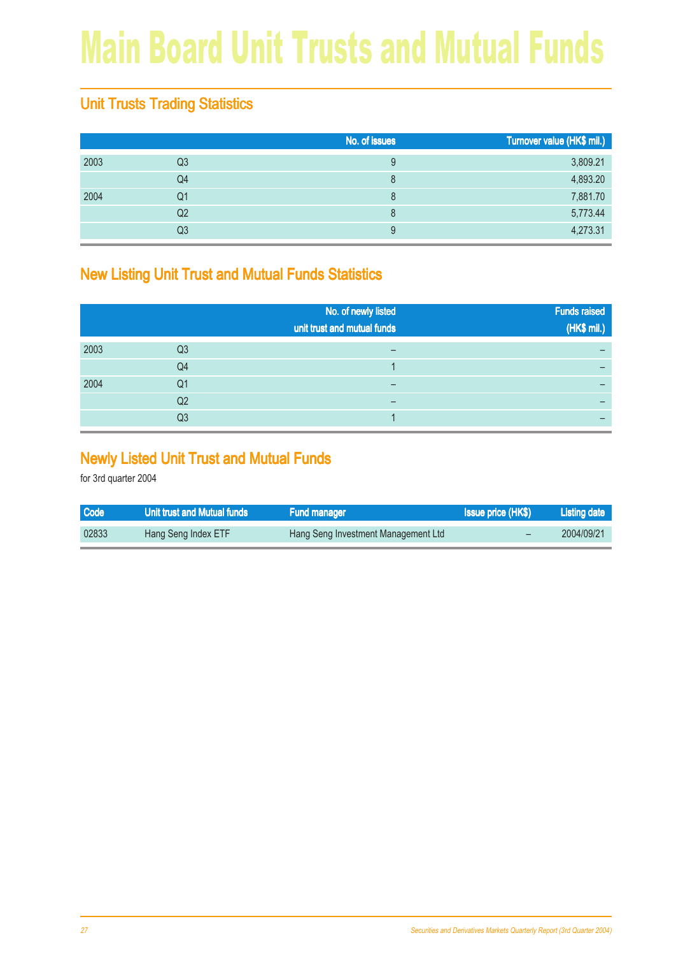# Main Board Unit Trusts and Mutual Funds

## Unit Trusts Trading Statistics

|                | No. of issues | Turnover value (HK\$ mil.) |
|----------------|---------------|----------------------------|
| Q3             |               | 3,809.21                   |
| Q4             | 8             | 4,893.20                   |
| Q1             | 8             | 7,881.70                   |
| Q <sub>2</sub> | 8             | 5,773.44                   |
| Q3             | 9             | 4,273.31                   |
|                |               |                            |

#### New Listing Unit Trust and Mutual Funds Statistics

|      |                | No. of newly listed<br>unit trust and mutual funds | <b>Funds raised</b><br>(HK\$ mil.) |
|------|----------------|----------------------------------------------------|------------------------------------|
| 2003 | Q <sub>3</sub> |                                                    |                                    |
|      | Q4             |                                                    |                                    |
| 2004 | Q1             |                                                    |                                    |
|      | Q2             | –                                                  |                                    |
|      | Q3             |                                                    |                                    |

#### Newly Listed Unit Trust and Mutual Funds

| <b>Code</b> | Unit trust and Mutual funds | <b>Fund manager</b>                 | <b>Issue price (HK\$)</b> | Listing date |
|-------------|-----------------------------|-------------------------------------|---------------------------|--------------|
| 02833       | Hang Seng Index ETF         | Hang Seng Investment Management Ltd |                           | 2004/09/21   |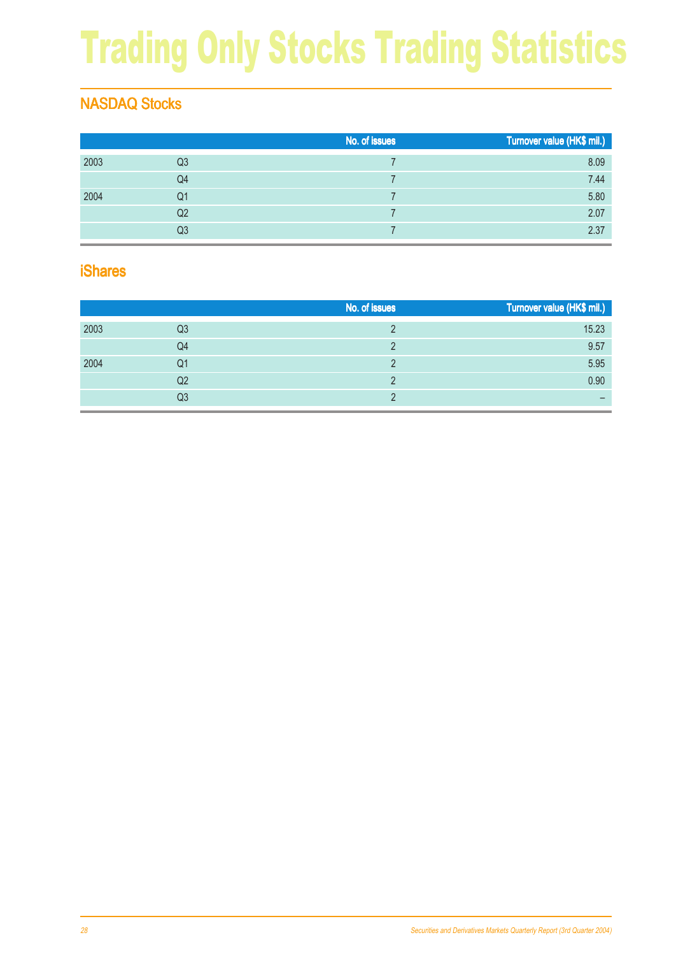# Trading Only Stocks Trading Statistics

## NASDAQ Stocks

|      |                | No. of issues | Turnover value (HK\$ mil.) |
|------|----------------|---------------|----------------------------|
| 2003 | Q <sub>3</sub> |               | 8.09                       |
|      | Q4             |               | 7.44                       |
| 2004 | Q1             |               | 5.80                       |
|      | Q2             |               | 2.07                       |
|      | Q <sub>3</sub> |               | 2.37                       |

#### iShares

|      |    | No. of issues | Turnover value (HK\$ mil.) |
|------|----|---------------|----------------------------|
| 2003 | Q3 |               | 15.23                      |
|      | Q4 |               | 9.57                       |
| 2004 | Q1 |               | 5.95                       |
|      | Q2 |               | 0.90                       |
|      | Q3 |               | -                          |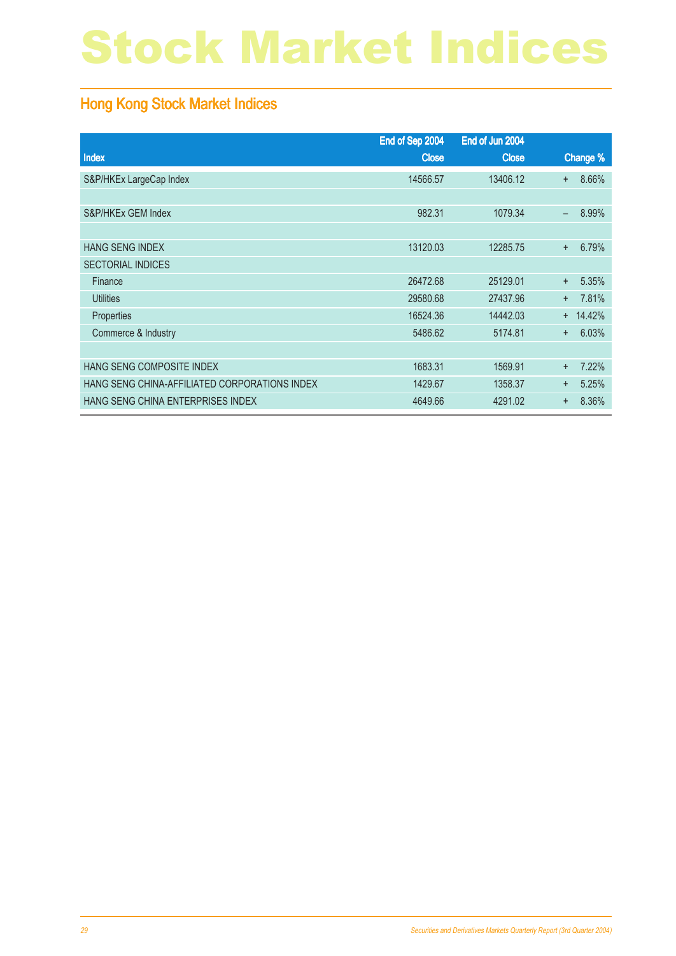# Stock Market Indices

### Hong Kong Stock Market Indices

|                                               | End of Sep 2004 | End of Jun 2004 |           |          |
|-----------------------------------------------|-----------------|-----------------|-----------|----------|
| Index                                         | <b>Close</b>    | <b>Close</b>    |           | Change % |
| S&P/HKEx LargeCap Index                       | 14566.57        | 13406.12        | $\ddot{}$ | 8.66%    |
|                                               |                 |                 |           |          |
| S&P/HKEx GEM Index                            | 982.31          | 1079.34         | $\equiv$  | 8.99%    |
|                                               |                 |                 |           |          |
| <b>HANG SENG INDEX</b>                        | 13120.03        | 12285.75        | $+$       | 6.79%    |
| <b>SECTORIAL INDICES</b>                      |                 |                 |           |          |
| Finance                                       | 26472.68        | 25129.01        | $+$       | 5.35%    |
| <b>Utilities</b>                              | 29580.68        | 27437.96        | $\ddot{}$ | 7.81%    |
| Properties                                    | 16524.36        | 14442.03        | $+$       | 14.42%   |
| Commerce & Industry                           | 5486.62         | 5174.81         | $+$       | 6.03%    |
|                                               |                 |                 |           |          |
| HANG SENG COMPOSITE INDEX                     | 1683.31         | 1569.91         | $+$       | 7.22%    |
| HANG SENG CHINA-AFFILIATED CORPORATIONS INDEX | 1429.67         | 1358.37         | $+$       | 5.25%    |
| HANG SENG CHINA ENTERPRISES INDEX             | 4649.66         | 4291.02         | $\ddot{}$ | 8.36%    |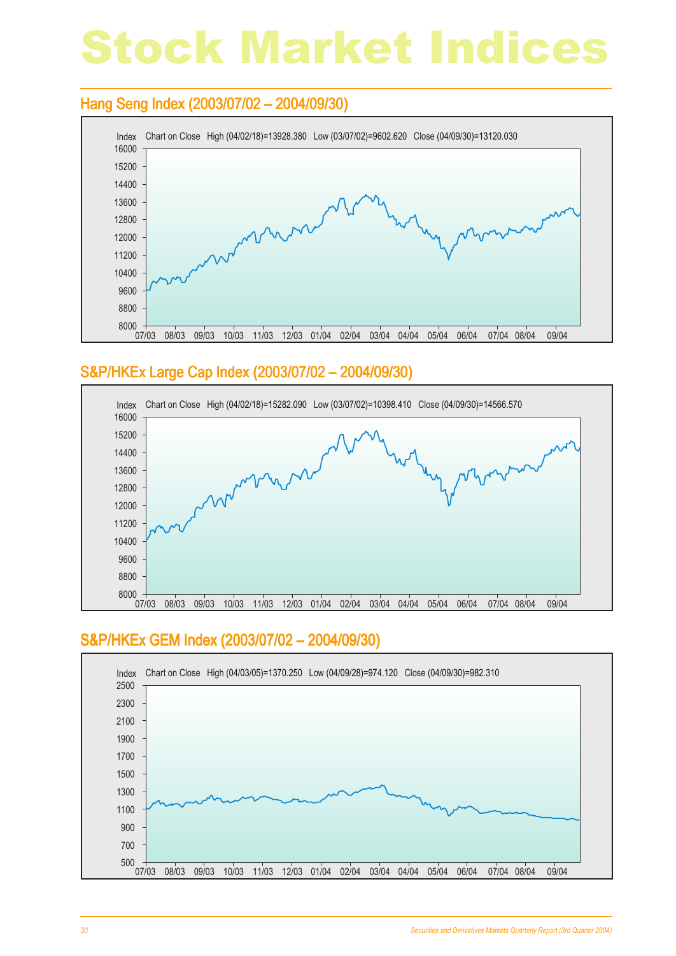# Stock Market Indices

#### Hang Seng Index (2003/07/02 - 2004/09/30)



#### S&P/HKEx Large Cap Index (2003/07/02 – 2004/09/30)



#### S&P/HKEx GEM Index (2003/07/02 – 2004/09/30)

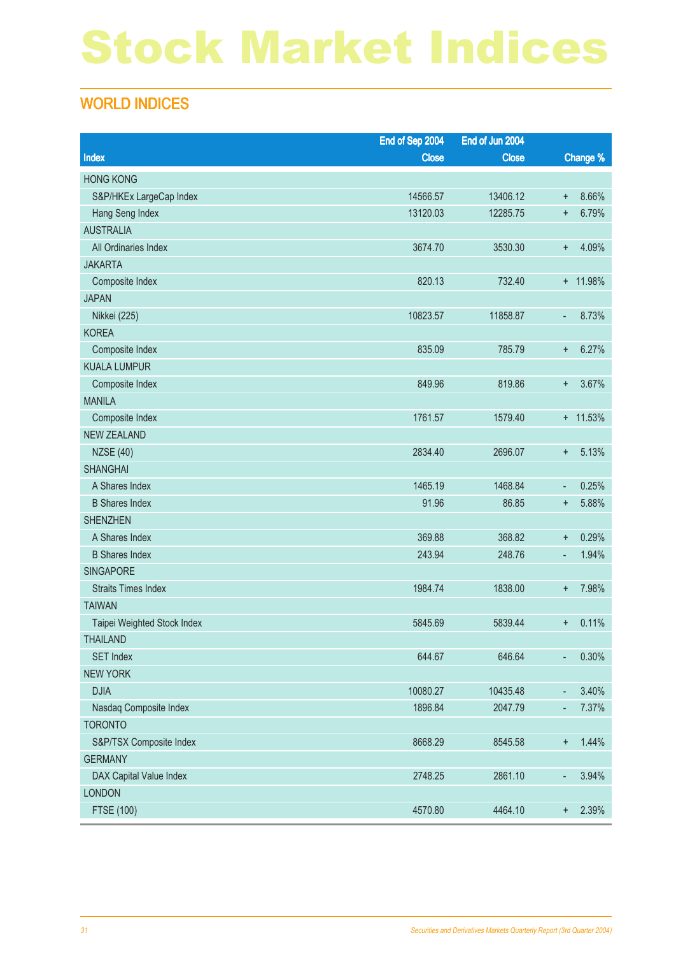# Stock Market Indices

## WORLD INDICES

|                             | End of Sep 2004 | End of Jun 2004 |            |            |
|-----------------------------|-----------------|-----------------|------------|------------|
| Index                       | <b>Close</b>    | <b>Close</b>    |            | Change %   |
| <b>HONG KONG</b>            |                 |                 |            |            |
| S&P/HKEx LargeCap Index     | 14566.57        | 13406.12        | $\ddot{}$  | 8.66%      |
| Hang Seng Index             | 13120.03        | 12285.75        | $\ddot{}$  | 6.79%      |
| <b>AUSTRALIA</b>            |                 |                 |            |            |
| All Ordinaries Index        | 3674.70         | 3530.30         | $\ddagger$ | 4.09%      |
| <b>JAKARTA</b>              |                 |                 |            |            |
| Composite Index             | 820.13          | 732.40          |            | + 11.98%   |
| <b>JAPAN</b>                |                 |                 |            |            |
| Nikkei (225)                | 10823.57        | 11858.87        | ٠          | 8.73%      |
| <b>KOREA</b>                |                 |                 |            |            |
| Composite Index             | 835.09          | 785.79          | $\ddot{}$  | 6.27%      |
| <b>KUALA LUMPUR</b>         |                 |                 |            |            |
| Composite Index             | 849.96          | 819.86          | $\ddot{}$  | 3.67%      |
| <b>MANILA</b>               |                 |                 |            |            |
| Composite Index             | 1761.57         | 1579.40         |            | $+ 11.53%$ |
| <b>NEW ZEALAND</b>          |                 |                 |            |            |
| <b>NZSE (40)</b>            | 2834.40         | 2696.07         | $\ddot{}$  | 5.13%      |
| <b>SHANGHAI</b>             |                 |                 |            |            |
| A Shares Index              | 1465.19         | 1468.84         | ٠          | 0.25%      |
| <b>B</b> Shares Index       | 91.96           | 86.85           | $\ddot{}$  | 5.88%      |
| <b>SHENZHEN</b>             |                 |                 |            |            |
| A Shares Index              | 369.88          | 368.82          | $\ddot{}$  | 0.29%      |
| <b>B</b> Shares Index       | 243.94          | 248.76          | ٠          | 1.94%      |
| SINGAPORE                   |                 |                 |            |            |
| <b>Straits Times Index</b>  | 1984.74         | 1838.00         | $\ddot{}$  | 7.98%      |
| <b>TAIWAN</b>               |                 |                 |            |            |
| Taipei Weighted Stock Index | 5845.69         | 5839.44         | $\ddagger$ | 0.11%      |
| <b>THAILAND</b>             |                 |                 |            |            |
| <b>SET Index</b>            | 644.67          | 646.64          | ٠          | 0.30%      |
| <b>NEW YORK</b>             |                 |                 |            |            |
| <b>DJIA</b>                 | 10080.27        | 10435.48        | ٠          | 3.40%      |
| Nasdaq Composite Index      | 1896.84         | 2047.79         | ÷          | 7.37%      |
| <b>TORONTO</b>              |                 |                 |            |            |
| S&P/TSX Composite Index     | 8668.29         | 8545.58         | $\ddot{}$  | 1.44%      |
| <b>GERMANY</b>              |                 |                 |            |            |
| DAX Capital Value Index     | 2748.25         | 2861.10         | ÷          | 3.94%      |
| <b>LONDON</b>               |                 |                 |            |            |
| <b>FTSE (100)</b>           | 4570.80         | 4464.10         | $\ddot{}$  | 2.39%      |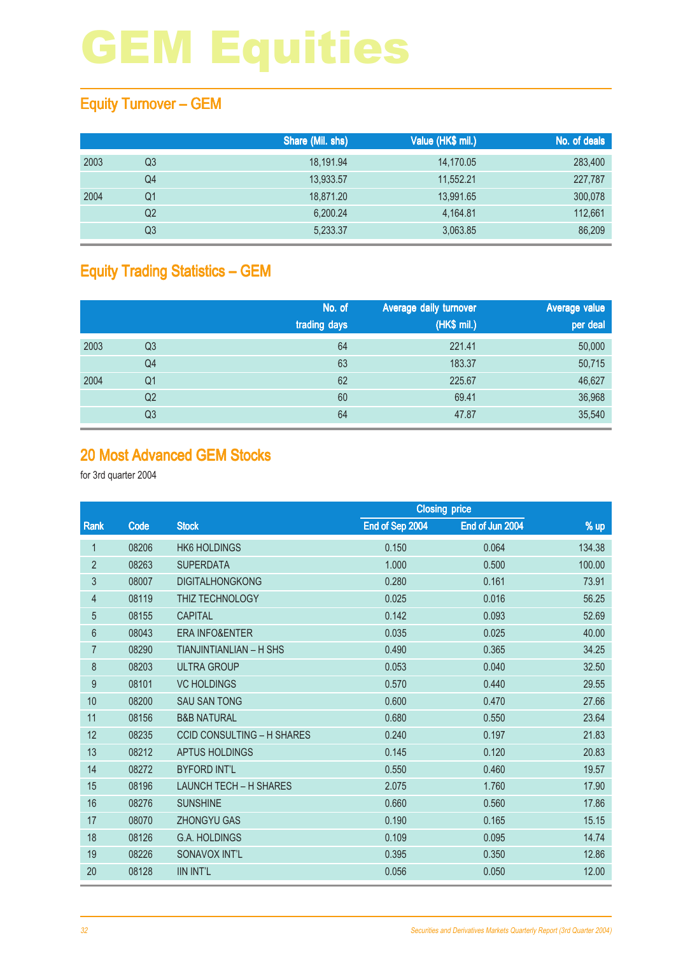## Equity Turnover – GEM

|      |                | Share (Mil. shs) | Value (HK\$ mil.) | No. of deals |
|------|----------------|------------------|-------------------|--------------|
| 2003 | Q3             | 18,191.94        | 14,170.05         | 283,400      |
|      | Q4             | 13,933.57        | 11,552.21         | 227,787      |
| 2004 | Q1             | 18,871.20        | 13,991.65         | 300,078      |
|      | Q <sub>2</sub> | 6,200.24         | 4,164.81          | 112,661      |
|      | Q3             | 5,233.37         | 3,063.85          | 86,209       |

## Equity Trading Statistics – GEM

|      |                | No. of<br>trading days | Average daily turnover<br>(HK\$ mil.) | Average value<br>per deal |
|------|----------------|------------------------|---------------------------------------|---------------------------|
| 2003 | Q <sub>3</sub> | 64                     | 221.41                                | 50,000                    |
|      | Q4             | 63                     | 183.37                                | 50,715                    |
| 2004 | Q <sub>1</sub> | 62                     | 225.67                                | 46,627                    |
|      | Q <sub>2</sub> | 60                     | 69.41                                 | 36,968                    |
|      | Q3             | 64                     | 47.87                                 | 35,540                    |

#### 20 Most Advanced GEM Stocks

|                 |       |                                   |                 | <b>Closing price</b> |        |
|-----------------|-------|-----------------------------------|-----------------|----------------------|--------|
| Rank            | Code  | <b>Stock</b>                      | End of Sep 2004 | End of Jun 2004      | % up   |
| 1               | 08206 | <b>HK6 HOLDINGS</b>               | 0.150           | 0.064                | 134.38 |
| $\overline{2}$  | 08263 | <b>SUPERDATA</b>                  | 1.000           | 0.500                | 100.00 |
| 3               | 08007 | <b>DIGITALHONGKONG</b>            | 0.280           | 0.161                | 73.91  |
| $\overline{4}$  | 08119 | THIZ TECHNOLOGY                   | 0.025           | 0.016                | 56.25  |
| $\overline{5}$  | 08155 | <b>CAPITAL</b>                    | 0.142           | 0.093                | 52.69  |
| $6\phantom{.}6$ | 08043 | <b>ERA INFO&amp;ENTER</b>         | 0.035           | 0.025                | 40.00  |
| $\overline{7}$  | 08290 | <b>TIANJINTIANLIAN - H SHS</b>    | 0.490           | 0.365                | 34.25  |
| 8               | 08203 | <b>ULTRA GROUP</b>                | 0.053           | 0.040                | 32.50  |
| 9               | 08101 | <b>VC HOLDINGS</b>                | 0.570           | 0.440                | 29.55  |
| 10              | 08200 | <b>SAU SAN TONG</b>               | 0.600           | 0.470                | 27.66  |
| 11              | 08156 | <b>B&amp;B NATURAL</b>            | 0.680           | 0.550                | 23.64  |
| 12              | 08235 | <b>CCID CONSULTING - H SHARES</b> | 0.240           | 0.197                | 21.83  |
| 13              | 08212 | APTUS HOLDINGS                    | 0.145           | 0.120                | 20.83  |
| 14              | 08272 | <b>BYFORD INT'L</b>               | 0.550           | 0.460                | 19.57  |
| 15              | 08196 | <b>LAUNCH TECH - H SHARES</b>     | 2.075           | 1.760                | 17.90  |
| 16              | 08276 | <b>SUNSHINE</b>                   | 0.660           | 0.560                | 17.86  |
| 17              | 08070 | <b>ZHONGYU GAS</b>                | 0.190           | 0.165                | 15.15  |
| 18              | 08126 | <b>G.A. HOLDINGS</b>              | 0.109           | 0.095                | 14.74  |
| 19              | 08226 | SONAVOX INT'L                     | 0.395           | 0.350                | 12.86  |
| 20              | 08128 | <b>IIN INT'L</b>                  | 0.056           | 0.050                | 12.00  |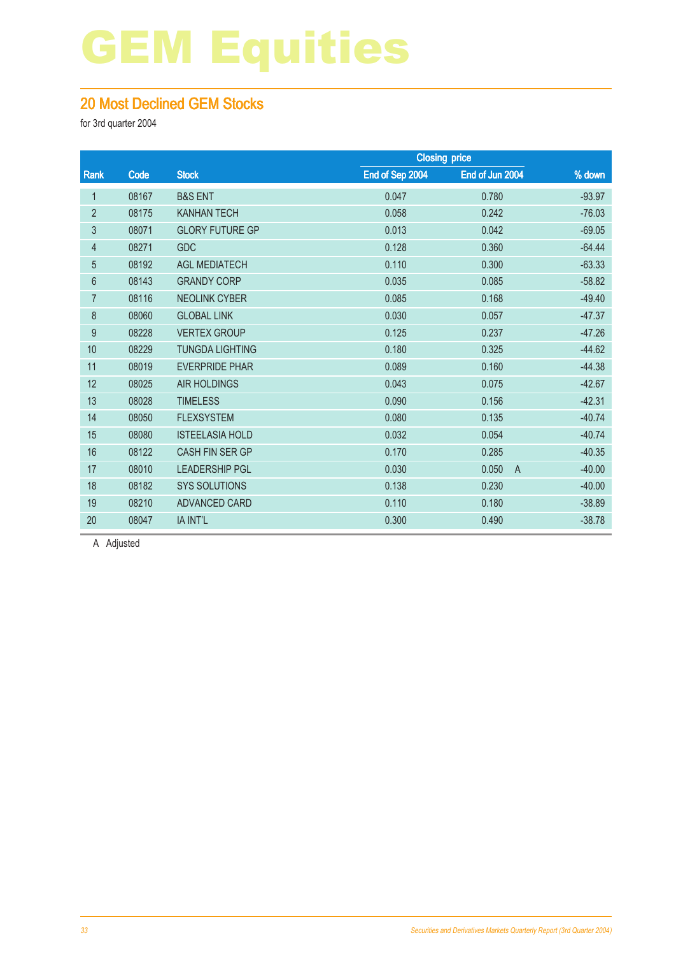### 20 Most Declined GEM Stocks

for 3rd quarter 2004

|       |                        |                 | <b>Closing price</b>    |          |  |
|-------|------------------------|-----------------|-------------------------|----------|--|
| Code  | <b>Stock</b>           | End of Sep 2004 | End of Jun 2004         | % down   |  |
| 08167 | <b>B&amp;S ENT</b>     | 0.047           | 0.780                   | $-93.97$ |  |
| 08175 | <b>KANHAN TECH</b>     | 0.058           | 0.242                   | $-76.03$ |  |
| 08071 | <b>GLORY FUTURE GP</b> | 0.013           | 0.042                   | $-69.05$ |  |
| 08271 | <b>GDC</b>             | 0.128           | 0.360                   | $-64.44$ |  |
| 08192 | <b>AGL MEDIATECH</b>   | 0.110           | 0.300                   | $-63.33$ |  |
| 08143 | <b>GRANDY CORP</b>     | 0.035           | 0.085                   | $-58.82$ |  |
| 08116 | <b>NEOLINK CYBER</b>   | 0.085           | 0.168                   | $-49.40$ |  |
| 08060 | <b>GLOBAL LINK</b>     | 0.030           | 0.057                   | $-47.37$ |  |
| 08228 | <b>VERTEX GROUP</b>    | 0.125           | 0.237                   | $-47.26$ |  |
| 08229 | <b>TUNGDA LIGHTING</b> | 0.180           | 0.325                   | $-44.62$ |  |
| 08019 | <b>EVERPRIDE PHAR</b>  | 0.089           | 0.160                   | $-44.38$ |  |
| 08025 | <b>AIR HOLDINGS</b>    | 0.043           | 0.075                   | $-42.67$ |  |
| 08028 | <b>TIMELESS</b>        | 0.090           | 0.156                   | $-42.31$ |  |
| 08050 | <b>FLEXSYSTEM</b>      | 0.080           | 0.135                   | $-40.74$ |  |
| 08080 | <b>ISTEELASIA HOLD</b> | 0.032           | 0.054                   | $-40.74$ |  |
| 08122 | <b>CASH FIN SER GP</b> | 0.170           | 0.285                   | $-40.35$ |  |
| 08010 | <b>LEADERSHIP PGL</b>  | 0.030           | 0.050<br>$\overline{A}$ | $-40.00$ |  |
| 08182 | <b>SYS SOLUTIONS</b>   | 0.138           | 0.230                   | $-40.00$ |  |
| 08210 | ADVANCED CARD          | 0.110           | 0.180                   | $-38.89$ |  |
| 08047 | IA INT'L               | 0.300           | 0.490                   | $-38.78$ |  |
|       |                        |                 |                         |          |  |

A Adjusted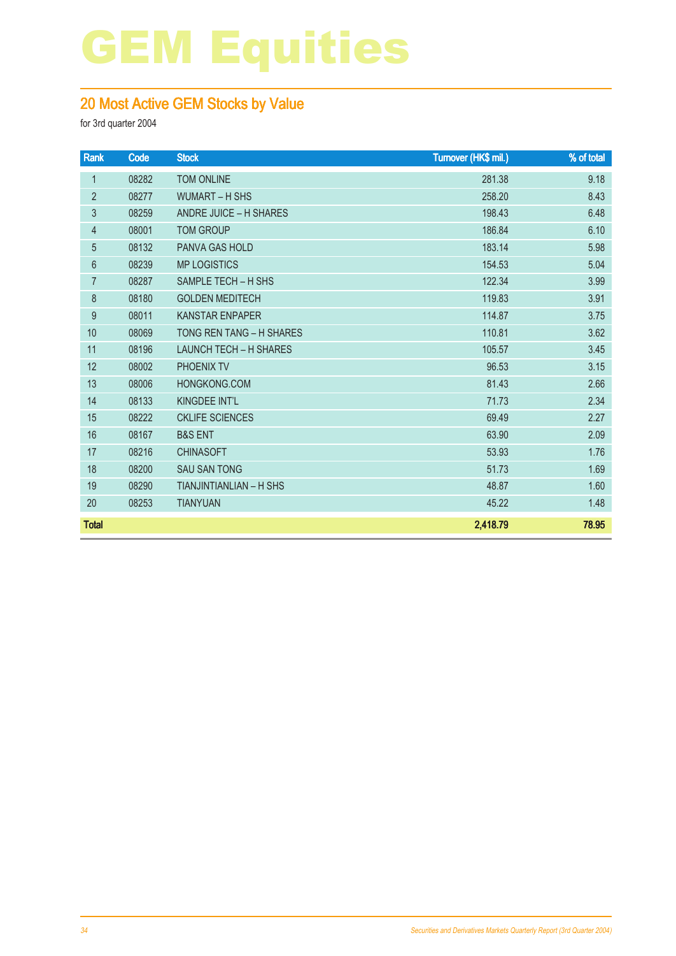## 20 Most Active GEM Stocks by Value

| Rank           | Code  | <b>Stock</b>                   | Turnover (HK\$ mil.) | % of total |
|----------------|-------|--------------------------------|----------------------|------------|
| $\mathbf{1}$   | 08282 | <b>TOM ONLINE</b>              | 281.38               | 9.18       |
| $\overline{2}$ | 08277 | <b>WUMART - H SHS</b>          | 258.20               | 8.43       |
| 3              | 08259 | ANDRE JUICE - H SHARES         | 198.43               | 6.48       |
| $\overline{4}$ | 08001 | <b>TOM GROUP</b>               | 186.84               | 6.10       |
| $\overline{5}$ | 08132 | <b>PANVA GAS HOLD</b>          | 183.14               | 5.98       |
| $6\phantom{a}$ | 08239 | <b>MP LOGISTICS</b>            | 154.53               | 5.04       |
| $\overline{7}$ | 08287 | SAMPLE TECH - H SHS            | 122.34               | 3.99       |
| $\bf 8$        | 08180 | <b>GOLDEN MEDITECH</b>         | 119.83               | 3.91       |
| 9              | 08011 | <b>KANSTAR ENPAPER</b>         | 114.87               | 3.75       |
| 10             | 08069 | TONG REN TANG - H SHARES       | 110.81               | 3.62       |
| 11             | 08196 | <b>LAUNCH TECH - H SHARES</b>  | 105.57               | 3.45       |
| 12             | 08002 | PHOENIX TV                     | 96.53                | 3.15       |
| 13             | 08006 | HONGKONG.COM                   | 81.43                | 2.66       |
| 14             | 08133 | KINGDEE INT'L                  | 71.73                | 2.34       |
| 15             | 08222 | <b>CKLIFE SCIENCES</b>         | 69.49                | 2.27       |
| 16             | 08167 | <b>B&amp;S ENT</b>             | 63.90                | 2.09       |
| 17             | 08216 | <b>CHINASOFT</b>               | 53.93                | 1.76       |
| 18             | 08200 | <b>SAU SAN TONG</b>            | 51.73                | 1.69       |
| 19             | 08290 | <b>TIANJINTIANLIAN - H SHS</b> | 48.87                | 1.60       |
| 20             | 08253 | <b>TIANYUAN</b>                | 45.22                | 1.48       |
| <b>Total</b>   |       |                                | 2,418.79             | 78.95      |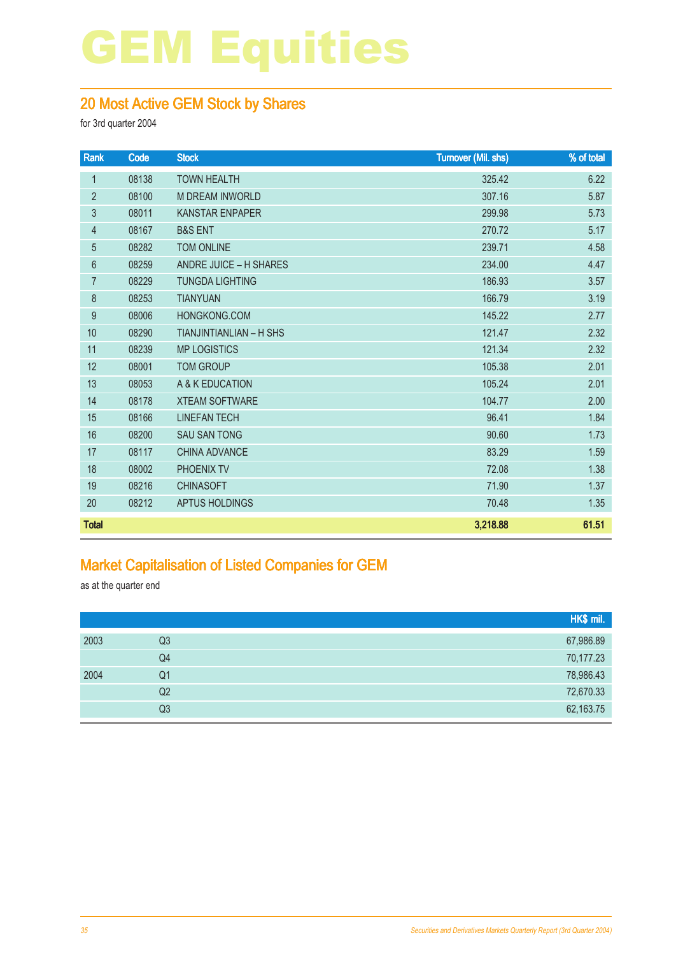## 20 Most Active GEM Stock by Shares

for 3rd quarter 2004

| Rank           | Code  | <b>Stock</b>                   | <b>Turnover (Mil. shs)</b> | % of total |
|----------------|-------|--------------------------------|----------------------------|------------|
| $\mathbf{1}$   | 08138 | <b>TOWN HEALTH</b>             | 325.42                     | 6.22       |
| $\overline{2}$ | 08100 | <b>M DREAM INWORLD</b>         | 307.16                     | 5.87       |
| 3              | 08011 | <b>KANSTAR ENPAPER</b>         | 299.98                     | 5.73       |
| $\overline{4}$ | 08167 | <b>B&amp;S ENT</b>             | 270.72                     | 5.17       |
| $\overline{5}$ | 08282 | <b>TOM ONLINE</b>              | 239.71                     | 4.58       |
| $6\,$          | 08259 | ANDRE JUICE - H SHARES         | 234.00                     | 4.47       |
| $\overline{7}$ | 08229 | <b>TUNGDA LIGHTING</b>         | 186.93                     | 3.57       |
| 8              | 08253 | <b>TIANYUAN</b>                | 166.79                     | 3.19       |
| 9              | 08006 | HONGKONG.COM                   | 145.22                     | 2.77       |
| 10             | 08290 | <b>TIANJINTIANLIAN - H SHS</b> | 121.47                     | 2.32       |
| 11             | 08239 | <b>MP LOGISTICS</b>            | 121.34                     | 2.32       |
| 12             | 08001 | <b>TOM GROUP</b>               | 105.38                     | 2.01       |
| 13             | 08053 | A & K EDUCATION                | 105.24                     | 2.01       |
| 14             | 08178 | <b>XTEAM SOFTWARE</b>          | 104.77                     | 2.00       |
| 15             | 08166 | <b>LINEFAN TECH</b>            | 96.41                      | 1.84       |
| 16             | 08200 | <b>SAU SAN TONG</b>            | 90.60                      | 1.73       |
| 17             | 08117 | <b>CHINA ADVANCE</b>           | 83.29                      | 1.59       |
| 18             | 08002 | PHOENIX TV                     | 72.08                      | 1.38       |
| 19             | 08216 | <b>CHINASOFT</b>               | 71.90                      | 1.37       |
| 20             | 08212 | APTUS HOLDINGS                 | 70.48                      | 1.35       |
| <b>Total</b>   |       |                                | 3,218.88                   | 61.51      |

## Market Capitalisation of Listed Companies for GEM

as at the quarter end

|      |                | HK\$ mil. |
|------|----------------|-----------|
| 2003 | Q <sub>3</sub> | 67,986.89 |
|      | Q4             | 70,177.23 |
| 2004 | Q <sub>1</sub> | 78,986.43 |
|      | Q2             | 72,670.33 |
|      | Q <sub>3</sub> | 62,163.75 |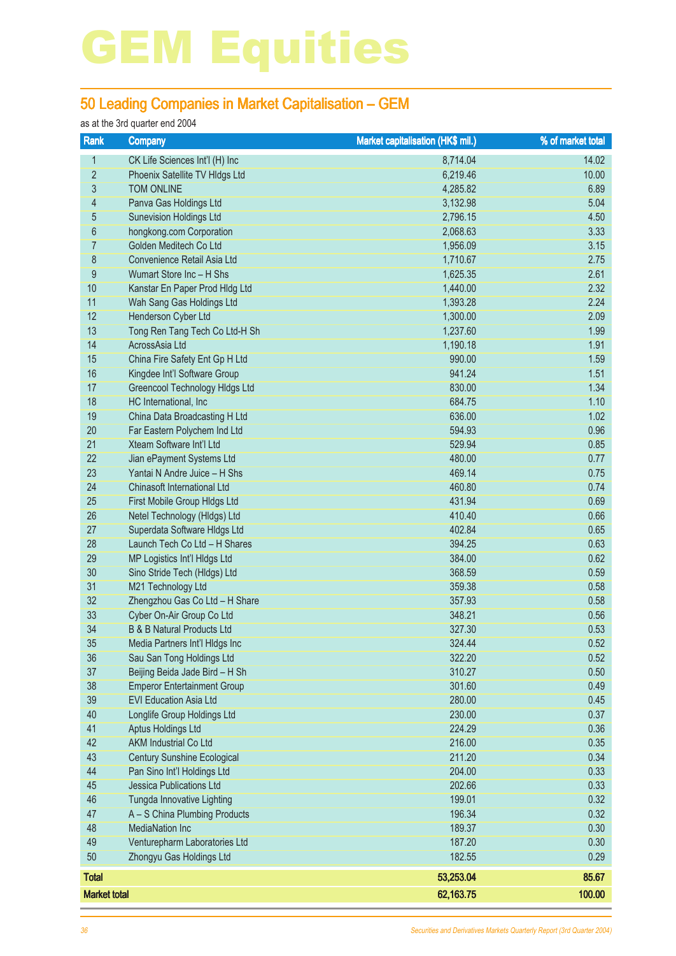## 50 Leading Companies in Market Capitalisation – GEM

#### as at the 3rd quarter end 2004

| Rank                | <b>Company</b>                        | Market capitalisation (HK\$ mil.) | % of market total |
|---------------------|---------------------------------------|-----------------------------------|-------------------|
| 1                   | CK Life Sciences Int'l (H) Inc        | 8,714.04                          | 14.02             |
| $\overline{2}$      | Phoenix Satellite TV Hldgs Ltd        | 6,219.46                          | 10.00             |
| 3                   | <b>TOM ONLINE</b>                     | 4,285.82                          | 6.89              |
| 4                   | Panva Gas Holdings Ltd                | 3,132.98                          | 5.04              |
| 5                   | <b>Sunevision Holdings Ltd</b>        | 2,796.15                          | 4.50              |
| 6                   | hongkong.com Corporation              | 2,068.63                          | 3.33              |
| $\overline{7}$      | Golden Meditech Co Ltd                | 1,956.09                          | 3.15              |
| 8                   | Convenience Retail Asia Ltd           | 1,710.67                          | 2.75              |
| 9                   | Wumart Store Inc - H Shs              | 1,625.35                          | 2.61              |
| 10                  | Kanstar En Paper Prod Hldg Ltd        | 1,440.00                          | 2.32              |
| 11                  | Wah Sang Gas Holdings Ltd             | 1,393.28                          | 2.24              |
| 12                  | Henderson Cyber Ltd                   | 1,300.00                          | 2.09              |
| 13                  | Tong Ren Tang Tech Co Ltd-H Sh        | 1,237.60                          | 1.99              |
| 14                  | AcrossAsia Ltd                        | 1,190.18                          | 1.91              |
| 15                  | China Fire Safety Ent Gp H Ltd        | 990.00                            | 1.59              |
| 16                  | Kingdee Int'l Software Group          | 941.24                            | 1.51              |
| 17                  | Greencool Technology Hidgs Ltd        | 830.00                            | 1.34              |
| 18                  | HC International, Inc                 | 684.75                            | 1.10              |
| 19                  | China Data Broadcasting H Ltd         | 636.00                            | 1.02              |
| 20                  | Far Eastern Polychem Ind Ltd          | 594.93                            | 0.96              |
| 21                  | Xteam Software Int'l Ltd              | 529.94                            | 0.85              |
| 22                  | Jian ePayment Systems Ltd             | 480.00                            | 0.77              |
| 23                  | Yantai N Andre Juice - H Shs          | 469.14                            | 0.75              |
| 24                  | Chinasoft International Ltd           | 460.80                            | 0.74              |
| 25                  | First Mobile Group HIdgs Ltd          | 431.94                            | 0.69              |
| 26                  | Netel Technology (HIdgs) Ltd          | 410.40                            | 0.66              |
| 27                  | Superdata Software Hidgs Ltd          | 402.84                            | 0.65              |
| 28                  | Launch Tech Co Ltd - H Shares         | 394.25                            | 0.63              |
| 29                  | MP Logistics Int'l Hldgs Ltd          | 384.00                            | 0.62              |
| 30                  | Sino Stride Tech (Hldgs) Ltd          | 368.59                            | 0.59              |
| 31                  | M21 Technology Ltd                    | 359.38                            | 0.58              |
| 32                  | Zhengzhou Gas Co Ltd - H Share        | 357.93                            | 0.58              |
| 33                  | Cyber On-Air Group Co Ltd             | 348.21                            | 0.56              |
| 34                  | <b>B &amp; B Natural Products Ltd</b> | 327.30                            | 0.53              |
| 35                  | Media Partners Int'l Hidgs Inc        | 324.44                            | 0.52              |
| 36                  | Sau San Tong Holdings Ltd             | 322.20                            | 0.52              |
| 37                  | Beijing Beida Jade Bird - H Sh        | 310.27                            | 0.50              |
| 38                  | <b>Emperor Entertainment Group</b>    | 301.60                            | 0.49              |
| 39                  | <b>EVI Education Asia Ltd</b>         | 280.00                            | 0.45              |
| 40                  | Longlife Group Holdings Ltd           | 230.00                            | 0.37              |
| 41                  | <b>Aptus Holdings Ltd</b>             | 224.29                            | 0.36              |
| 42                  | <b>AKM Industrial Co Ltd</b>          | 216.00                            | 0.35              |
| 43                  | <b>Century Sunshine Ecological</b>    | 211.20                            | 0.34              |
| 44                  | Pan Sino Int'l Holdings Ltd           | 204.00                            | 0.33              |
| 45                  | <b>Jessica Publications Ltd</b>       | 202.66                            | 0.33              |
| 46                  | Tungda Innovative Lighting            | 199.01                            | 0.32              |
| 47                  | A - S China Plumbing Products         | 196.34                            | 0.32              |
| 48                  | <b>MediaNation Inc</b>                | 189.37                            | 0.30              |
| 49                  | Venturepharm Laboratories Ltd         | 187.20                            | 0.30              |
| 50                  | Zhongyu Gas Holdings Ltd              | 182.55                            | 0.29              |
| <b>Total</b>        |                                       | 53,253.04                         | 85.67             |
| <b>Market total</b> |                                       | 62,163.75                         | 100.00            |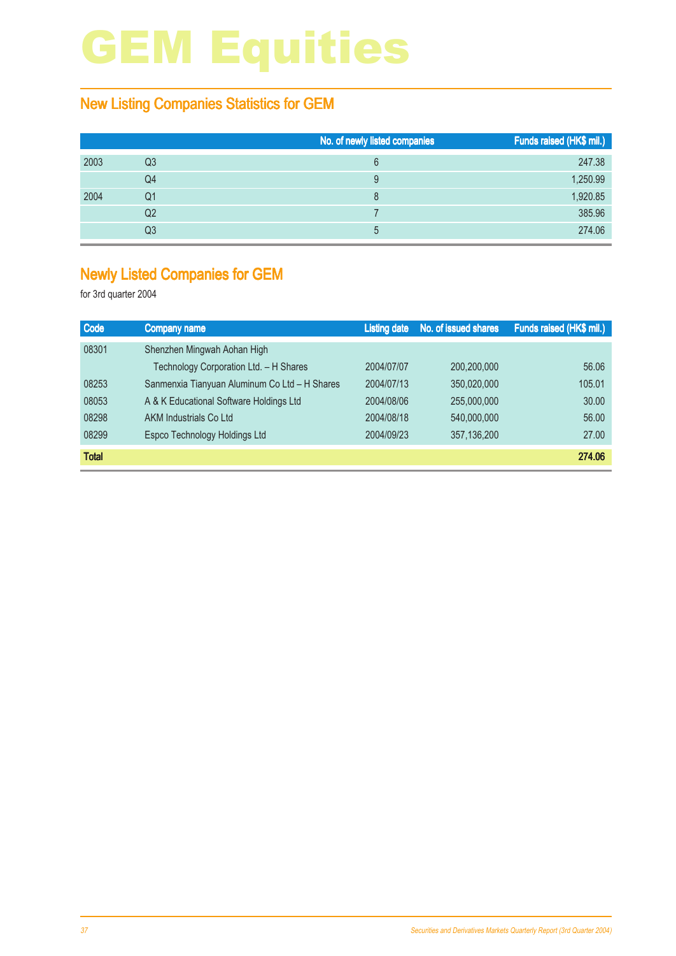## New Listing Companies Statistics for GEM

|      |    | No. of newly listed companies | Funds raised (HK\$ mil.) |
|------|----|-------------------------------|--------------------------|
| 2003 | Q3 | 6                             | 247.38                   |
|      | Q4 | 9                             | 1,250.99                 |
| 2004 | Q1 | 8                             | 1,920.85                 |
|      | Q2 |                               | 385.96                   |
|      | Q3 | 5                             | 274.06                   |

#### Newly Listed Companies for GEM

| Code         | <b>Company name</b>                           | Listing date | No. of issued shares | Funds raised (HK\$ mil.) |
|--------------|-----------------------------------------------|--------------|----------------------|--------------------------|
| 08301        | Shenzhen Mingwah Aohan High                   |              |                      |                          |
|              | Technology Corporation Ltd. - H Shares        | 2004/07/07   | 200,200,000          | 56.06                    |
| 08253        | Sanmenxia Tianyuan Aluminum Co Ltd - H Shares | 2004/07/13   | 350,020,000          | 105.01                   |
| 08053        | A & K Educational Software Holdings Ltd       | 2004/08/06   | 255,000,000          | 30.00                    |
| 08298        | AKM Industrials Co Ltd                        | 2004/08/18   | 540,000,000          | 56.00                    |
| 08299        | Espco Technology Holdings Ltd                 | 2004/09/23   | 357, 136, 200        | 27.00                    |
| <b>Total</b> |                                               |              |                      | 274.06                   |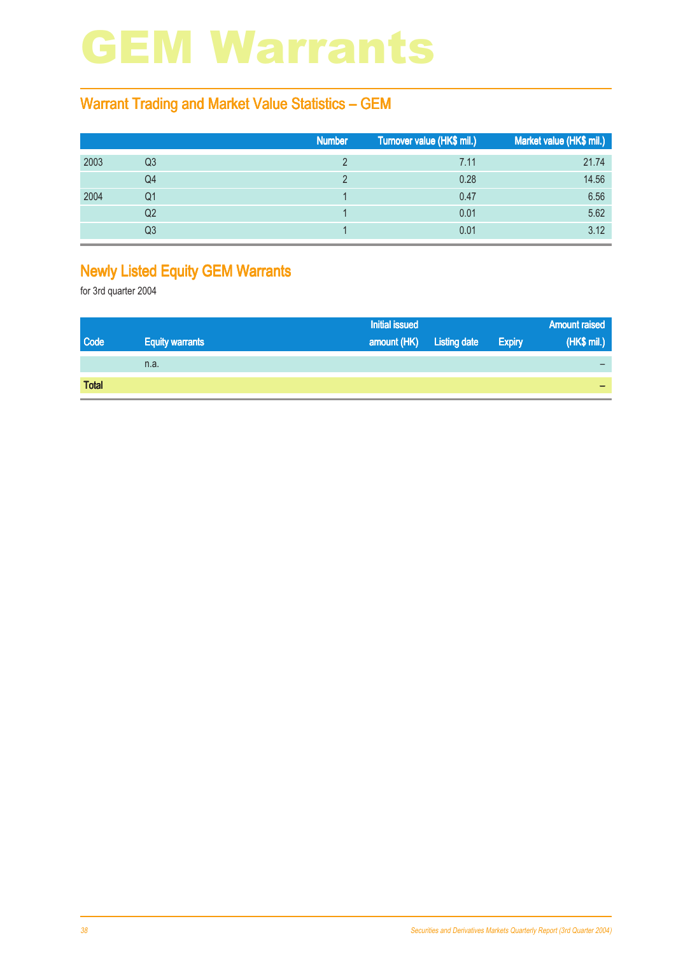## GEM Warrants

## Warrant Trading and Market Value Statistics – GEM

|    | Number | Turnover value (HK\$ mil.) | Market value (HK\$ mil.) |
|----|--------|----------------------------|--------------------------|
| Q3 |        | 7.11                       | 21.74                    |
| Q4 |        | 0.28                       | 14.56                    |
| Q1 |        | 0.47                       | 6.56                     |
| Q2 |        | 0.01                       | 5.62                     |
| Q3 |        | 0.01                       | 3.12                     |
|    |        |                            |                          |

## Newly Listed Equity GEM Warrants

|              |                        | <b>Initial issued</b> |                     |               | <b>Amount raised</b> |
|--------------|------------------------|-----------------------|---------------------|---------------|----------------------|
| Code         | <b>Equity warrants</b> | amount (HK)           | <b>Listing date</b> | <b>Expiry</b> | (HK\$ mil.)          |
|              | n.a.                   |                       |                     |               |                      |
| <b>Total</b> |                        |                       |                     |               | -                    |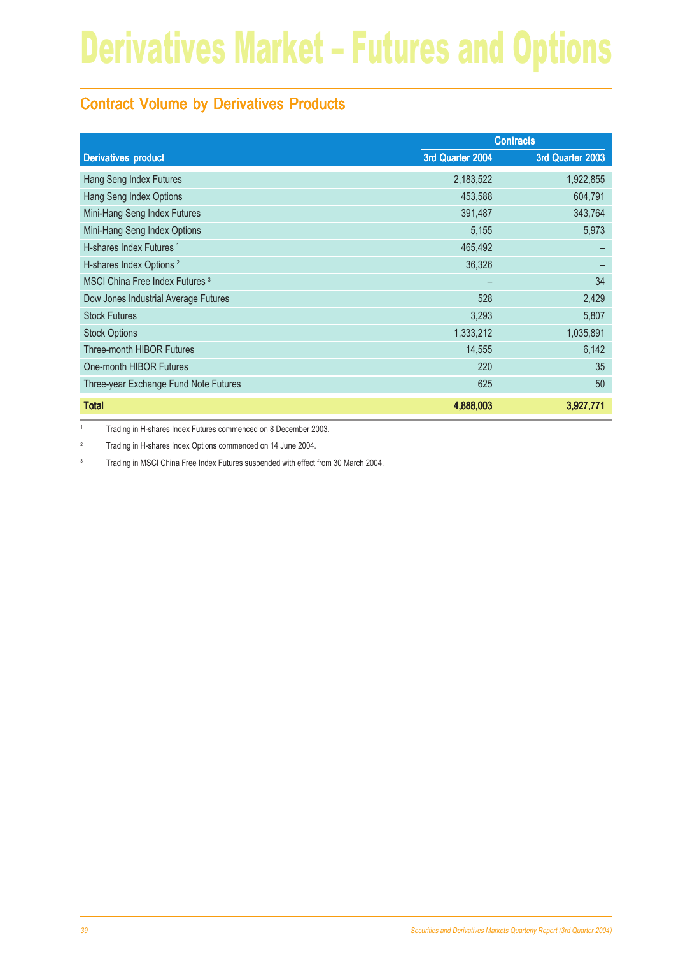## Contract Volume by Derivatives Products

|                                            | <b>Contracts</b> |                  |
|--------------------------------------------|------------------|------------------|
| <b>Derivatives product</b>                 | 3rd Quarter 2004 | 3rd Quarter 2003 |
| Hang Seng Index Futures                    | 2,183,522        | 1,922,855        |
| Hang Seng Index Options                    | 453,588          | 604,791          |
| Mini-Hang Seng Index Futures               | 391,487          | 343,764          |
| Mini-Hang Seng Index Options               | 5,155            | 5,973            |
| H-shares Index Futures <sup>1</sup>        | 465,492          |                  |
| H-shares Index Options <sup>2</sup>        | 36,326           |                  |
| MSCI China Free Index Futures <sup>3</sup> |                  | 34               |
| Dow Jones Industrial Average Futures       | 528              | 2,429            |
| <b>Stock Futures</b>                       | 3,293            | 5,807            |
| <b>Stock Options</b>                       | 1,333,212        | 1,035,891        |
| Three-month HIBOR Futures                  | 14,555           | 6,142            |
| One-month HIBOR Futures                    | 220              | 35               |
| Three-year Exchange Fund Note Futures      | 625              | 50               |
| <b>Total</b>                               | 4,888,003        | 3,927,771        |

<sup>1</sup> Trading in H-shares Index Futures commenced on 8 December 2003.

<sup>2</sup> Trading in H-shares Index Options commenced on 14 June 2004.

<sup>3</sup> Trading in MSCI China Free Index Futures suspended with effect from 30 March 2004.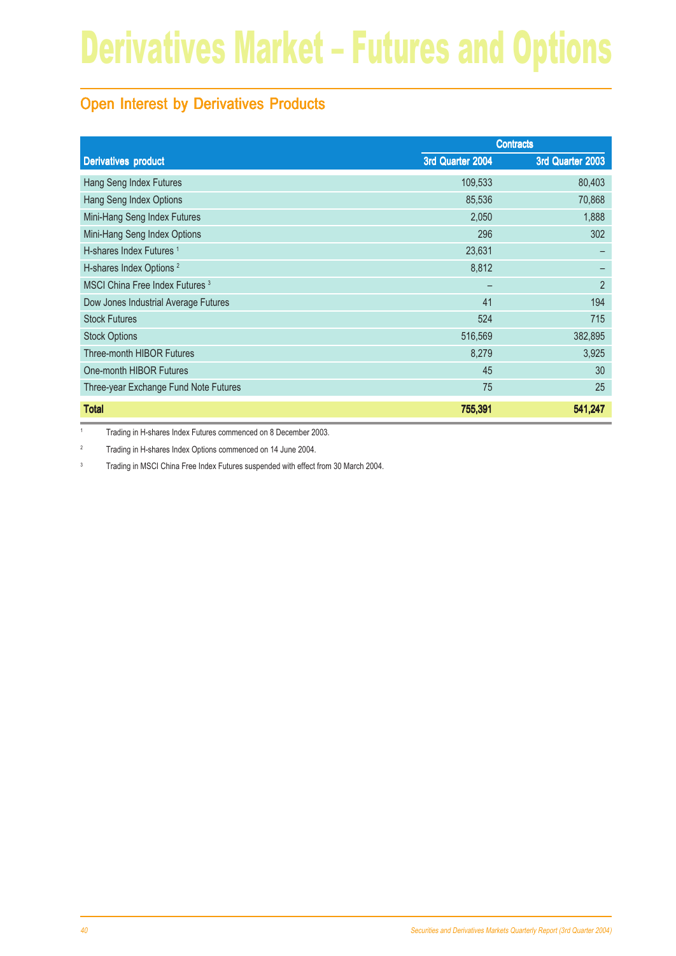## Open Interest by Derivatives Products

|                                            | <b>Contracts</b> |                  |
|--------------------------------------------|------------------|------------------|
| <b>Derivatives product</b>                 | 3rd Quarter 2004 | 3rd Quarter 2003 |
| Hang Seng Index Futures                    | 109,533          | 80,403           |
| Hang Seng Index Options                    | 85,536           | 70,868           |
| Mini-Hang Seng Index Futures               | 2,050            | 1,888            |
| Mini-Hang Seng Index Options               | 296              | 302              |
| H-shares Index Futures <sup>1</sup>        | 23,631           |                  |
| H-shares Index Options <sup>2</sup>        | 8,812            |                  |
| MSCI China Free Index Futures <sup>3</sup> |                  | $\overline{2}$   |
| Dow Jones Industrial Average Futures       | 41               | 194              |
| <b>Stock Futures</b>                       | 524              | 715              |
| <b>Stock Options</b>                       | 516,569          | 382,895          |
| Three-month HIBOR Futures                  | 8,279            | 3,925            |
| One-month HIBOR Futures                    | 45               | 30               |
| Three-year Exchange Fund Note Futures      | 75               | 25               |
| <b>Total</b>                               | 755,391          | 541,247          |

1 Trading in H-shares Index Futures commenced on 8 December 2003.

<sup>2</sup> Trading in H-shares Index Options commenced on 14 June 2004.

<sup>3</sup> Trading in MSCI China Free Index Futures suspended with effect from 30 March 2004.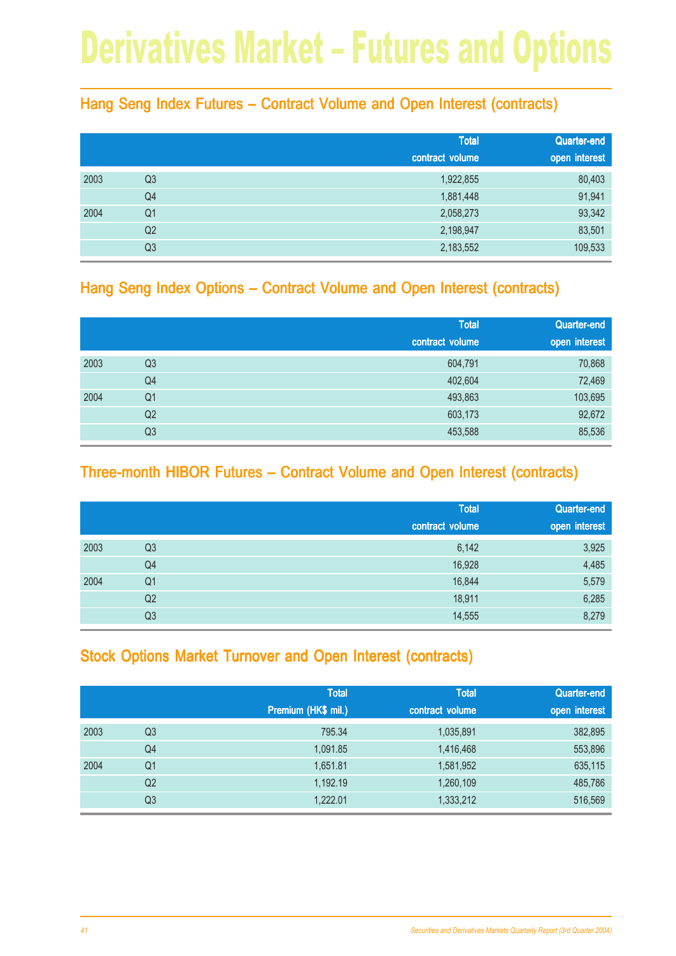#### Hang Seng Index Futures – Contract Volume and Open Interest (contracts)

|      |                | <b>Total</b><br>contract volume | <b>Quarter-end</b><br>open interest |
|------|----------------|---------------------------------|-------------------------------------|
| 2003 | Q3             | 1,922,855                       | 80,403                              |
|      | Q4             | 1,881,448                       | 91,941                              |
| 2004 | Q <sub>1</sub> | 2,058,273                       | 93,342                              |
|      | Q <sub>2</sub> | 2,198,947                       | 83,501                              |
|      | Q <sub>3</sub> | 2,183,552                       | 109,533                             |

#### Hang Seng Index Options – Contract Volume and Open Interest (contracts)

|      |                | <b>Total</b><br>contract volume | Quarter-end<br>open interest |
|------|----------------|---------------------------------|------------------------------|
|      |                |                                 |                              |
| 2003 | Q <sub>3</sub> | 604,791                         | 70,868                       |
|      | Q4             | 402,604                         | 72,469                       |
| 2004 | Q <sub>1</sub> | 493,863                         | 103,695                      |
|      | Q <sub>2</sub> | 603,173                         | 92,672                       |
|      | Q <sub>3</sub> | 453,588                         | 85,536                       |

## Three-month HIBOR Futures – Contract Volume and Open Interest (contracts)

|      |                | <b>Total</b><br>contract volume | Quarter-end<br>open interest |
|------|----------------|---------------------------------|------------------------------|
| 2003 | Q <sub>3</sub> | 6,142                           | 3,925                        |
|      | Q4             | 16,928                          | 4,485                        |
| 2004 | Q <sub>1</sub> | 16,844                          | 5,579                        |
|      | Q <sub>2</sub> | 18,911                          | 6,285                        |
|      | Q3             | 14,555                          | 8,279                        |

#### Stock Options Market Turnover and Open Interest (contracts)

|      |                | <b>Total</b><br>Premium (HK\$ mil.) | <b>Total</b><br>contract volume | Quarter-end<br>open interest |
|------|----------------|-------------------------------------|---------------------------------|------------------------------|
| 2003 | Q3             | 795.34                              | 1,035,891                       | 382,895                      |
|      | Q4             | 1,091.85                            | 1,416,468                       | 553,896                      |
| 2004 | Q1             | 1,651.81                            | 1,581,952                       | 635,115                      |
|      | Q <sub>2</sub> | 1,192.19                            | 1,260,109                       | 485,786                      |
|      | Q <sub>3</sub> | 1,222.01                            | 1,333,212                       | 516,569                      |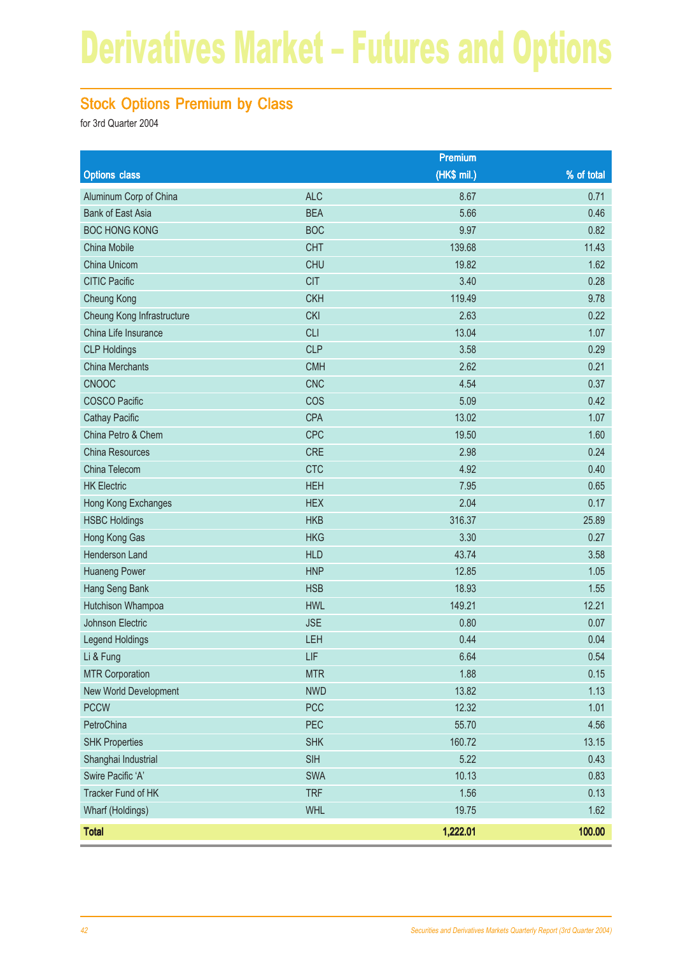## Stock Options Premium by Class

|                            |            | Premium     |            |
|----------------------------|------------|-------------|------------|
| <b>Options class</b>       |            | (HK\$ mil.) | % of total |
| Aluminum Corp of China     | <b>ALC</b> | 8.67        | 0.71       |
| <b>Bank of East Asia</b>   | <b>BEA</b> | 5.66        | 0.46       |
| <b>BOC HONG KONG</b>       | <b>BOC</b> | 9.97        | 0.82       |
| China Mobile               | <b>CHT</b> | 139.68      | 11.43      |
| China Unicom               | <b>CHU</b> | 19.82       | 1.62       |
| <b>CITIC Pacific</b>       | <b>CIT</b> | 3.40        | 0.28       |
| <b>Cheung Kong</b>         | <b>CKH</b> | 119.49      | 9.78       |
| Cheung Kong Infrastructure | <b>CKI</b> | 2.63        | 0.22       |
| China Life Insurance       | <b>CLI</b> | 13.04       | 1.07       |
| <b>CLP Holdings</b>        | <b>CLP</b> | 3.58        | 0.29       |
| <b>China Merchants</b>     | <b>CMH</b> | 2.62        | 0.21       |
| CNOOC                      | <b>CNC</b> | 4.54        | 0.37       |
| <b>COSCO Pacific</b>       | COS        | 5.09        | 0.42       |
| <b>Cathay Pacific</b>      | <b>CPA</b> | 13.02       | 1.07       |
| China Petro & Chem         | <b>CPC</b> | 19.50       | 1.60       |
| China Resources            | <b>CRE</b> | 2.98        | 0.24       |
| China Telecom              | <b>CTC</b> | 4.92        | 0.40       |
| <b>HK Electric</b>         | <b>HEH</b> | 7.95        | 0.65       |
| Hong Kong Exchanges        | <b>HEX</b> | 2.04        | 0.17       |
| <b>HSBC Holdings</b>       | <b>HKB</b> | 316.37      | 25.89      |
| Hong Kong Gas              | <b>HKG</b> | 3.30        | 0.27       |
| Henderson Land             | <b>HLD</b> | 43.74       | 3.58       |
| <b>Huaneng Power</b>       | <b>HNP</b> | 12.85       | 1.05       |
| Hang Seng Bank             | <b>HSB</b> | 18.93       | 1.55       |
| Hutchison Whampoa          | <b>HWL</b> | 149.21      | 12.21      |
| Johnson Electric           | <b>JSE</b> | 0.80        | 0.07       |
| Legend Holdings            | LEH        | 0.44        | 0.04       |
| Li & Fung                  | LIF        | 6.64        | 0.54       |
| <b>MTR Corporation</b>     | <b>MTR</b> | 1.88        | 0.15       |
| New World Development      | <b>NWD</b> | 13.82       | 1.13       |
| <b>PCCW</b>                | PCC        | 12.32       | 1.01       |
| PetroChina                 | PEC        | 55.70       | 4.56       |
| <b>SHK Properties</b>      | <b>SHK</b> | 160.72      | 13.15      |
| Shanghai Industrial        | <b>SIH</b> | 5.22        | 0.43       |
| Swire Pacific 'A'          | SWA        | 10.13       | 0.83       |
| Tracker Fund of HK         | <b>TRF</b> | 1.56        | 0.13       |
| Wharf (Holdings)           | <b>WHL</b> | 19.75       | 1.62       |
| <b>Total</b>               |            | 1,222.01    | 100.00     |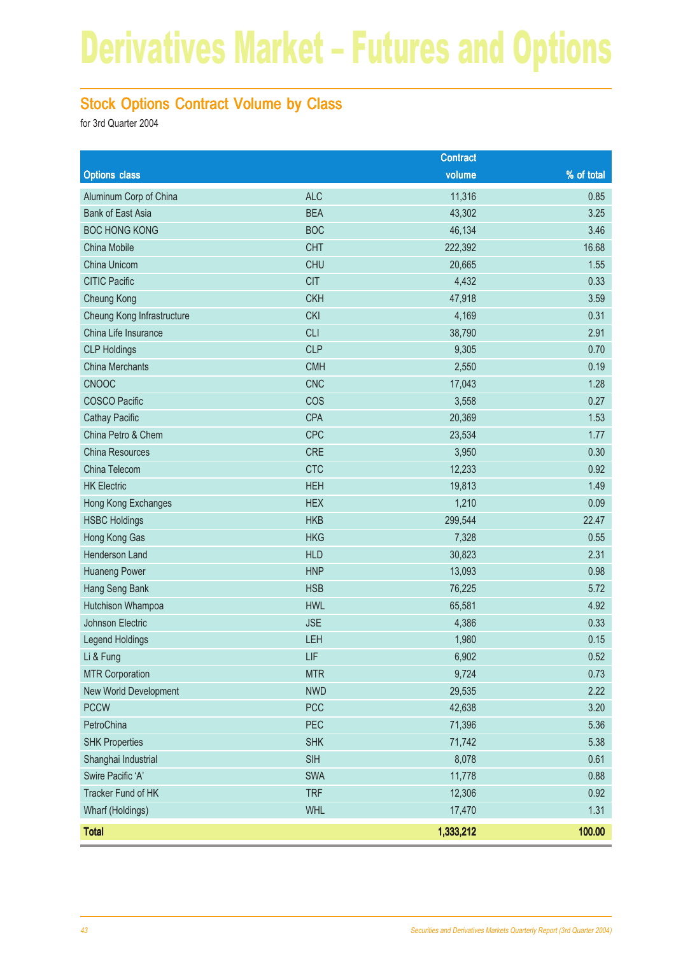## Stock Options Contract Volume by Class

|                            |            | <b>Contract</b> |            |
|----------------------------|------------|-----------------|------------|
| <b>Options class</b>       |            | volume          | % of total |
| Aluminum Corp of China     | <b>ALC</b> | 11,316          | 0.85       |
| <b>Bank of East Asia</b>   | <b>BEA</b> | 43,302          | 3.25       |
| <b>BOC HONG KONG</b>       | <b>BOC</b> | 46,134          | 3.46       |
| China Mobile               | <b>CHT</b> | 222,392         | 16.68      |
| China Unicom               | <b>CHU</b> | 20,665          | 1.55       |
| <b>CITIC Pacific</b>       | <b>CIT</b> | 4,432           | 0.33       |
| <b>Cheung Kong</b>         | <b>CKH</b> | 47,918          | 3.59       |
| Cheung Kong Infrastructure | <b>CKI</b> | 4,169           | 0.31       |
| China Life Insurance       | <b>CLI</b> | 38,790          | 2.91       |
| <b>CLP Holdings</b>        | <b>CLP</b> | 9,305           | 0.70       |
| <b>China Merchants</b>     | <b>CMH</b> | 2,550           | 0.19       |
| CNOOC                      | <b>CNC</b> | 17,043          | 1.28       |
| <b>COSCO Pacific</b>       | COS        | 3,558           | 0.27       |
| <b>Cathay Pacific</b>      | <b>CPA</b> | 20,369          | 1.53       |
| China Petro & Chem         | <b>CPC</b> | 23,534          | 1.77       |
| China Resources            | <b>CRE</b> | 3,950           | 0.30       |
| China Telecom              | <b>CTC</b> | 12,233          | 0.92       |
| <b>HK Electric</b>         | <b>HEH</b> | 19,813          | 1.49       |
| Hong Kong Exchanges        | <b>HEX</b> | 1,210           | 0.09       |
| <b>HSBC Holdings</b>       | <b>HKB</b> | 299,544         | 22.47      |
| Hong Kong Gas              | <b>HKG</b> | 7,328           | 0.55       |
| Henderson Land             | <b>HLD</b> | 30,823          | 2.31       |
| <b>Huaneng Power</b>       | <b>HNP</b> | 13,093          | 0.98       |
| Hang Seng Bank             | <b>HSB</b> | 76,225          | 5.72       |
| Hutchison Whampoa          | <b>HWL</b> | 65,581          | 4.92       |
| Johnson Electric           | <b>JSE</b> | 4,386           | 0.33       |
| <b>Legend Holdings</b>     | LEH        | 1,980           | 0.15       |
| Li & Fung                  | LIF        | 6,902           | 0.52       |
| <b>MTR Corporation</b>     | <b>MTR</b> | 9,724           | 0.73       |
| New World Development      | <b>NWD</b> | 29,535          | 2.22       |
| <b>PCCW</b>                | <b>PCC</b> | 42,638          | 3.20       |
| PetroChina                 | PEC        | 71,396          | 5.36       |
| <b>SHK Properties</b>      | <b>SHK</b> | 71,742          | 5.38       |
| Shanghai Industrial        | <b>SIH</b> | 8,078           | 0.61       |
| Swire Pacific 'A'          | <b>SWA</b> | 11,778          | 0.88       |
| Tracker Fund of HK         | <b>TRF</b> | 12,306          | 0.92       |
| Wharf (Holdings)           | <b>WHL</b> | 17,470          | 1.31       |
| <b>Total</b>               |            | 1,333,212       | 100.00     |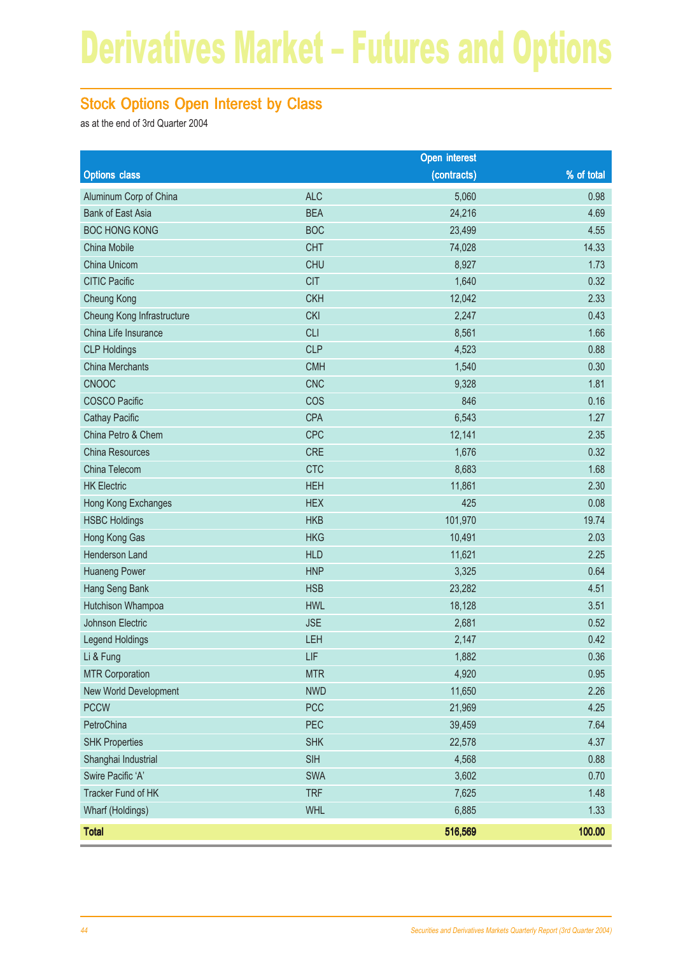#### Stock Options Open Interest by Class

as at the end of 3rd Quarter 2004

|                            |            | <b>Open interest</b> |            |
|----------------------------|------------|----------------------|------------|
| <b>Options class</b>       |            | (contracts)          | % of total |
| Aluminum Corp of China     | <b>ALC</b> | 5,060                | 0.98       |
| <b>Bank of East Asia</b>   | <b>BEA</b> | 24,216               | 4.69       |
| <b>BOC HONG KONG</b>       | <b>BOC</b> | 23,499               | 4.55       |
| China Mobile               | <b>CHT</b> | 74,028               | 14.33      |
| China Unicom               | <b>CHU</b> | 8,927                | 1.73       |
| <b>CITIC Pacific</b>       | <b>CIT</b> | 1,640                | 0.32       |
| <b>Cheung Kong</b>         | <b>CKH</b> | 12,042               | 2.33       |
| Cheung Kong Infrastructure | <b>CKI</b> | 2,247                | 0.43       |
| China Life Insurance       | <b>CLI</b> | 8,561                | 1.66       |
| <b>CLP Holdings</b>        | <b>CLP</b> | 4,523                | 0.88       |
| <b>China Merchants</b>     | <b>CMH</b> | 1,540                | 0.30       |
| CNOOC                      | <b>CNC</b> | 9,328                | 1.81       |
| <b>COSCO Pacific</b>       | COS        | 846                  | 0.16       |
| <b>Cathay Pacific</b>      | <b>CPA</b> | 6,543                | 1.27       |
| China Petro & Chem         | CPC        | 12,141               | 2.35       |
| China Resources            | <b>CRE</b> | 1,676                | 0.32       |
| China Telecom              | <b>CTC</b> | 8,683                | 1.68       |
| <b>HK Electric</b>         | <b>HEH</b> | 11,861               | 2.30       |
| Hong Kong Exchanges        | <b>HEX</b> | 425                  | 0.08       |
| <b>HSBC Holdings</b>       | <b>HKB</b> | 101,970              | 19.74      |
| Hong Kong Gas              | <b>HKG</b> | 10,491               | 2.03       |
| Henderson Land             | <b>HLD</b> | 11,621               | 2.25       |
| <b>Huaneng Power</b>       | <b>HNP</b> | 3,325                | 0.64       |
| Hang Seng Bank             | <b>HSB</b> | 23,282               | 4.51       |
| Hutchison Whampoa          | <b>HWL</b> | 18,128               | 3.51       |
| Johnson Electric           | <b>JSE</b> | 2,681                | 0.52       |
| <b>Legend Holdings</b>     | LEH        | 2,147                | 0.42       |
| Li & Fung                  | LIF        | 1,882                | 0.36       |
| <b>MTR Corporation</b>     | <b>MTR</b> | 4,920                | 0.95       |
| New World Development      | <b>NWD</b> | 11,650               | 2.26       |
| <b>PCCW</b>                | <b>PCC</b> | 21,969               | 4.25       |
| PetroChina                 | PEC        | 39,459               | 7.64       |
| <b>SHK Properties</b>      | <b>SHK</b> | 22,578               | 4.37       |
| Shanghai Industrial        | SIH        | 4,568                | 0.88       |
| Swire Pacific 'A'          | SWA        | 3,602                | 0.70       |
| Tracker Fund of HK         | <b>TRF</b> | 7,625                | 1.48       |
| Wharf (Holdings)           | <b>WHL</b> | 6,885                | 1.33       |
| <b>Total</b>               |            | 516,569              | 100.00     |